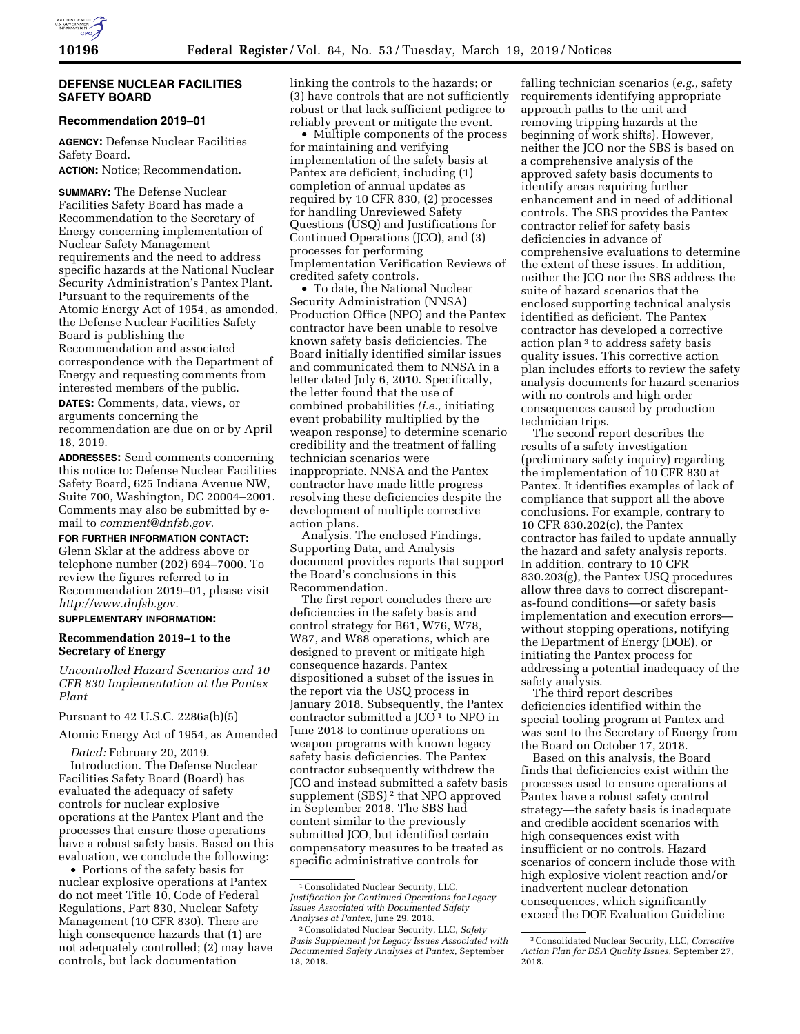

### **DEFENSE NUCLEAR FACILITIES SAFETY BOARD**

### **Recommendation 2019–01**

**AGENCY:** Defense Nuclear Facilities Safety Board.

**ACTION:** Notice; Recommendation.

**SUMMARY:** The Defense Nuclear Facilities Safety Board has made a Recommendation to the Secretary of Energy concerning implementation of Nuclear Safety Management requirements and the need to address specific hazards at the National Nuclear Security Administration's Pantex Plant. Pursuant to the requirements of the Atomic Energy Act of 1954, as amended, the Defense Nuclear Facilities Safety Board is publishing the Recommendation and associated correspondence with the Department of Energy and requesting comments from interested members of the public.

**DATES:** Comments, data, views, or arguments concerning the recommendation are due on or by April 18, 2019.

**ADDRESSES:** Send comments concerning this notice to: Defense Nuclear Facilities Safety Board, 625 Indiana Avenue NW, Suite 700, Washington, DC 20004–2001. Comments may also be submitted by email to *[comment@dnfsb.gov.](mailto:comment@dnfsb.gov)* 

**FOR FURTHER INFORMATION CONTACT:** 

Glenn Sklar at the address above or telephone number (202) 694–7000. To review the figures referred to in Recommendation 2019–01, please visit *[http://www.dnfsb.gov.](http://www.dnfsb.gov)* 

# **SUPPLEMENTARY INFORMATION:**

# **Recommendation 2019–1 to the Secretary of Energy**

*Uncontrolled Hazard Scenarios and 10 CFR 830 Implementation at the Pantex Plant* 

Pursuant to 42 U.S.C. 2286a(b)(5)

Atomic Energy Act of 1954, as Amended

*Dated:* February 20, 2019. Introduction. The Defense Nuclear Facilities Safety Board (Board) has evaluated the adequacy of safety controls for nuclear explosive operations at the Pantex Plant and the processes that ensure those operations have a robust safety basis. Based on this evaluation, we conclude the following:

• Portions of the safety basis for nuclear explosive operations at Pantex do not meet Title 10, Code of Federal Regulations, Part 830, Nuclear Safety Management (10 CFR 830). There are high consequence hazards that (1) are not adequately controlled; (2) may have controls, but lack documentation

linking the controls to the hazards; or (3) have controls that are not sufficiently robust or that lack sufficient pedigree to reliably prevent or mitigate the event.

• Multiple components of the process for maintaining and verifying implementation of the safety basis at Pantex are deficient, including (1) completion of annual updates as required by 10 CFR 830, (2) processes for handling Unreviewed Safety Questions (USQ) and Justifications for Continued Operations (JCO), and (3) processes for performing Implementation Verification Reviews of credited safety controls.

• To date, the National Nuclear Security Administration (NNSA) Production Office (NPO) and the Pantex contractor have been unable to resolve known safety basis deficiencies. The Board initially identified similar issues and communicated them to NNSA in a letter dated July 6, 2010. Specifically, the letter found that the use of combined probabilities *(i.e.,* initiating event probability multiplied by the weapon response) to determine scenario credibility and the treatment of falling technician scenarios were inappropriate. NNSA and the Pantex contractor have made little progress resolving these deficiencies despite the development of multiple corrective action plans.

Analysis. The enclosed Findings, Supporting Data, and Analysis document provides reports that support the Board's conclusions in this Recommendation.

The first report concludes there are deficiencies in the safety basis and control strategy for B61, W76, W78, W87, and W88 operations, which are designed to prevent or mitigate high consequence hazards. Pantex dispositioned a subset of the issues in the report via the USQ process in January 2018. Subsequently, the Pantex contractor submitted a  $JCO<sup>1</sup>$  to NPO in June 2018 to continue operations on weapon programs with known legacy safety basis deficiencies. The Pantex contractor subsequently withdrew the JCO and instead submitted a safety basis supplement (SBS) 2 that NPO approved in September 2018. The SBS had content similar to the previously submitted JCO, but identified certain compensatory measures to be treated as specific administrative controls for

falling technician scenarios (*e.g.,* safety requirements identifying appropriate approach paths to the unit and removing tripping hazards at the beginning of work shifts). However, neither the JCO nor the SBS is based on a comprehensive analysis of the approved safety basis documents to identify areas requiring further enhancement and in need of additional controls. The SBS provides the Pantex contractor relief for safety basis deficiencies in advance of comprehensive evaluations to determine the extent of these issues. In addition, neither the JCO nor the SBS address the suite of hazard scenarios that the enclosed supporting technical analysis identified as deficient. The Pantex contractor has developed a corrective action plan 3 to address safety basis quality issues. This corrective action plan includes efforts to review the safety analysis documents for hazard scenarios with no controls and high order consequences caused by production technician trips.

The second report describes the results of a safety investigation (preliminary safety inquiry) regarding the implementation of 10 CFR 830 at Pantex. It identifies examples of lack of compliance that support all the above conclusions. For example, contrary to 10 CFR 830.202(c), the Pantex contractor has failed to update annually the hazard and safety analysis reports. In addition, contrary to 10 CFR 830.203(g), the Pantex USQ procedures allow three days to correct discrepantas-found conditions—or safety basis implementation and execution errors without stopping operations, notifying the Department of Energy (DOE), or initiating the Pantex process for addressing a potential inadequacy of the safety analysis.

The third report describes deficiencies identified within the special tooling program at Pantex and was sent to the Secretary of Energy from the Board on October 17, 2018.

Based on this analysis, the Board finds that deficiencies exist within the processes used to ensure operations at Pantex have a robust safety control strategy—the safety basis is inadequate and credible accident scenarios with high consequences exist with insufficient or no controls. Hazard scenarios of concern include those with high explosive violent reaction and/or inadvertent nuclear detonation consequences, which significantly exceed the DOE Evaluation Guideline

<sup>1</sup>Consolidated Nuclear Security, LLC, *Justification for Continued Operations for Legacy Issues Associated with Documented Safety Analyses at Pantex,* June 29, 2018.

<sup>2</sup>Consolidated Nuclear Security, LLC, *Safety Basis Supplement for Legacy Issues Associated with Documented Safety Analyses at Pantex,* September 18, 2018.

<sup>3</sup>Consolidated Nuclear Security, LLC, *Corrective Action Plan for DSA Quality Issues,* September 27, 2018.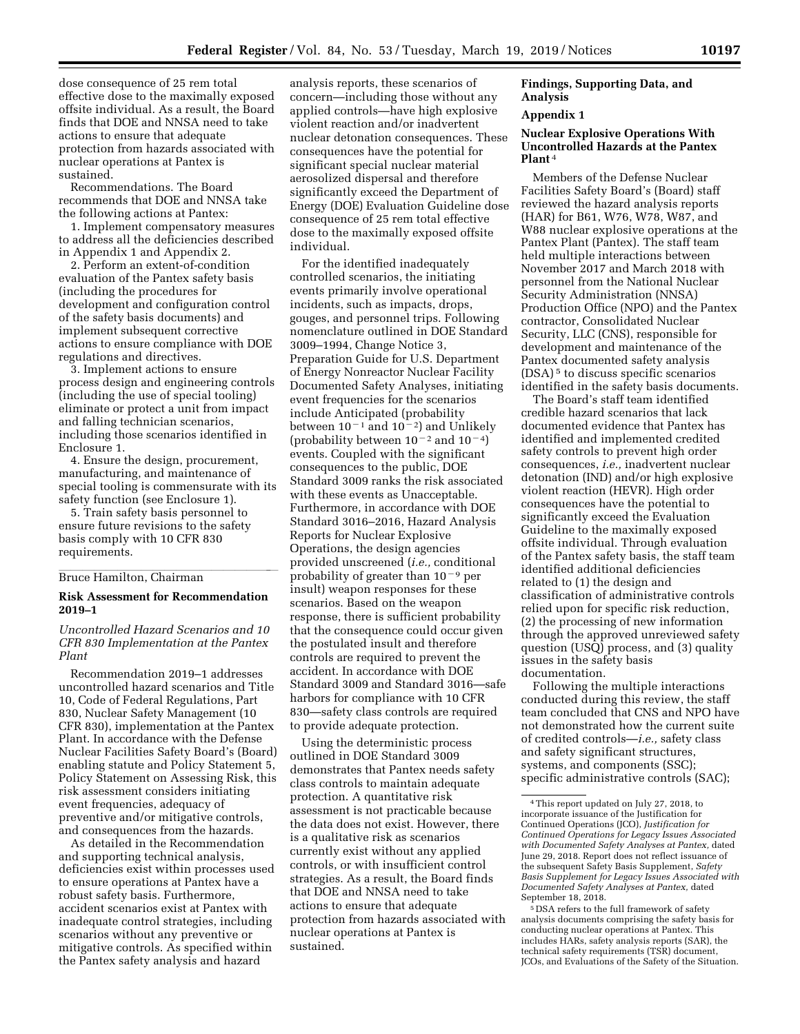dose consequence of 25 rem total effective dose to the maximally exposed offsite individual. As a result, the Board finds that DOE and NNSA need to take actions to ensure that adequate protection from hazards associated with nuclear operations at Pantex is sustained.

Recommendations. The Board recommends that DOE and NNSA take the following actions at Pantex:

1. Implement compensatory measures to address all the deficiencies described in Appendix 1 and Appendix 2.

2. Perform an extent-of-condition evaluation of the Pantex safety basis (including the procedures for development and configuration control of the safety basis documents) and implement subsequent corrective actions to ensure compliance with DOE regulations and directives.

3. Implement actions to ensure process design and engineering controls (including the use of special tooling) eliminate or protect a unit from impact and falling technician scenarios, including those scenarios identified in Enclosure 1.

4. Ensure the design, procurement, manufacturing, and maintenance of special tooling is commensurate with its safety function (see Enclosure 1).

5. Train safety basis personnel to ensure future revisions to the safety basis comply with 10 CFR 830 requirements.

# Bruce Hamilton, Chairman

### **Risk Assessment for Recommendation 2019–1**

*Uncontrolled Hazard Scenarios and 10 CFR 830 Implementation at the Pantex Plant* 

Recommendation 2019–1 addresses uncontrolled hazard scenarios and Title 10, Code of Federal Regulations, Part 830, Nuclear Safety Management (10 CFR 830), implementation at the Pantex Plant. In accordance with the Defense Nuclear Facilities Safety Board's (Board) enabling statute and Policy Statement 5, Policy Statement on Assessing Risk, this risk assessment considers initiating event frequencies, adequacy of preventive and/or mitigative controls, and consequences from the hazards.

As detailed in the Recommendation and supporting technical analysis, deficiencies exist within processes used to ensure operations at Pantex have a robust safety basis. Furthermore, accident scenarios exist at Pantex with inadequate control strategies, including scenarios without any preventive or mitigative controls. As specified within the Pantex safety analysis and hazard

analysis reports, these scenarios of concern—including those without any applied controls—have high explosive violent reaction and/or inadvertent nuclear detonation consequences. These consequences have the potential for significant special nuclear material aerosolized dispersal and therefore significantly exceed the Department of Energy (DOE) Evaluation Guideline dose consequence of 25 rem total effective dose to the maximally exposed offsite individual.

For the identified inadequately controlled scenarios, the initiating events primarily involve operational incidents, such as impacts, drops, gouges, and personnel trips. Following nomenclature outlined in DOE Standard 3009–1994, Change Notice 3, Preparation Guide for U.S. Department of Energy Nonreactor Nuclear Facility Documented Safety Analyses, initiating event frequencies for the scenarios include Anticipated (probability between  $10^{-1}$  and  $10^{-2}$ ) and Unlikely (probability between  $10^{-2}$  and  $10^{-4}$ ) events. Coupled with the significant consequences to the public, DOE Standard 3009 ranks the risk associated with these events as Unacceptable. Furthermore, in accordance with DOE Standard 3016–2016, Hazard Analysis Reports for Nuclear Explosive Operations, the design agencies provided unscreened (*i.e.,* conditional probability of greater than  $10^{-9}$  per insult) weapon responses for these scenarios. Based on the weapon response, there is sufficient probability that the consequence could occur given the postulated insult and therefore controls are required to prevent the accident. In accordance with DOE Standard 3009 and Standard 3016—safe harbors for compliance with 10 CFR 830—safety class controls are required to provide adequate protection.

Using the deterministic process outlined in DOE Standard 3009 demonstrates that Pantex needs safety class controls to maintain adequate protection. A quantitative risk assessment is not practicable because the data does not exist. However, there is a qualitative risk as scenarios currently exist without any applied controls, or with insufficient control strategies. As a result, the Board finds that DOE and NNSA need to take actions to ensure that adequate protection from hazards associated with nuclear operations at Pantex is sustained.

### **Findings, Supporting Data, and Analysis**

### **Appendix 1**

### **Nuclear Explosive Operations With Uncontrolled Hazards at the Pantex Plant** 4

Members of the Defense Nuclear Facilities Safety Board's (Board) staff reviewed the hazard analysis reports (HAR) for B61, W76, W78, W87, and W88 nuclear explosive operations at the Pantex Plant (Pantex). The staff team held multiple interactions between November 2017 and March 2018 with personnel from the National Nuclear Security Administration (NNSA) Production Office (NPO) and the Pantex contractor, Consolidated Nuclear Security, LLC (CNS), responsible for development and maintenance of the Pantex documented safety analysis (DSA) 5 to discuss specific scenarios identified in the safety basis documents.

The Board's staff team identified credible hazard scenarios that lack documented evidence that Pantex has identified and implemented credited safety controls to prevent high order consequences, *i.e.,* inadvertent nuclear detonation (IND) and/or high explosive violent reaction (HEVR). High order consequences have the potential to significantly exceed the Evaluation Guideline to the maximally exposed offsite individual. Through evaluation of the Pantex safety basis, the staff team identified additional deficiencies related to (1) the design and classification of administrative controls relied upon for specific risk reduction, (2) the processing of new information through the approved unreviewed safety question (USQ) process, and (3) quality issues in the safety basis documentation.

Following the multiple interactions conducted during this review, the staff team concluded that CNS and NPO have not demonstrated how the current suite of credited controls—*i.e.,* safety class and safety significant structures, systems, and components (SSC); specific administrative controls (SAC);

<sup>4</sup>This report updated on July 27, 2018, to incorporate issuance of the Justification for Continued Operations (JCO), *Justification for Continued Operations for Legacy Issues Associated with Documented Safety Analyses at Pantex,* dated June 29, 2018. Report does not reflect issuance of the subsequent Safety Basis Supplement, *Safety Basis Supplement for Legacy Issues Associated with Documented Safety Analyses at Pantex,* dated September 18, 2018.

<sup>5</sup> DSA refers to the full framework of safety analysis documents comprising the safety basis for conducting nuclear operations at Pantex. This includes HARs, safety analysis reports (SAR), the technical safety requirements (TSR) document, JCOs, and Evaluations of the Safety of the Situation.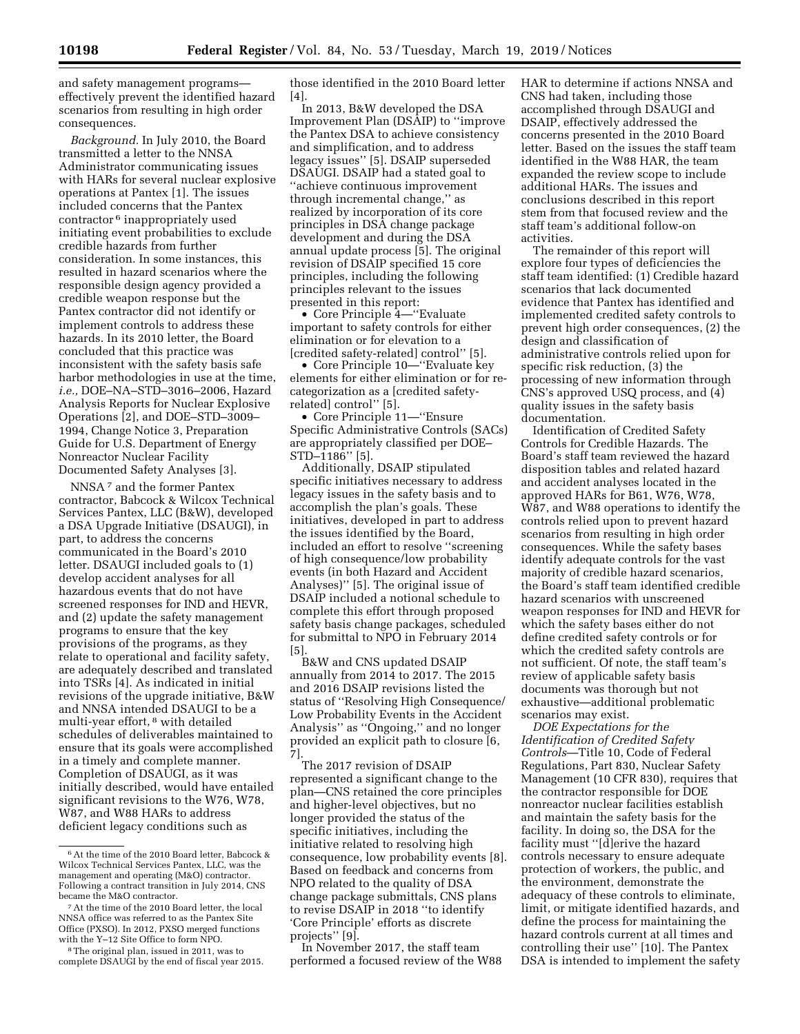and safety management programs effectively prevent the identified hazard scenarios from resulting in high order consequences.

*Background.* In July 2010, the Board transmitted a letter to the NNSA Administrator communicating issues with HARs for several nuclear explosive operations at Pantex [1]. The issues included concerns that the Pantex contractor 6 inappropriately used initiating event probabilities to exclude credible hazards from further consideration. In some instances, this resulted in hazard scenarios where the responsible design agency provided a credible weapon response but the Pantex contractor did not identify or implement controls to address these hazards. In its 2010 letter, the Board concluded that this practice was inconsistent with the safety basis safe harbor methodologies in use at the time, *i.e.,* DOE–NA–STD–3016–2006, Hazard Analysis Reports for Nuclear Explosive Operations [2], and DOE–STD–3009– 1994, Change Notice 3, Preparation Guide for U.S. Department of Energy Nonreactor Nuclear Facility Documented Safety Analyses [3].

NNSA 7 and the former Pantex contractor, Babcock & Wilcox Technical Services Pantex, LLC (B&W), developed a DSA Upgrade Initiative (DSAUGI), in part, to address the concerns communicated in the Board's 2010 letter. DSAUGI included goals to (1) develop accident analyses for all hazardous events that do not have screened responses for IND and HEVR, and (2) update the safety management programs to ensure that the key provisions of the programs, as they relate to operational and facility safety, are adequately described and translated into TSRs [4]. As indicated in initial revisions of the upgrade initiative, B&W and NNSA intended DSAUGI to be a multi-year effort, 8 with detailed schedules of deliverables maintained to ensure that its goals were accomplished in a timely and complete manner. Completion of DSAUGI, as it was initially described, would have entailed significant revisions to the W76, W78, W87, and W88 HARs to address deficient legacy conditions such as

those identified in the 2010 Board letter  $[4]$ 

In 2013, B&W developed the DSA Improvement Plan (DSAIP) to ''improve the Pantex DSA to achieve consistency and simplification, and to address legacy issues'' [5]. DSAIP superseded DSAUGI. DSAIP had a stated goal to ''achieve continuous improvement through incremental change,'' as realized by incorporation of its core principles in DSA change package development and during the DSA annual update process [5]. The original revision of DSAIP specified 15 core principles, including the following principles relevant to the issues presented in this report:

• Core Principle 4—''Evaluate important to safety controls for either elimination or for elevation to a [credited safety-related] control'' [5].

• Core Principle 10—''Evaluate key elements for either elimination or for recategorization as a [credited safetyrelated] control'' [5].

• Core Principle 11—''Ensure Specific Administrative Controls (SACs) are appropriately classified per DOE– STD–1186'' [5].

Additionally, DSAIP stipulated specific initiatives necessary to address legacy issues in the safety basis and to accomplish the plan's goals. These initiatives, developed in part to address the issues identified by the Board, included an effort to resolve ''screening of high consequence/low probability events (in both Hazard and Accident Analyses)'' [5]. The original issue of DSAIP included a notional schedule to complete this effort through proposed safety basis change packages, scheduled for submittal to NPO in February 2014 [5].

B&W and CNS updated DSAIP annually from 2014 to 2017. The 2015 and 2016 DSAIP revisions listed the status of ''Resolving High Consequence/ Low Probability Events in the Accident Analysis'' as ''Ongoing,'' and no longer provided an explicit path to closure [6, 7].

The 2017 revision of DSAIP represented a significant change to the plan—CNS retained the core principles and higher-level objectives, but no longer provided the status of the specific initiatives, including the initiative related to resolving high consequence, low probability events [8]. Based on feedback and concerns from NPO related to the quality of DSA change package submittals, CNS plans to revise DSAIP in 2018 ''to identify 'Core Principle' efforts as discrete projects'' [9].

In November 2017, the staff team performed a focused review of the W88 HAR to determine if actions NNSA and CNS had taken, including those accomplished through DSAUGI and DSAIP, effectively addressed the concerns presented in the 2010 Board letter. Based on the issues the staff team identified in the W88 HAR, the team expanded the review scope to include additional HARs. The issues and conclusions described in this report stem from that focused review and the staff team's additional follow-on activities.

The remainder of this report will explore four types of deficiencies the staff team identified: (1) Credible hazard scenarios that lack documented evidence that Pantex has identified and implemented credited safety controls to prevent high order consequences, (2) the design and classification of administrative controls relied upon for specific risk reduction, (3) the processing of new information through CNS's approved USQ process, and (4) quality issues in the safety basis documentation.

Identification of Credited Safety Controls for Credible Hazards. The Board's staff team reviewed the hazard disposition tables and related hazard and accident analyses located in the approved HARs for B61, W76, W78, W87, and W88 operations to identify the controls relied upon to prevent hazard scenarios from resulting in high order consequences. While the safety bases identify adequate controls for the vast majority of credible hazard scenarios, the Board's staff team identified credible hazard scenarios with unscreened weapon responses for IND and HEVR for which the safety bases either do not define credited safety controls or for which the credited safety controls are not sufficient. Of note, the staff team's review of applicable safety basis documents was thorough but not exhaustive—additional problematic scenarios may exist.

*DOE Expectations for the Identification of Credited Safety Controls*—Title 10, Code of Federal Regulations, Part 830, Nuclear Safety Management (10 CFR 830), requires that the contractor responsible for DOE nonreactor nuclear facilities establish and maintain the safety basis for the facility. In doing so, the DSA for the facility must ''[d]erive the hazard controls necessary to ensure adequate protection of workers, the public, and the environment, demonstrate the adequacy of these controls to eliminate, limit, or mitigate identified hazards, and define the process for maintaining the hazard controls current at all times and controlling their use'' [10]. The Pantex DSA is intended to implement the safety

<sup>6</sup>At the time of the 2010 Board letter, Babcock & Wilcox Technical Services Pantex, LLC, was the management and operating (M&O) contractor. Following a contract transition in July 2014, CNS became the M&O contractor.

<sup>7</sup>At the time of the 2010 Board letter, the local NNSA office was referred to as the Pantex Site Office (PXSO). In 2012, PXSO merged functions with the Y–12 Site Office to form NPO.

<sup>8</sup>The original plan, issued in 2011, was to complete DSAUGI by the end of fiscal year 2015.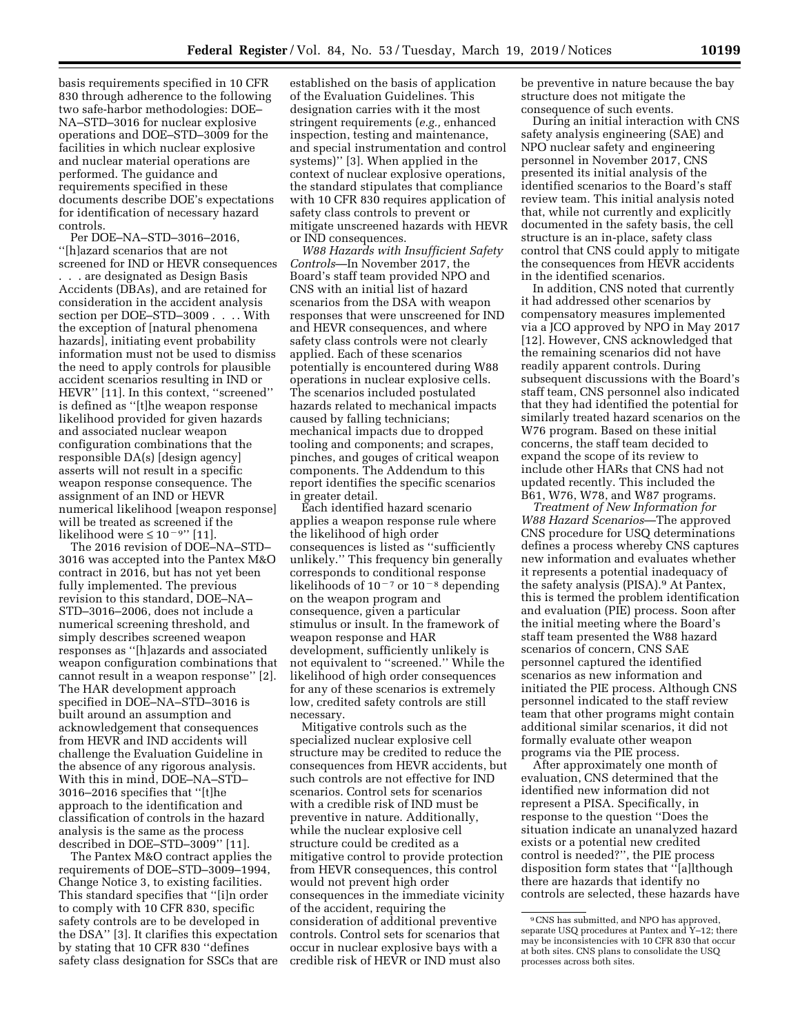basis requirements specified in 10 CFR 830 through adherence to the following two safe-harbor methodologies: DOE– NA–STD–3016 for nuclear explosive operations and DOE–STD–3009 for the facilities in which nuclear explosive and nuclear material operations are performed. The guidance and requirements specified in these documents describe DOE's expectations for identification of necessary hazard controls.

Per DOE–NA–STD–3016–2016, ''[h]azard scenarios that are not screened for IND or HEVR consequences . . . are designated as Design Basis Accidents (DBAs), and are retained for consideration in the accident analysis section per DOE–STD–3009 . . . . With the exception of [natural phenomena hazards], initiating event probability information must not be used to dismiss the need to apply controls for plausible accident scenarios resulting in IND or HEVR'' [11]. In this context, ''screened'' is defined as ''[t]he weapon response likelihood provided for given hazards and associated nuclear weapon configuration combinations that the responsible DA(s) [design agency] asserts will not result in a specific weapon response consequence. The assignment of an IND or HEVR numerical likelihood [weapon response] will be treated as screened if the likelihood were  $\leq 10^{-9}$ " [11].

The 2016 revision of DOE–NA–STD– 3016 was accepted into the Pantex M&O contract in 2016, but has not yet been fully implemented. The previous revision to this standard, DOE–NA– STD–3016–2006, does not include a numerical screening threshold, and simply describes screened weapon responses as ''[h]azards and associated weapon configuration combinations that cannot result in a weapon response'' [2]. The HAR development approach specified in DOE–NA–STD–3016 is built around an assumption and acknowledgement that consequences from HEVR and IND accidents will challenge the Evaluation Guideline in the absence of any rigorous analysis. With this in mind, DOE–NA–STD– 3016–2016 specifies that ''[t]he approach to the identification and classification of controls in the hazard analysis is the same as the process described in DOE–STD–3009'' [11].

The Pantex M&O contract applies the requirements of DOE–STD–3009–1994, Change Notice 3, to existing facilities. This standard specifies that ''[i]n order to comply with 10 CFR 830, specific safety controls are to be developed in the DSA'' [3]. It clarifies this expectation by stating that 10 CFR 830 ''defines safety class designation for SSCs that are established on the basis of application of the Evaluation Guidelines. This designation carries with it the most stringent requirements (*e.g.,* enhanced inspection, testing and maintenance, and special instrumentation and control systems)'' [3]. When applied in the context of nuclear explosive operations, the standard stipulates that compliance with 10 CFR 830 requires application of safety class controls to prevent or mitigate unscreened hazards with HEVR or IND consequences.

*W88 Hazards with Insufficient Safety Controls*—In November 2017, the Board's staff team provided NPO and CNS with an initial list of hazard scenarios from the DSA with weapon responses that were unscreened for IND and HEVR consequences, and where safety class controls were not clearly applied. Each of these scenarios potentially is encountered during W88 operations in nuclear explosive cells. The scenarios included postulated hazards related to mechanical impacts caused by falling technicians; mechanical impacts due to dropped tooling and components; and scrapes, pinches, and gouges of critical weapon components. The Addendum to this report identifies the specific scenarios in greater detail.

Each identified hazard scenario applies a weapon response rule where the likelihood of high order consequences is listed as ''sufficiently unlikely.'' This frequency bin generally corresponds to conditional response likelihoods of  $10^{-7}$  or  $10^{-8}$  depending on the weapon program and consequence, given a particular stimulus or insult. In the framework of weapon response and HAR development, sufficiently unlikely is not equivalent to ''screened.'' While the likelihood of high order consequences for any of these scenarios is extremely low, credited safety controls are still necessary.

Mitigative controls such as the specialized nuclear explosive cell structure may be credited to reduce the consequences from HEVR accidents, but such controls are not effective for IND scenarios. Control sets for scenarios with a credible risk of IND must be preventive in nature. Additionally, while the nuclear explosive cell structure could be credited as a mitigative control to provide protection from HEVR consequences, this control would not prevent high order consequences in the immediate vicinity of the accident, requiring the consideration of additional preventive controls. Control sets for scenarios that occur in nuclear explosive bays with a credible risk of HEVR or IND must also

be preventive in nature because the bay structure does not mitigate the consequence of such events.

During an initial interaction with CNS safety analysis engineering (SAE) and NPO nuclear safety and engineering personnel in November 2017, CNS presented its initial analysis of the identified scenarios to the Board's staff review team. This initial analysis noted that, while not currently and explicitly documented in the safety basis, the cell structure is an in-place, safety class control that CNS could apply to mitigate the consequences from HEVR accidents in the identified scenarios.

In addition, CNS noted that currently it had addressed other scenarios by compensatory measures implemented via a JCO approved by NPO in May 2017 [12]. However, CNS acknowledged that the remaining scenarios did not have readily apparent controls. During subsequent discussions with the Board's staff team, CNS personnel also indicated that they had identified the potential for similarly treated hazard scenarios on the W76 program. Based on these initial concerns, the staff team decided to expand the scope of its review to include other HARs that CNS had not updated recently. This included the B61, W76, W78, and W87 programs.

*Treatment of New Information for W88 Hazard Scenarios*—The approved CNS procedure for USQ determinations defines a process whereby CNS captures new information and evaluates whether it represents a potential inadequacy of the safety analysis (PISA).9 At Pantex, this is termed the problem identification and evaluation (PIE) process. Soon after the initial meeting where the Board's staff team presented the W88 hazard scenarios of concern, CNS SAE personnel captured the identified scenarios as new information and initiated the PIE process. Although CNS personnel indicated to the staff review team that other programs might contain additional similar scenarios, it did not formally evaluate other weapon programs via the PIE process.

After approximately one month of evaluation, CNS determined that the identified new information did not represent a PISA. Specifically, in response to the question ''Does the situation indicate an unanalyzed hazard exists or a potential new credited control is needed?'', the PIE process disposition form states that ''[a]lthough there are hazards that identify no controls are selected, these hazards have

<sup>9</sup>CNS has submitted, and NPO has approved, separate USQ procedures at Pantex and Y-12; there may be inconsistencies with 10 CFR 830 that occur at both sites. CNS plans to consolidate the USQ processes across both sites.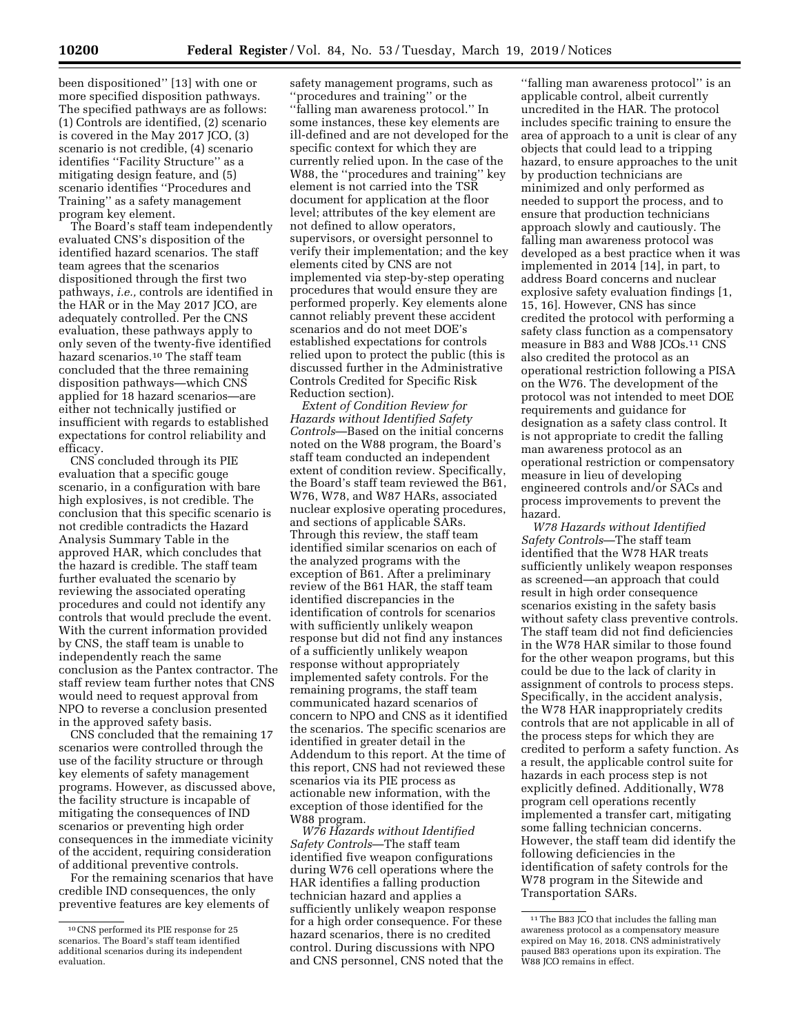been dispositioned'' [13] with one or more specified disposition pathways. The specified pathways are as follows: (1) Controls are identified, (2) scenario is covered in the May 2017 JCO, (3) scenario is not credible, (4) scenario identifies ''Facility Structure'' as a mitigating design feature, and (5) scenario identifies ''Procedures and Training'' as a safety management program key element.

The Board's staff team independently evaluated CNS's disposition of the identified hazard scenarios. The staff team agrees that the scenarios dispositioned through the first two pathways, *i.e.,* controls are identified in the HAR or in the May 2017 JCO, are adequately controlled. Per the CNS evaluation, these pathways apply to only seven of the twenty-five identified hazard scenarios.10 The staff team concluded that the three remaining disposition pathways—which CNS applied for 18 hazard scenarios—are either not technically justified or insufficient with regards to established expectations for control reliability and efficacy.

CNS concluded through its PIE evaluation that a specific gouge scenario, in a configuration with bare high explosives, is not credible. The conclusion that this specific scenario is not credible contradicts the Hazard Analysis Summary Table in the approved HAR, which concludes that the hazard is credible. The staff team further evaluated the scenario by reviewing the associated operating procedures and could not identify any controls that would preclude the event. With the current information provided by CNS, the staff team is unable to independently reach the same conclusion as the Pantex contractor. The staff review team further notes that CNS would need to request approval from NPO to reverse a conclusion presented in the approved safety basis.

CNS concluded that the remaining 17 scenarios were controlled through the use of the facility structure or through key elements of safety management programs. However, as discussed above, the facility structure is incapable of mitigating the consequences of IND scenarios or preventing high order consequences in the immediate vicinity of the accident, requiring consideration of additional preventive controls.

For the remaining scenarios that have credible IND consequences, the only preventive features are key elements of

safety management programs, such as ''procedures and training'' or the ''falling man awareness protocol.'' In some instances, these key elements are ill-defined and are not developed for the specific context for which they are currently relied upon. In the case of the W88, the ''procedures and training'' key element is not carried into the TSR document for application at the floor level; attributes of the key element are not defined to allow operators, supervisors, or oversight personnel to verify their implementation; and the key elements cited by CNS are not implemented via step-by-step operating procedures that would ensure they are performed properly. Key elements alone cannot reliably prevent these accident scenarios and do not meet DOE's established expectations for controls relied upon to protect the public (this is discussed further in the Administrative Controls Credited for Specific Risk Reduction section).

*Extent of Condition Review for Hazards without Identified Safety Controls*—Based on the initial concerns noted on the W88 program, the Board's staff team conducted an independent extent of condition review. Specifically, the Board's staff team reviewed the B61, W76, W78, and W87 HARs, associated nuclear explosive operating procedures, and sections of applicable SARs. Through this review, the staff team identified similar scenarios on each of the analyzed programs with the exception of B61. After a preliminary review of the B61 HAR, the staff team identified discrepancies in the identification of controls for scenarios with sufficiently unlikely weapon response but did not find any instances of a sufficiently unlikely weapon response without appropriately implemented safety controls. For the remaining programs, the staff team communicated hazard scenarios of concern to NPO and CNS as it identified the scenarios. The specific scenarios are identified in greater detail in the Addendum to this report. At the time of this report, CNS had not reviewed these scenarios via its PIE process as actionable new information, with the exception of those identified for the W88 program.

*W76 Hazards without Identified Safety Controls*—The staff team identified five weapon configurations during W76 cell operations where the HAR identifies a falling production technician hazard and applies a sufficiently unlikely weapon response for a high order consequence. For these hazard scenarios, there is no credited control. During discussions with NPO and CNS personnel, CNS noted that the

''falling man awareness protocol'' is an applicable control, albeit currently uncredited in the HAR. The protocol includes specific training to ensure the area of approach to a unit is clear of any objects that could lead to a tripping hazard, to ensure approaches to the unit by production technicians are minimized and only performed as needed to support the process, and to ensure that production technicians approach slowly and cautiously. The falling man awareness protocol was developed as a best practice when it was implemented in 2014 [14], in part, to address Board concerns and nuclear explosive safety evaluation findings [1, 15, 16]. However, CNS has since credited the protocol with performing a safety class function as a compensatory measure in B83 and W88 JCOs.11 CNS also credited the protocol as an operational restriction following a PISA on the W76. The development of the protocol was not intended to meet DOE requirements and guidance for designation as a safety class control. It is not appropriate to credit the falling man awareness protocol as an operational restriction or compensatory measure in lieu of developing engineered controls and/or SACs and process improvements to prevent the hazard.

*W78 Hazards without Identified Safety Controls*—The staff team identified that the W78 HAR treats sufficiently unlikely weapon responses as screened—an approach that could result in high order consequence scenarios existing in the safety basis without safety class preventive controls. The staff team did not find deficiencies in the W78 HAR similar to those found for the other weapon programs, but this could be due to the lack of clarity in assignment of controls to process steps. Specifically, in the accident analysis, the W78 HAR inappropriately credits controls that are not applicable in all of the process steps for which they are credited to perform a safety function. As a result, the applicable control suite for hazards in each process step is not explicitly defined. Additionally, W78 program cell operations recently implemented a transfer cart, mitigating some falling technician concerns. However, the staff team did identify the following deficiencies in the identification of safety controls for the W78 program in the Sitewide and Transportation SARs.

<sup>10</sup>CNS performed its PIE response for 25 scenarios. The Board's staff team identified additional scenarios during its independent evaluation.

<sup>11</sup>The B83 JCO that includes the falling man awareness protocol as a compensatory measure expired on May 16, 2018. CNS administratively paused B83 operations upon its expiration. The W88 JCO remains in effect.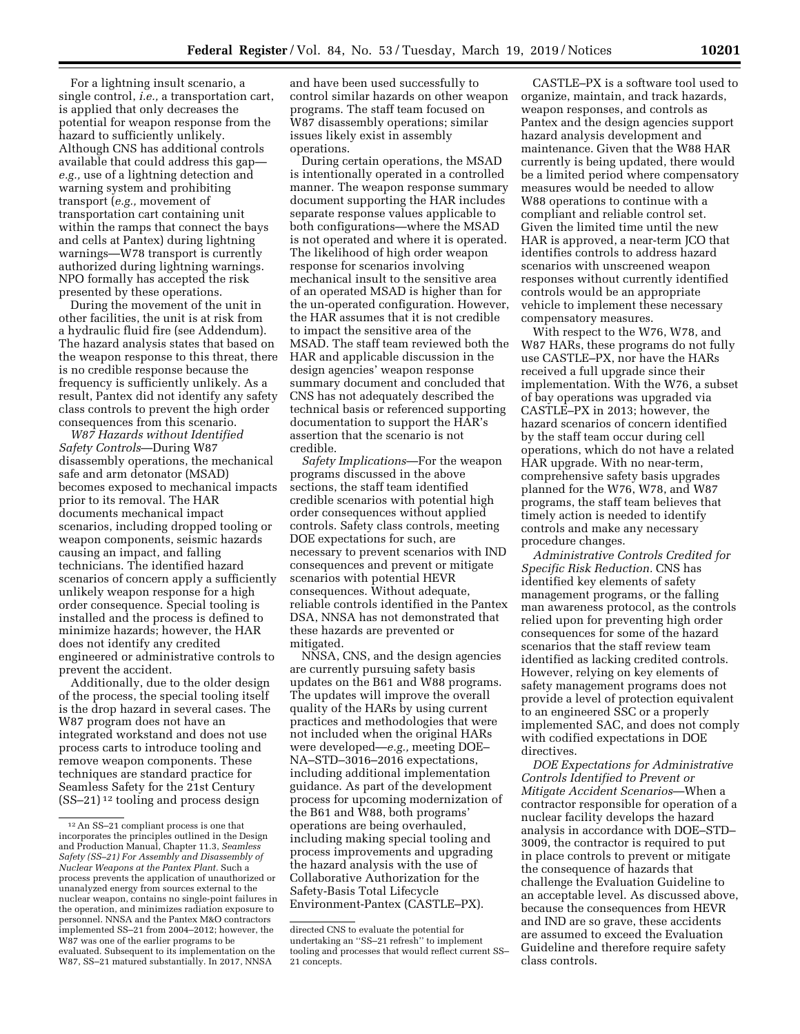For a lightning insult scenario, a single control, *i.e.,* a transportation cart, is applied that only decreases the potential for weapon response from the hazard to sufficiently unlikely. Although CNS has additional controls available that could address this gap *e.g.,* use of a lightning detection and warning system and prohibiting transport (*e.g.,* movement of transportation cart containing unit within the ramps that connect the bays and cells at Pantex) during lightning warnings—W78 transport is currently authorized during lightning warnings. NPO formally has accepted the risk presented by these operations.

During the movement of the unit in other facilities, the unit is at risk from a hydraulic fluid fire (see Addendum). The hazard analysis states that based on the weapon response to this threat, there is no credible response because the frequency is sufficiently unlikely. As a result, Pantex did not identify any safety class controls to prevent the high order consequences from this scenario.

*W87 Hazards without Identified Safety Controls*—During W87 disassembly operations, the mechanical safe and arm detonator (MSAD) becomes exposed to mechanical impacts prior to its removal. The HAR documents mechanical impact scenarios, including dropped tooling or weapon components, seismic hazards causing an impact, and falling technicians. The identified hazard scenarios of concern apply a sufficiently unlikely weapon response for a high order consequence. Special tooling is installed and the process is defined to minimize hazards; however, the HAR does not identify any credited engineered or administrative controls to prevent the accident.

Additionally, due to the older design of the process, the special tooling itself is the drop hazard in several cases. The W87 program does not have an integrated workstand and does not use process carts to introduce tooling and remove weapon components. These techniques are standard practice for Seamless Safety for the 21st Century  $(SS-21)$ <sup>12</sup> tooling and process design

and have been used successfully to control similar hazards on other weapon programs. The staff team focused on W87 disassembly operations; similar issues likely exist in assembly operations.

During certain operations, the MSAD is intentionally operated in a controlled manner. The weapon response summary document supporting the HAR includes separate response values applicable to both configurations—where the MSAD is not operated and where it is operated. The likelihood of high order weapon response for scenarios involving mechanical insult to the sensitive area of an operated MSAD is higher than for the un-operated configuration. However, the HAR assumes that it is not credible to impact the sensitive area of the MSAD. The staff team reviewed both the HAR and applicable discussion in the design agencies' weapon response summary document and concluded that CNS has not adequately described the technical basis or referenced supporting documentation to support the HAR's assertion that the scenario is not credible.

*Safety Implications*—For the weapon programs discussed in the above sections, the staff team identified credible scenarios with potential high order consequences without applied controls. Safety class controls, meeting DOE expectations for such, are necessary to prevent scenarios with IND consequences and prevent or mitigate scenarios with potential HEVR consequences. Without adequate, reliable controls identified in the Pantex DSA, NNSA has not demonstrated that these hazards are prevented or mitigated.

NNSA, CNS, and the design agencies are currently pursuing safety basis updates on the B61 and W88 programs. The updates will improve the overall quality of the HARs by using current practices and methodologies that were not included when the original HARs were developed—*e.g.,* meeting DOE– NA–STD–3016–2016 expectations, including additional implementation guidance. As part of the development process for upcoming modernization of the B61 and W88, both programs' operations are being overhauled, including making special tooling and process improvements and upgrading the hazard analysis with the use of Collaborative Authorization for the Safety-Basis Total Lifecycle Environment-Pantex (CASTLE–PX).

CASTLE–PX is a software tool used to organize, maintain, and track hazards, weapon responses, and controls as Pantex and the design agencies support hazard analysis development and maintenance. Given that the W88 HAR currently is being updated, there would be a limited period where compensatory measures would be needed to allow W88 operations to continue with a compliant and reliable control set. Given the limited time until the new HAR is approved, a near-term JCO that identifies controls to address hazard scenarios with unscreened weapon responses without currently identified controls would be an appropriate vehicle to implement these necessary compensatory measures.

With respect to the W76, W78, and W87 HARs, these programs do not fully use CASTLE–PX, nor have the HARs received a full upgrade since their implementation. With the W76, a subset of bay operations was upgraded via CASTLE–PX in 2013; however, the hazard scenarios of concern identified by the staff team occur during cell operations, which do not have a related HAR upgrade. With no near-term, comprehensive safety basis upgrades planned for the W76, W78, and W87 programs, the staff team believes that timely action is needed to identify controls and make any necessary procedure changes.

*Administrative Controls Credited for Specific Risk Reduction.* CNS has identified key elements of safety management programs, or the falling man awareness protocol, as the controls relied upon for preventing high order consequences for some of the hazard scenarios that the staff review team identified as lacking credited controls. However, relying on key elements of safety management programs does not provide a level of protection equivalent to an engineered SSC or a properly implemented SAC, and does not comply with codified expectations in DOE directives.

*DOE Expectations for Administrative Controls Identified to Prevent or Mitigate Accident Scenarios*—When a contractor responsible for operation of a nuclear facility develops the hazard analysis in accordance with DOE–STD– 3009, the contractor is required to put in place controls to prevent or mitigate the consequence of hazards that challenge the Evaluation Guideline to an acceptable level. As discussed above, because the consequences from HEVR and IND are so grave, these accidents are assumed to exceed the Evaluation Guideline and therefore require safety class controls.

<sup>12</sup>An SS–21 compliant process is one that incorporates the principles outlined in the Design and Production Manual, Chapter 11.3, *Seamless Safety (SS–21) For Assembly and Disassembly of Nuclear Weapons at the Pantex Plant.* Such a process prevents the application of unauthorized or unanalyzed energy from sources external to the nuclear weapon, contains no single-point failures in the operation, and minimizes radiation exposure to personnel. NNSA and the Pantex M&O contractors implemented SS–21 from 2004–2012; however, the W87 was one of the earlier programs to be evaluated. Subsequent to its implementation on the W87, SS–21 matured substantially. In 2017, NNSA

directed CNS to evaluate the potential for undertaking an ''SS–21 refresh'' to implement tooling and processes that would reflect current SS– 21 concepts.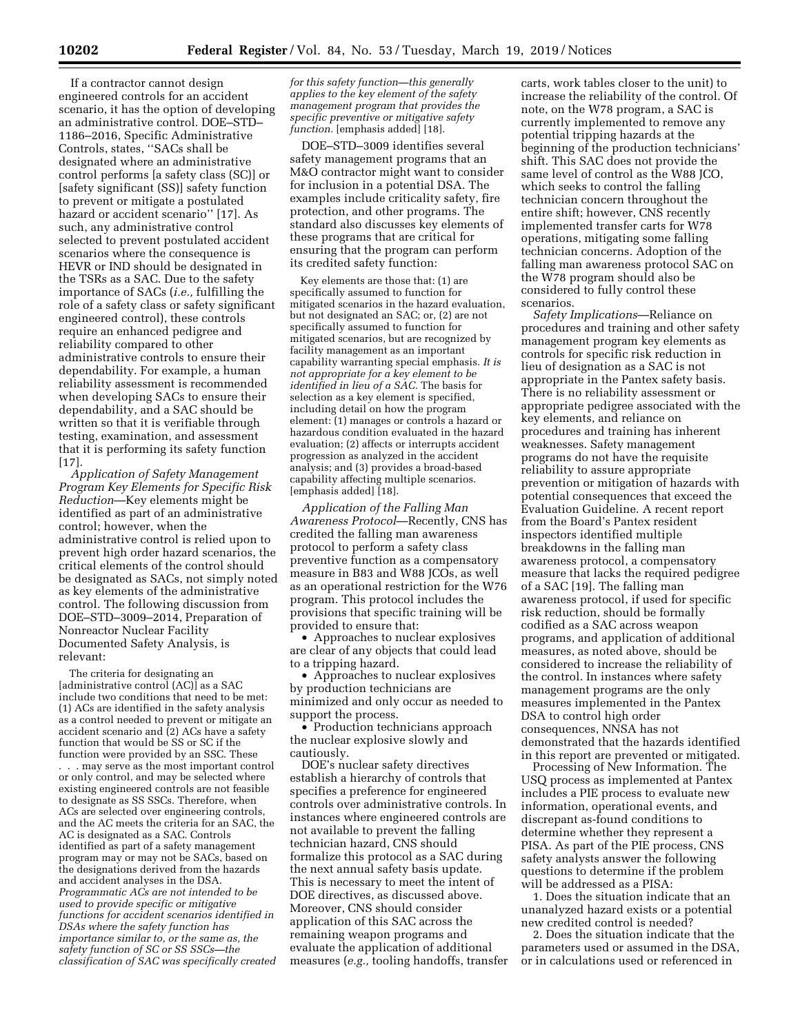If a contractor cannot design engineered controls for an accident scenario, it has the option of developing an administrative control. DOE–STD– 1186–2016, Specific Administrative Controls, states, ''SACs shall be designated where an administrative control performs [a safety class (SC)] or [safety significant (SS)] safety function to prevent or mitigate a postulated hazard or accident scenario'' [17]. As such, any administrative control selected to prevent postulated accident scenarios where the consequence is HEVR or IND should be designated in the TSRs as a SAC. Due to the safety importance of SACs (*i.e.,* fulfilling the role of a safety class or safety significant engineered control), these controls require an enhanced pedigree and reliability compared to other administrative controls to ensure their dependability. For example, a human reliability assessment is recommended when developing SACs to ensure their dependability, and a SAC should be written so that it is verifiable through testing, examination, and assessment that it is performing its safety function [17].

*Application of Safety Management Program Key Elements for Specific Risk Reduction*—Key elements might be identified as part of an administrative control; however, when the administrative control is relied upon to prevent high order hazard scenarios, the critical elements of the control should be designated as SACs, not simply noted as key elements of the administrative control. The following discussion from DOE–STD–3009–2014, Preparation of Nonreactor Nuclear Facility Documented Safety Analysis, is relevant:

The criteria for designating an [administrative control (AC)] as a SAC include two conditions that need to be met: (1) ACs are identified in the safety analysis as a control needed to prevent or mitigate an accident scenario and (2) ACs have a safety function that would be SS or SC if the function were provided by an SSC. These . . . may serve as the most important control or only control, and may be selected where existing engineered controls are not feasible to designate as SS SSCs. Therefore, when ACs are selected over engineering controls, and the AC meets the criteria for an SAC, the AC is designated as a SAC. Controls identified as part of a safety management program may or may not be SACs, based on the designations derived from the hazards and accident analyses in the DSA. *Programmatic ACs are not intended to be used to provide specific or mitigative functions for accident scenarios identified in DSAs where the safety function has importance similar to, or the same as, the safety function of SC or SS SSCs—the classification of SAC was specifically created* 

*for this safety function—this generally applies to the key element of the safety management program that provides the specific preventive or mitigative safety function.* [emphasis added] [18].

DOE–STD–3009 identifies several safety management programs that an M&O contractor might want to consider for inclusion in a potential DSA. The examples include criticality safety, fire protection, and other programs. The standard also discusses key elements of these programs that are critical for ensuring that the program can perform its credited safety function:

Key elements are those that: (1) are specifically assumed to function for mitigated scenarios in the hazard evaluation, but not designated an SAC; or, (2) are not specifically assumed to function for mitigated scenarios, but are recognized by facility management as an important capability warranting special emphasis. *It is not appropriate for a key element to be identified in lieu of a SAC.* The basis for selection as a key element is specified, including detail on how the program element: (1) manages or controls a hazard or hazardous condition evaluated in the hazard evaluation; (2) affects or interrupts accident progression as analyzed in the accident analysis; and (3) provides a broad-based capability affecting multiple scenarios. [emphasis added] [18].

*Application of the Falling Man Awareness Protocol*—Recently, CNS has credited the falling man awareness protocol to perform a safety class preventive function as a compensatory measure in B83 and W88 JCOs, as well as an operational restriction for the W76 program. This protocol includes the provisions that specific training will be provided to ensure that:

• Approaches to nuclear explosives are clear of any objects that could lead to a tripping hazard.

• Approaches to nuclear explosives by production technicians are minimized and only occur as needed to support the process.

• Production technicians approach the nuclear explosive slowly and cautiously.

DOE's nuclear safety directives establish a hierarchy of controls that specifies a preference for engineered controls over administrative controls. In instances where engineered controls are not available to prevent the falling technician hazard, CNS should formalize this protocol as a SAC during the next annual safety basis update. This is necessary to meet the intent of DOE directives, as discussed above. Moreover, CNS should consider application of this SAC across the remaining weapon programs and evaluate the application of additional measures (*e.g.,* tooling handoffs, transfer

carts, work tables closer to the unit) to increase the reliability of the control. Of note, on the W78 program, a SAC is currently implemented to remove any potential tripping hazards at the beginning of the production technicians' shift. This SAC does not provide the same level of control as the W88 JCO, which seeks to control the falling technician concern throughout the entire shift; however, CNS recently implemented transfer carts for W78 operations, mitigating some falling technician concerns. Adoption of the falling man awareness protocol SAC on the W78 program should also be considered to fully control these scenarios.

*Safety Implications*—Reliance on procedures and training and other safety management program key elements as controls for specific risk reduction in lieu of designation as a SAC is not appropriate in the Pantex safety basis. There is no reliability assessment or appropriate pedigree associated with the key elements, and reliance on procedures and training has inherent weaknesses. Safety management programs do not have the requisite reliability to assure appropriate prevention or mitigation of hazards with potential consequences that exceed the Evaluation Guideline. A recent report from the Board's Pantex resident inspectors identified multiple breakdowns in the falling man awareness protocol, a compensatory measure that lacks the required pedigree of a SAC [19]. The falling man awareness protocol, if used for specific risk reduction, should be formally codified as a SAC across weapon programs, and application of additional measures, as noted above, should be considered to increase the reliability of the control. In instances where safety management programs are the only measures implemented in the Pantex DSA to control high order consequences, NNSA has not demonstrated that the hazards identified in this report are prevented or mitigated.

Processing of New Information. The USQ process as implemented at Pantex includes a PIE process to evaluate new information, operational events, and discrepant as-found conditions to determine whether they represent a PISA. As part of the PIE process, CNS safety analysts answer the following questions to determine if the problem will be addressed as a PISA:

1. Does the situation indicate that an unanalyzed hazard exists or a potential new credited control is needed?

2. Does the situation indicate that the parameters used or assumed in the DSA, or in calculations used or referenced in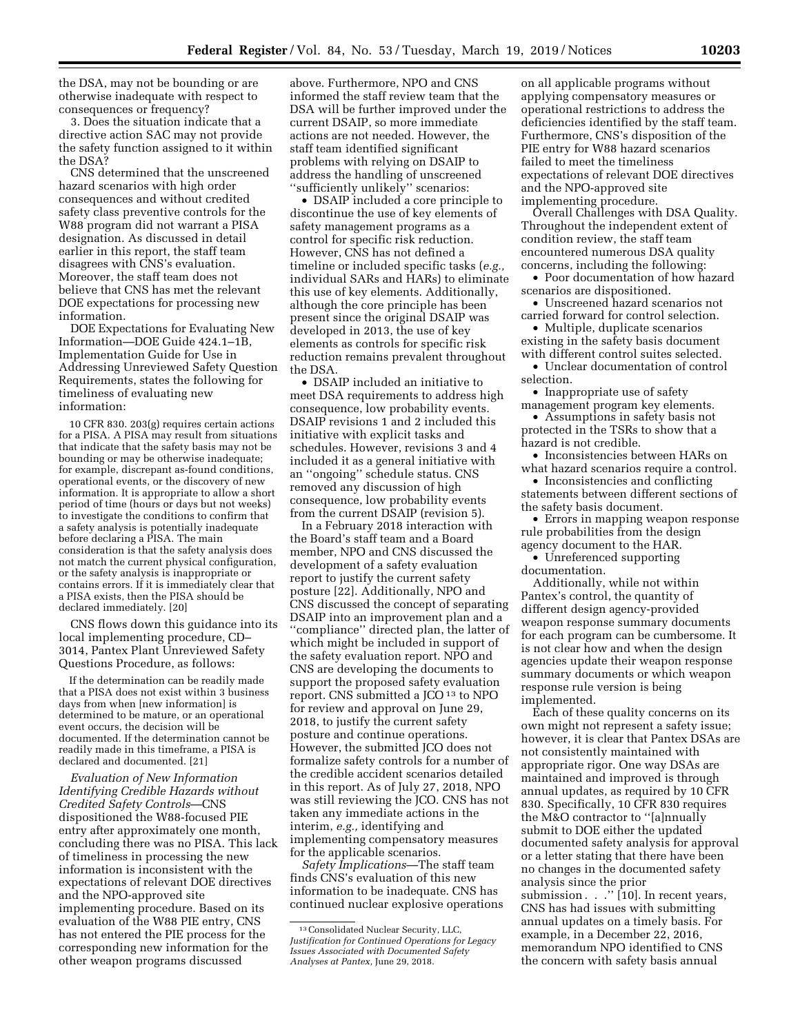the DSA, may not be bounding or are otherwise inadequate with respect to consequences or frequency?

3. Does the situation indicate that a directive action SAC may not provide the safety function assigned to it within the DSA?

CNS determined that the unscreened hazard scenarios with high order consequences and without credited safety class preventive controls for the W88 program did not warrant a PISA designation. As discussed in detail earlier in this report, the staff team disagrees with CNS's evaluation. Moreover, the staff team does not believe that CNS has met the relevant DOE expectations for processing new information.

DOE Expectations for Evaluating New Information—DOE Guide 424.1–1B, Implementation Guide for Use in Addressing Unreviewed Safety Question Requirements, states the following for timeliness of evaluating new information:

10 CFR 830. 203(g) requires certain actions for a PISA. A PISA may result from situations that indicate that the safety basis may not be bounding or may be otherwise inadequate; for example, discrepant as-found conditions, operational events, or the discovery of new information. It is appropriate to allow a short period of time (hours or days but not weeks) to investigate the conditions to confirm that a safety analysis is potentially inadequate before declaring a PISA. The main consideration is that the safety analysis does not match the current physical configuration, or the safety analysis is inappropriate or contains errors. If it is immediately clear that a PISA exists, then the PISA should be declared immediately. [20]

CNS flows down this guidance into its local implementing procedure, CD– 3014, Pantex Plant Unreviewed Safety Questions Procedure, as follows:

If the determination can be readily made that a PISA does not exist within 3 business days from when [new information] is determined to be mature, or an operational event occurs, the decision will be documented. If the determination cannot be readily made in this timeframe, a PISA is declared and documented. [21]

*Evaluation of New Information Identifying Credible Hazards without Credited Safety Controls*—CNS dispositioned the W88-focused PIE entry after approximately one month, concluding there was no PISA. This lack of timeliness in processing the new information is inconsistent with the expectations of relevant DOE directives and the NPO-approved site implementing procedure. Based on its evaluation of the W88 PIE entry, CNS has not entered the PIE process for the corresponding new information for the other weapon programs discussed

above. Furthermore, NPO and CNS informed the staff review team that the DSA will be further improved under the current DSAIP, so more immediate actions are not needed. However, the staff team identified significant problems with relying on DSAIP to address the handling of unscreened ''sufficiently unlikely'' scenarios:

• DSAIP included a core principle to discontinue the use of key elements of safety management programs as a control for specific risk reduction. However, CNS has not defined a timeline or included specific tasks (*e.g.,*  individual SARs and HARs) to eliminate this use of key elements. Additionally, although the core principle has been present since the original DSAIP was developed in 2013, the use of key elements as controls for specific risk reduction remains prevalent throughout the DSA.

• DSAIP included an initiative to meet DSA requirements to address high consequence, low probability events. DSAIP revisions 1 and 2 included this initiative with explicit tasks and schedules. However, revisions 3 and 4 included it as a general initiative with an ''ongoing'' schedule status. CNS removed any discussion of high consequence, low probability events from the current DSAIP (revision 5).

In a February 2018 interaction with the Board's staff team and a Board member, NPO and CNS discussed the development of a safety evaluation report to justify the current safety posture [22]. Additionally, NPO and CNS discussed the concept of separating DSAIP into an improvement plan and a ''compliance'' directed plan, the latter of which might be included in support of the safety evaluation report. NPO and CNS are developing the documents to support the proposed safety evaluation report. CNS submitted a JCO 13 to NPO for review and approval on June 29, 2018, to justify the current safety posture and continue operations. However, the submitted JCO does not formalize safety controls for a number of the credible accident scenarios detailed in this report. As of July 27, 2018, NPO was still reviewing the JCO. CNS has not taken any immediate actions in the interim, *e.g.,* identifying and implementing compensatory measures for the applicable scenarios.

*Safety Implications*—The staff team finds CNS's evaluation of this new information to be inadequate. CNS has continued nuclear explosive operations

on all applicable programs without applying compensatory measures or operational restrictions to address the deficiencies identified by the staff team. Furthermore, CNS's disposition of the PIE entry for W88 hazard scenarios failed to meet the timeliness expectations of relevant DOE directives and the NPO-approved site implementing procedure.

Overall Challenges with DSA Quality. Throughout the independent extent of condition review, the staff team encountered numerous DSA quality concerns, including the following:

• Poor documentation of how hazard scenarios are dispositioned.

• Unscreened hazard scenarios not carried forward for control selection.

• Multiple, duplicate scenarios existing in the safety basis document with different control suites selected.

• Unclear documentation of control selection.

• Inappropriate use of safety management program key elements.

• Assumptions in safety basis not protected in the TSRs to show that a hazard is not credible.

• Inconsistencies between HARs on what hazard scenarios require a control.

• Inconsistencies and conflicting statements between different sections of the safety basis document.

• Errors in mapping weapon response rule probabilities from the design agency document to the HAR.

• Unreferenced supporting documentation.

Additionally, while not within Pantex's control, the quantity of different design agency-provided weapon response summary documents for each program can be cumbersome. It is not clear how and when the design agencies update their weapon response summary documents or which weapon response rule version is being implemented.

Each of these quality concerns on its own might not represent a safety issue; however, it is clear that Pantex DSAs are not consistently maintained with appropriate rigor. One way DSAs are maintained and improved is through annual updates, as required by 10 CFR 830. Specifically, 10 CFR 830 requires the M&O contractor to ''[a]nnually submit to DOE either the updated documented safety analysis for approval or a letter stating that there have been no changes in the documented safety analysis since the prior submission . . ." [10]. In recent years, CNS has had issues with submitting annual updates on a timely basis. For example, in a December 22, 2016, memorandum NPO identified to CNS the concern with safety basis annual

<sup>13</sup>Consolidated Nuclear Security, LLC, *Justification for Continued Operations for Legacy Issues Associated with Documented Safety Analyses at Pantex,* June 29, 2018.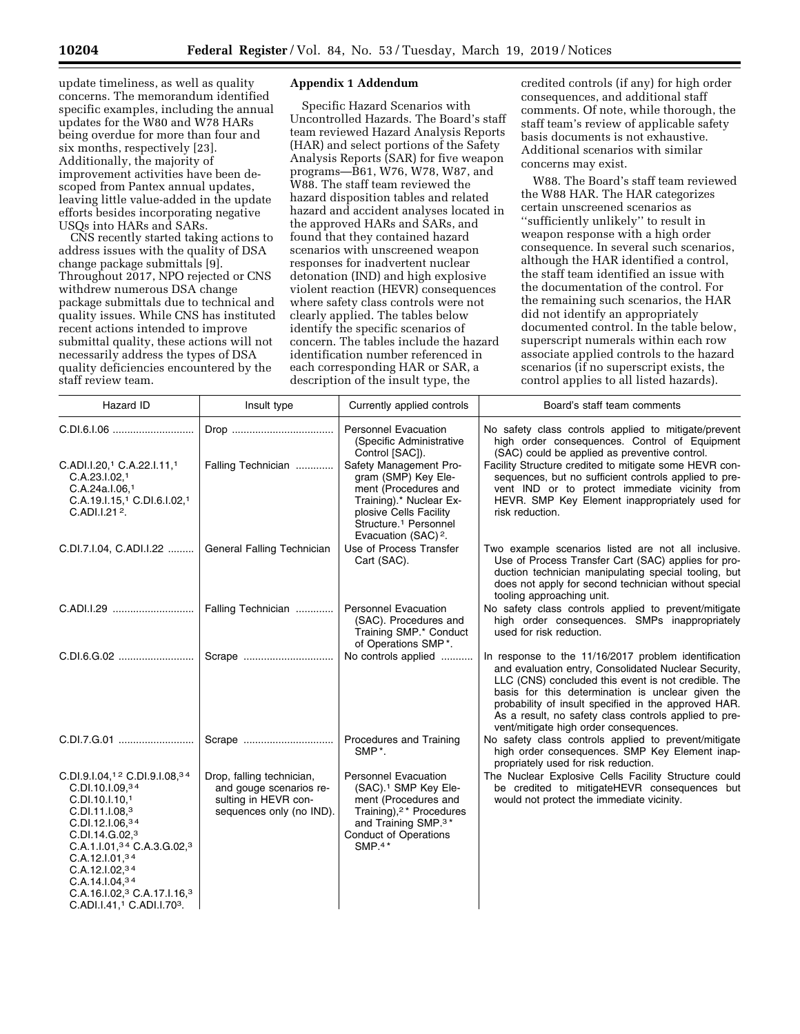update timeliness, as well as quality concerns. The memorandum identified specific examples, including the annual updates for the W80 and W78 HARs being overdue for more than four and six months, respectively [23]. Additionally, the majority of improvement activities have been descoped from Pantex annual updates, leaving little value-added in the update efforts besides incorporating negative USQs into HARs and SARs.

CNS recently started taking actions to address issues with the quality of DSA change package submittals [9]. Throughout 2017, NPO rejected or CNS withdrew numerous DSA change package submittals due to technical and quality issues. While CNS has instituted recent actions intended to improve submittal quality, these actions will not necessarily address the types of DSA quality deficiencies encountered by the staff review team.

### **Appendix 1 Addendum**

Specific Hazard Scenarios with Uncontrolled Hazards. The Board's staff team reviewed Hazard Analysis Reports (HAR) and select portions of the Safety Analysis Reports (SAR) for five weapon programs—B61, W76, W78, W87, and W88. The staff team reviewed the hazard disposition tables and related hazard and accident analyses located in the approved HARs and SARs, and found that they contained hazard scenarios with unscreened weapon responses for inadvertent nuclear detonation (IND) and high explosive violent reaction (HEVR) consequences where safety class controls were not clearly applied. The tables below identify the specific scenarios of concern. The tables include the hazard identification number referenced in each corresponding HAR or SAR, a description of the insult type, the

credited controls (if any) for high order consequences, and additional staff comments. Of note, while thorough, the staff team's review of applicable safety basis documents is not exhaustive. Additional scenarios with similar concerns may exist.

W88. The Board's staff team reviewed the W88 HAR. The HAR categorizes certain unscreened scenarios as ''sufficiently unlikely'' to result in weapon response with a high order consequence. In several such scenarios, although the HAR identified a control, the staff team identified an issue with the documentation of the control. For the remaining such scenarios, the HAR did not identify an appropriately documented control. In the table below, superscript numerals within each row associate applied controls to the hazard scenarios (if no superscript exists, the control applies to all listed hazards).

| Hazard ID                                                                                                                                                                                                                                                                                                                                                                                                 | Insult type                                                                                              | Currently applied controls                                                                                                                                                                                      | Board's staff team comments                                                                                                                                                                                                                                                                                                                                                         |
|-----------------------------------------------------------------------------------------------------------------------------------------------------------------------------------------------------------------------------------------------------------------------------------------------------------------------------------------------------------------------------------------------------------|----------------------------------------------------------------------------------------------------------|-----------------------------------------------------------------------------------------------------------------------------------------------------------------------------------------------------------------|-------------------------------------------------------------------------------------------------------------------------------------------------------------------------------------------------------------------------------------------------------------------------------------------------------------------------------------------------------------------------------------|
| C.DI.6.1.06                                                                                                                                                                                                                                                                                                                                                                                               |                                                                                                          | <b>Personnel Evacuation</b><br>(Specific Administrative<br>Control [SAC]).                                                                                                                                      | No safety class controls applied to mitigate/prevent<br>high order consequences. Control of Equipment<br>(SAC) could be applied as preventive control.                                                                                                                                                                                                                              |
| C.ADI.I.20,1 C.A.22.I.11,1<br>C.A.23.I.02.1<br>C.A.24a.I.06,1<br>C.A.19.I.15,1 C.DI.6.I.02,1<br>C.ADI.I.212.                                                                                                                                                                                                                                                                                              | Falling Technician                                                                                       | Safety Management Pro-<br>gram (SMP) Key Ele-<br>ment (Procedures and<br>Training).* Nuclear Ex-<br>plosive Cells Facility<br>Structure. <sup>1</sup> Personnel<br>Evacuation (SAC) <sup>2</sup> .              | Facility Structure credited to mitigate some HEVR con-<br>sequences, but no sufficient controls applied to pre-<br>vent IND or to protect immediate vicinity from<br>HEVR. SMP Key Element inappropriately used for<br>risk reduction.                                                                                                                                              |
| C.DI.7.I.04, C.ADI.I.22  General Falling Technician                                                                                                                                                                                                                                                                                                                                                       |                                                                                                          | Use of Process Transfer<br>Cart (SAC).                                                                                                                                                                          | Two example scenarios listed are not all inclusive.<br>Use of Process Transfer Cart (SAC) applies for pro-<br>duction technician manipulating special tooling, but<br>does not apply for second technician without special<br>tooling approaching unit.                                                                                                                             |
|                                                                                                                                                                                                                                                                                                                                                                                                           | Falling Technician                                                                                       | <b>Personnel Evacuation</b><br>(SAC). Procedures and<br>Training SMP.* Conduct<br>of Operations SMP*.                                                                                                           | No safety class controls applied to prevent/mitigate<br>high order consequences. SMPs inappropriately<br>used for risk reduction.                                                                                                                                                                                                                                                   |
| C.DI.6.G.02                                                                                                                                                                                                                                                                                                                                                                                               | Scrape                                                                                                   | No controls applied                                                                                                                                                                                             | In response to the 11/16/2017 problem identification<br>and evaluation entry, Consolidated Nuclear Security,<br>LLC (CNS) concluded this event is not credible. The<br>basis for this determination is unclear given the<br>probability of insult specified in the approved HAR.<br>As a result, no safety class controls applied to pre-<br>vent/mitigate high order consequences. |
|                                                                                                                                                                                                                                                                                                                                                                                                           |                                                                                                          | Procedures and Training<br>SMP <sup>*</sup> .                                                                                                                                                                   | No safety class controls applied to prevent/mitigate<br>high order consequences. SMP Key Element inap-<br>propriately used for risk reduction.                                                                                                                                                                                                                                      |
| C.DI.9.I.04, <sup>12</sup> C.DI.9.I.08, <sup>34</sup><br>C.DI.10.I.09, 34<br>C.DI.10.I.10. <sup>1</sup><br>C.D.11.1.08 <sup>3</sup><br>C.D.12.1.06 <sup>34</sup><br>C.DI.14.G.02,3<br>$C.A.1.1.0134 C.A.3.G.023$<br>C.A.12.1.01 <sup>34</sup><br>C.A.12.1.02,34<br>C.A.14.1.04 <sup>34</sup><br>C.A.16.1.02, <sup>3</sup> C.A.17.1.16, <sup>3</sup><br>C.ADI.I.41, <sup>1</sup> C.ADI.I.70 <sup>3</sup> . | Drop, falling technician,<br>and gouge scenarios re-<br>sulting in HEVR con-<br>sequences only (no IND). | <b>Personnel Evacuation</b><br>(SAC). <sup>1</sup> SMP Key Ele-<br>ment (Procedures and<br>Training), <sup>2</sup> * Procedures<br>and Training SMP. <sup>3*</sup><br><b>Conduct of Operations</b><br>SMP. $4*$ | The Nuclear Explosive Cells Facility Structure could<br>be credited to mitigateHEVR consequences but<br>would not protect the immediate vicinity.                                                                                                                                                                                                                                   |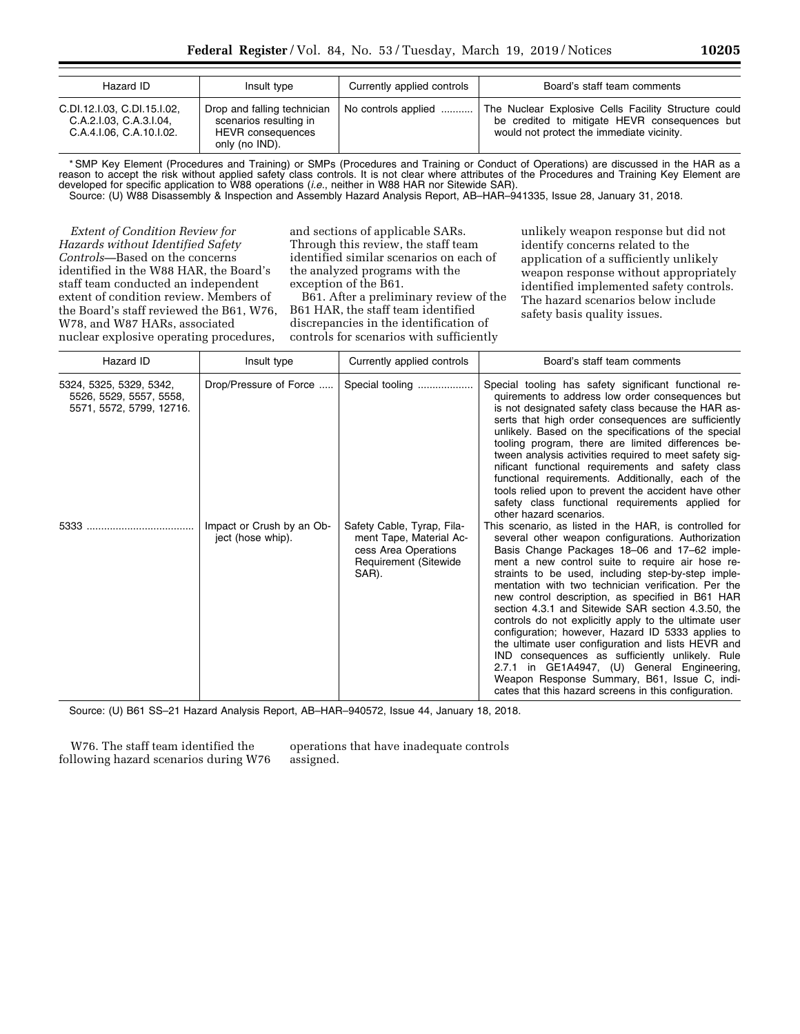| Hazard ID                                                                          | Insult type                                                                                         | Currently applied controls | Board's staff team comments                                                                                                                        |  |
|------------------------------------------------------------------------------------|-----------------------------------------------------------------------------------------------------|----------------------------|----------------------------------------------------------------------------------------------------------------------------------------------------|--|
| C.DI.12.I.03, C.DI.15.I.02,<br>C.A.2.1.03. C.A.3.1.04.<br>C.A.4.I.06, C.A.10.I.02. | Drop and falling technician<br>scenarios resulting in<br><b>HEVR</b> consequences<br>only (no IND). | No controls applied        | The Nuclear Explosive Cells Facility Structure could<br>be credited to mitigate HEVR consequences but<br>would not protect the immediate vicinity. |  |

\* SMP Key Element (Procedures and Training) or SMPs (Procedures and Training or Conduct of Operations) are discussed in the HAR as a reason to accept the risk without applied safety class controls. It is not clear where attributes of the Procedures and Training Key Element are developed for specific application to W88 operations (*i.e.*, neither in W88 HAR nor Sitewide SAR).

Source: (U) W88 Disassembly & Inspection and Assembly Hazard Analysis Report, AB–HAR–941335, Issue 28, January 31, 2018.

*Extent of Condition Review for Hazards without Identified Safety Controls—*Based on the concerns identified in the W88 HAR, the Board's staff team conducted an independent extent of condition review. Members of the Board's staff reviewed the B61, W76, W78, and W87 HARs, associated nuclear explosive operating procedures,

and sections of applicable SARs. Through this review, the staff team identified similar scenarios on each of the analyzed programs with the exception of the B61.

B61. After a preliminary review of the B61 HAR, the staff team identified discrepancies in the identification of controls for scenarios with sufficiently

unlikely weapon response but did not identify concerns related to the application of a sufficiently unlikely weapon response without appropriately identified implemented safety controls. The hazard scenarios below include safety basis quality issues.

| Hazard ID                                                                      | Insult type                                    | Currently applied controls                                                                                             | Board's staff team comments                                                                                                                                                                                                                                                                                                                                                                                                                                                                                                                                                                                                                                                                                                                                                                                            |
|--------------------------------------------------------------------------------|------------------------------------------------|------------------------------------------------------------------------------------------------------------------------|------------------------------------------------------------------------------------------------------------------------------------------------------------------------------------------------------------------------------------------------------------------------------------------------------------------------------------------------------------------------------------------------------------------------------------------------------------------------------------------------------------------------------------------------------------------------------------------------------------------------------------------------------------------------------------------------------------------------------------------------------------------------------------------------------------------------|
| 5324, 5325, 5329, 5342,<br>5526, 5529, 5557, 5558,<br>5571, 5572, 5799, 12716. | Drop/Pressure of Force                         | Special tooling                                                                                                        | Special tooling has safety significant functional re-<br>quirements to address low order consequences but<br>is not designated safety class because the HAR as-<br>serts that high order consequences are sufficiently<br>unlikely. Based on the specifications of the special<br>tooling program, there are limited differences be-<br>tween analysis activities required to meet safety sig-<br>nificant functional requirements and safety class<br>functional requirements. Additionally, each of the<br>tools relied upon to prevent the accident have other<br>safety class functional requirements applied for<br>other hazard scenarios.                                                                                                                                                                       |
| 5333                                                                           | Impact or Crush by an Ob-<br>ject (hose whip). | Safety Cable, Tyrap, Fila-<br>ment Tape, Material Ac-<br>cess Area Operations<br><b>Requirement (Sitewide</b><br>SAR). | This scenario, as listed in the HAR, is controlled for<br>several other weapon configurations. Authorization<br>Basis Change Packages 18-06 and 17-62 imple-<br>ment a new control suite to require air hose re-<br>straints to be used, including step-by-step imple-<br>mentation with two technician verification. Per the<br>new control description, as specified in B61 HAR<br>section 4.3.1 and Sitewide SAR section 4.3.50, the<br>controls do not explicitly apply to the ultimate user<br>configuration; however, Hazard ID 5333 applies to<br>the ultimate user configuration and lists HEVR and<br>IND consequences as sufficiently unlikely. Rule<br>2.7.1 in GE1A4947, (U) General Engineering,<br>Weapon Response Summary, B61, Issue C, indi-<br>cates that this hazard screens in this configuration. |

Source: (U) B61 SS–21 Hazard Analysis Report, AB–HAR–940572, Issue 44, January 18, 2018.

W76. The staff team identified the following hazard scenarios during W76 operations that have inadequate controls assigned.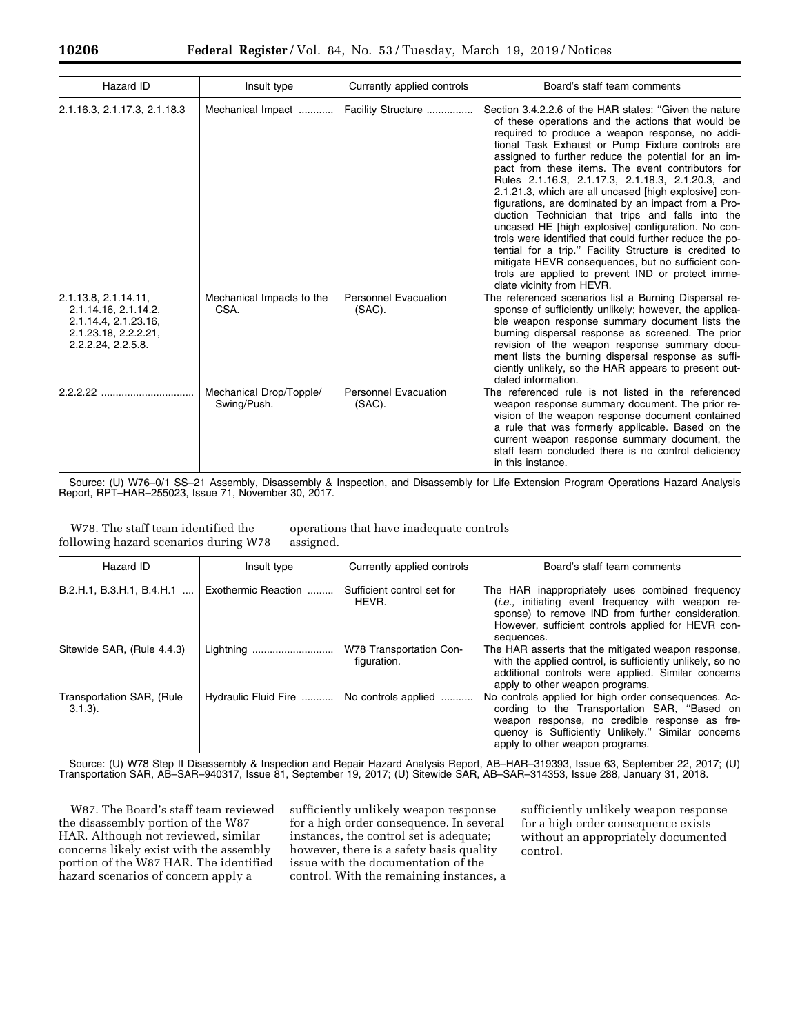| Hazard ID                                                                                                          | Insult type                            | Currently applied controls            | Board's staff team comments                                                                                                                                                                                                                                                                                                                                                                                                                                                                                                                                                                                                                                                                                                                                                                                                                                                |
|--------------------------------------------------------------------------------------------------------------------|----------------------------------------|---------------------------------------|----------------------------------------------------------------------------------------------------------------------------------------------------------------------------------------------------------------------------------------------------------------------------------------------------------------------------------------------------------------------------------------------------------------------------------------------------------------------------------------------------------------------------------------------------------------------------------------------------------------------------------------------------------------------------------------------------------------------------------------------------------------------------------------------------------------------------------------------------------------------------|
| 2.1.16.3, 2.1.17.3, 2.1.18.3                                                                                       | Mechanical Impact                      | Facility Structure                    | Section 3.4.2.2.6 of the HAR states: "Given the nature<br>of these operations and the actions that would be<br>required to produce a weapon response, no addi-<br>tional Task Exhaust or Pump Fixture controls are<br>assigned to further reduce the potential for an im-<br>pact from these items. The event contributors for<br>Rules 2.1.16.3, 2.1.17.3, 2.1.18.3, 2.1.20.3, and<br>2.1.21.3, which are all uncased [high explosive] con-<br>figurations, are dominated by an impact from a Pro-<br>duction Technician that trips and falls into the<br>uncased HE [high explosive] configuration. No con-<br>trols were identified that could further reduce the po-<br>tential for a trip." Facility Structure is credited to<br>mitigate HEVR consequences, but no sufficient con-<br>trols are applied to prevent IND or protect imme-<br>diate vicinity from HEVR. |
| 2.1.13.8, 2.1.14.11,<br>2.1.14.16, 2.1.14.2,<br>2.1.14.4, 2.1.23.16,<br>2.1.23.18, 2.2.2.21,<br>2.2.2.24, 2.2.5.8. | Mechanical Impacts to the<br>CSA.      | <b>Personnel Evacuation</b><br>(SAC). | The referenced scenarios list a Burning Dispersal re-<br>sponse of sufficiently unlikely; however, the applica-<br>ble weapon response summary document lists the<br>burning dispersal response as screened. The prior<br>revision of the weapon response summary docu-<br>ment lists the burning dispersal response as suffi-<br>ciently unlikely, so the HAR appears to present out-<br>dated information.                                                                                                                                                                                                                                                                                                                                                                                                                                                               |
|                                                                                                                    | Mechanical Drop/Topple/<br>Swing/Push. | <b>Personnel Evacuation</b><br>(SAC). | The referenced rule is not listed in the referenced<br>weapon response summary document. The prior re-<br>vision of the weapon response document contained<br>a rule that was formerly applicable. Based on the<br>current weapon response summary document, the<br>staff team concluded there is no control deficiency<br>in this instance.                                                                                                                                                                                                                                                                                                                                                                                                                                                                                                                               |

Source: (U) W76–0/1 SS–21 Assembly, Disassembly & Inspection, and Disassembly for Life Extension Program Operations Hazard Analysis Report, RPT–HAR–255023, Issue 71, November 30, 2017.

W78. The staff team identified the following hazard scenarios during W78

operations that have inadequate controls assigned.

| Hazard ID                               | Insult type          | Currently applied controls             | Board's staff team comments                                                                                                                                                                                                                    |  |  |
|-----------------------------------------|----------------------|----------------------------------------|------------------------------------------------------------------------------------------------------------------------------------------------------------------------------------------------------------------------------------------------|--|--|
| B.2.H.1, B.3.H.1, B.4.H.1               | Exothermic Reaction  | Sufficient control set for<br>HEVR.    | The HAR inappropriately uses combined frequency<br><i>(i.e.,</i> initiating event frequency with weapon re-<br>sponse) to remove IND from further consideration.<br>However, sufficient controls applied for HEVR con-<br>sequences.           |  |  |
| Sitewide SAR, (Rule 4.4.3)              | Lightning            | W78 Transportation Con-<br>figuration. | The HAR asserts that the mitigated weapon response,<br>with the applied control, is sufficiently unlikely, so no<br>additional controls were applied. Similar concerns<br>apply to other weapon programs.                                      |  |  |
| Transportation SAR, (Rule<br>$3.1.3$ ). | Hydraulic Fluid Fire | No controls applied                    | No controls applied for high order consequences. Ac-<br>cording to the Transportation SAR, "Based on<br>weapon response, no credible response as fre-<br>quency is Sufficiently Unlikely." Similar concerns<br>apply to other weapon programs. |  |  |

Source: (U) W78 Step II Disassembly & Inspection and Repair Hazard Analysis Report, AB–HAR–319393, Issue 63, September 22, 2017; (U) Transportation SAR, AB–SAR–940317, Issue 81, September 19, 2017; (U) Sitewide SAR, AB–SAR–314353, Issue 288, January 31, 2018.

W87. The Board's staff team reviewed the disassembly portion of the W87 HAR. Although not reviewed, similar concerns likely exist with the assembly portion of the W87 HAR. The identified hazard scenarios of concern apply a

sufficiently unlikely weapon response for a high order consequence. In several instances, the control set is adequate; however, there is a safety basis quality issue with the documentation of the control. With the remaining instances, a sufficiently unlikely weapon response for a high order consequence exists without an appropriately documented control.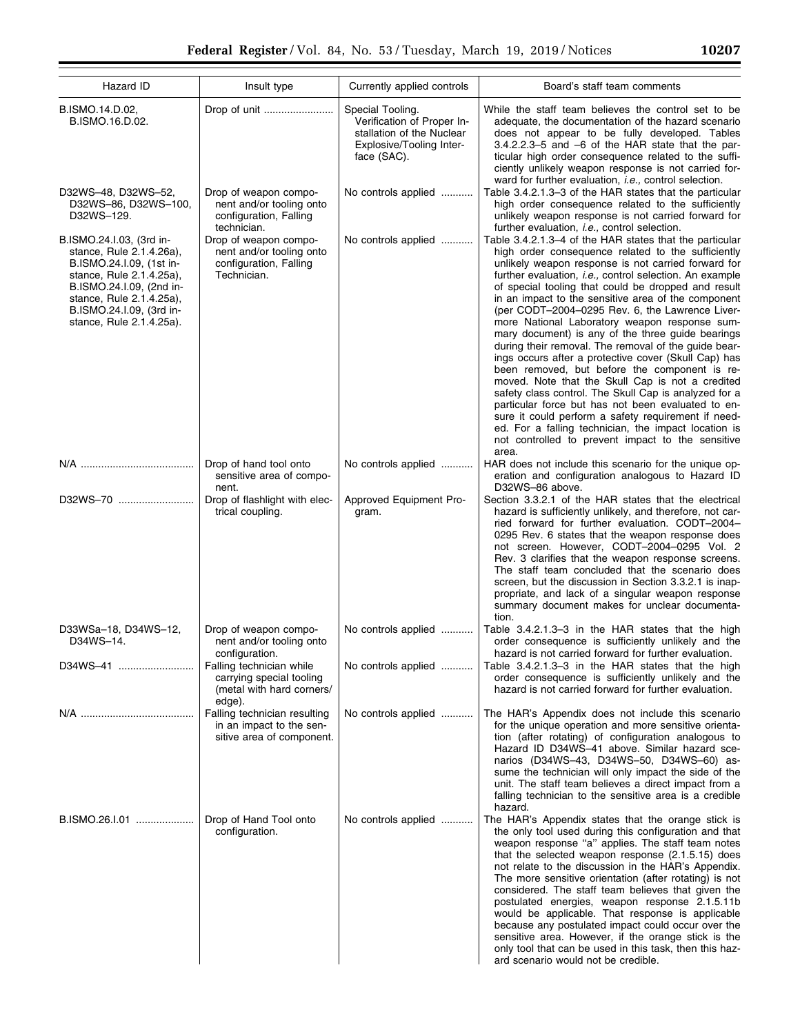| Hazard ID                                                                                                                                                                                                                    | Insult type                                                                                 | Currently applied controls                                                                                             | Board's staff team comments                                                                                                                                                                                                                                                                                                                                                                                                                                                                                                                                                                                                                                                                                                                                                                                                                                                                                                                                                                                                     |
|------------------------------------------------------------------------------------------------------------------------------------------------------------------------------------------------------------------------------|---------------------------------------------------------------------------------------------|------------------------------------------------------------------------------------------------------------------------|---------------------------------------------------------------------------------------------------------------------------------------------------------------------------------------------------------------------------------------------------------------------------------------------------------------------------------------------------------------------------------------------------------------------------------------------------------------------------------------------------------------------------------------------------------------------------------------------------------------------------------------------------------------------------------------------------------------------------------------------------------------------------------------------------------------------------------------------------------------------------------------------------------------------------------------------------------------------------------------------------------------------------------|
| B.ISMO.14.D.02,<br>B.ISMO.16.D.02.                                                                                                                                                                                           |                                                                                             | Special Tooling.<br>Verification of Proper In-<br>stallation of the Nuclear<br>Explosive/Tooling Inter-<br>face (SAC). | While the staff team believes the control set to be<br>adequate, the documentation of the hazard scenario<br>does not appear to be fully developed. Tables<br>$3.4.2.2.3 - 5$ and $-6$ of the HAR state that the par-<br>ticular high order consequence related to the suffi-<br>ciently unlikely weapon response is not carried for-                                                                                                                                                                                                                                                                                                                                                                                                                                                                                                                                                                                                                                                                                           |
| D32WS-48, D32WS-52,<br>D32WS-86, D32WS-100,<br>D32WS-129.                                                                                                                                                                    | Drop of weapon compo-<br>nent and/or tooling onto<br>configuration, Falling<br>technician.  | No controls applied                                                                                                    | ward for further evaluation, <i>i.e.</i> , control selection.<br>Table 3.4.2.1.3–3 of the HAR states that the particular<br>high order consequence related to the sufficiently<br>unlikely weapon response is not carried forward for<br>further evaluation, i.e., control selection.                                                                                                                                                                                                                                                                                                                                                                                                                                                                                                                                                                                                                                                                                                                                           |
| B.ISMO.24.I.03, (3rd in-<br>stance, Rule 2.1.4.26a),<br>B.ISMO.24.I.09, (1st in-<br>stance, Rule 2.1.4.25a),<br>B.ISMO.24.I.09, (2nd in-<br>stance, Rule 2.1.4.25a),<br>B.ISMO.24.I.09, (3rd in-<br>stance, Rule 2.1.4.25a). | Drop of weapon compo-<br>nent and/or tooling onto<br>configuration, Falling<br>Technician.  | No controls applied                                                                                                    | Table 3.4.2.1.3–4 of the HAR states that the particular<br>high order consequence related to the sufficiently<br>unlikely weapon response is not carried forward for<br>further evaluation, <i>i.e.</i> , control selection. An example<br>of special tooling that could be dropped and result<br>in an impact to the sensitive area of the component<br>(per CODT-2004-0295 Rev. 6, the Lawrence Liver-<br>more National Laboratory weapon response sum-<br>mary document) is any of the three quide bearings<br>during their removal. The removal of the guide bear-<br>ings occurs after a protective cover (Skull Cap) has<br>been removed, but before the component is re-<br>moved. Note that the Skull Cap is not a credited<br>safety class control. The Skull Cap is analyzed for a<br>particular force but has not been evaluated to en-<br>sure it could perform a safety requirement if need-<br>ed. For a falling technician, the impact location is<br>not controlled to prevent impact to the sensitive<br>area. |
|                                                                                                                                                                                                                              | Drop of hand tool onto<br>sensitive area of compo-<br>nent.                                 | No controls applied                                                                                                    | HAR does not include this scenario for the unique op-<br>eration and configuration analogous to Hazard ID<br>D32WS-86 above.                                                                                                                                                                                                                                                                                                                                                                                                                                                                                                                                                                                                                                                                                                                                                                                                                                                                                                    |
| D32WS-70                                                                                                                                                                                                                     | Drop of flashlight with elec-<br>trical coupling.                                           | Approved Equipment Pro-<br>gram.                                                                                       | Section 3.3.2.1 of the HAR states that the electrical<br>hazard is sufficiently unlikely, and therefore, not car-<br>ried forward for further evaluation. CODT-2004-<br>0295 Rev. 6 states that the weapon response does<br>not screen. However, CODT-2004-0295 Vol. 2<br>Rev. 3 clarifies that the weapon response screens.<br>The staff team concluded that the scenario does<br>screen, but the discussion in Section 3.3.2.1 is inap-<br>propriate, and lack of a singular weapon response<br>summary document makes for unclear documenta-<br>tion.                                                                                                                                                                                                                                                                                                                                                                                                                                                                        |
| D33WSa-18, D34WS-12,<br>D34WS-14.                                                                                                                                                                                            | Drop of weapon compo-<br>nent and/or tooling onto<br>configuration.                         | No controls applied                                                                                                    | Table 3.4.2.1.3–3 in the HAR states that the high<br>order consequence is sufficiently unlikely and the<br>hazard is not carried forward for further evaluation.                                                                                                                                                                                                                                                                                                                                                                                                                                                                                                                                                                                                                                                                                                                                                                                                                                                                |
| D34WS-41                                                                                                                                                                                                                     | Falling technician while<br>carrying special tooling<br>(metal with hard corners/<br>edge). | No controls applied                                                                                                    | Table 3.4.2.1.3–3 in the HAR states that the high<br>order consequence is sufficiently unlikely and the<br>hazard is not carried forward for further evaluation.                                                                                                                                                                                                                                                                                                                                                                                                                                                                                                                                                                                                                                                                                                                                                                                                                                                                |
|                                                                                                                                                                                                                              | Falling technician resulting<br>in an impact to the sen-<br>sitive area of component.       | No controls applied                                                                                                    | The HAR's Appendix does not include this scenario<br>for the unique operation and more sensitive orienta-<br>tion (after rotating) of configuration analogous to<br>Hazard ID D34WS-41 above. Similar hazard sce-<br>narios (D34WS-43, D34WS-50, D34WS-60) as-<br>sume the technician will only impact the side of the<br>unit. The staff team believes a direct impact from a<br>falling technician to the sensitive area is a credible<br>hazard.                                                                                                                                                                                                                                                                                                                                                                                                                                                                                                                                                                             |
| B.ISMO.26.I.01                                                                                                                                                                                                               | Drop of Hand Tool onto<br>configuration.                                                    | No controls applied                                                                                                    | The HAR's Appendix states that the orange stick is<br>the only tool used during this configuration and that<br>weapon response "a" applies. The staff team notes<br>that the selected weapon response (2.1.5.15) does<br>not relate to the discussion in the HAR's Appendix.<br>The more sensitive orientation (after rotating) is not<br>considered. The staff team believes that given the<br>postulated energies, weapon response 2.1.5.11b<br>would be applicable. That response is applicable<br>because any postulated impact could occur over the<br>sensitive area. However, if the orange stick is the<br>only tool that can be used in this task, then this haz-<br>ard scenario would not be credible.                                                                                                                                                                                                                                                                                                               |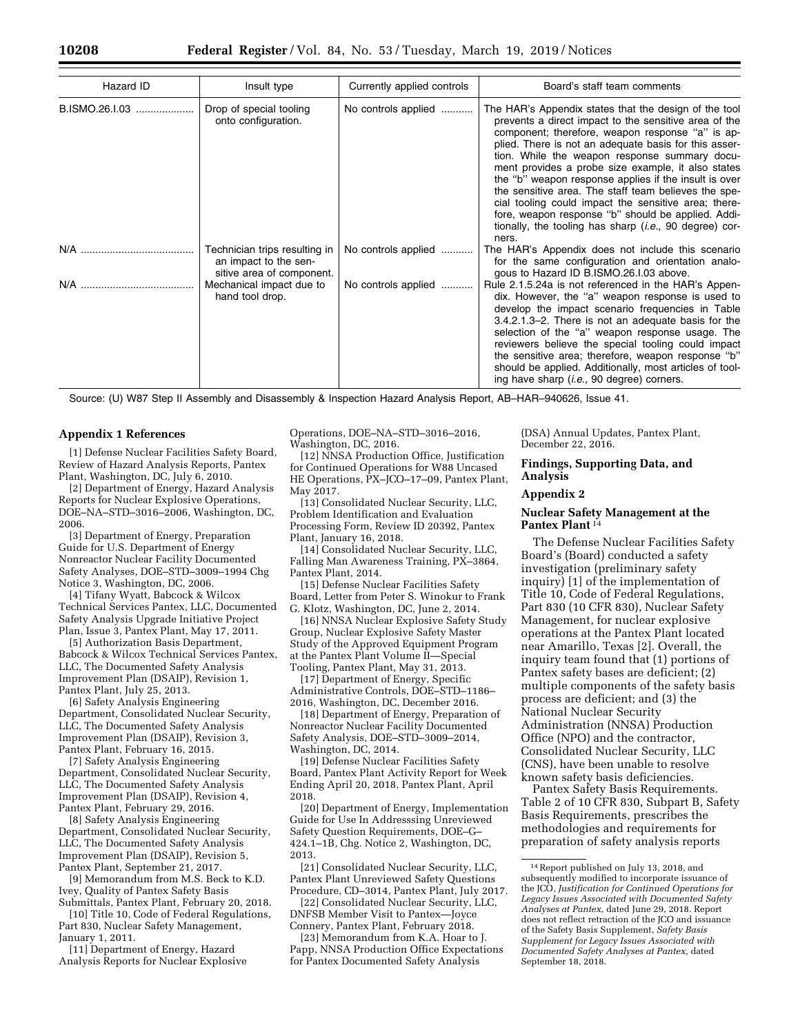| Hazard ID      | Insult type                                                                         | Currently applied controls | Board's staff team comments                                                                                                                                                                                                                                                                                                                                                                                                                                                                                                                                                                                                                  |  |
|----------------|-------------------------------------------------------------------------------------|----------------------------|----------------------------------------------------------------------------------------------------------------------------------------------------------------------------------------------------------------------------------------------------------------------------------------------------------------------------------------------------------------------------------------------------------------------------------------------------------------------------------------------------------------------------------------------------------------------------------------------------------------------------------------------|--|
| B.ISMO.26.I.03 | Drop of special tooling<br>onto configuration.                                      | No controls applied        | The HAR's Appendix states that the design of the tool<br>prevents a direct impact to the sensitive area of the<br>component; therefore, weapon response "a" is ap-<br>plied. There is not an adequate basis for this asser-<br>tion. While the weapon response summary docu-<br>ment provides a probe size example, it also states<br>the "b" weapon response applies if the insult is over<br>the sensitive area. The staff team believes the spe-<br>cial tooling could impact the sensitive area; there-<br>fore, weapon response "b" should be applied. Addi-<br>tionally, the tooling has sharp <i>(i.e.</i> , 90 degree) cor-<br>ners. |  |
|                | Technician trips resulting in<br>an impact to the sen-<br>sitive area of component. | No controls applied        | The HAR's Appendix does not include this scenario<br>for the same configuration and orientation analo-<br>gous to Hazard ID B.ISMO.26.I.03 above.                                                                                                                                                                                                                                                                                                                                                                                                                                                                                            |  |
| N/A            | Mechanical impact due to<br>hand tool drop.                                         | No controls applied        | Rule 2.1.5.24a is not referenced in the HAR's Appen-<br>dix. However, the "a" weapon response is used to<br>develop the impact scenario frequencies in Table<br>3.4.2.1.3–2. There is not an adequate basis for the<br>selection of the "a" weapon response usage. The<br>reviewers believe the special tooling could impact<br>the sensitive area; therefore, weapon response "b"<br>should be applied. Additionally, most articles of tool-<br>ing have sharp ( <i>i.e.</i> , 90 degree) corners.                                                                                                                                          |  |

Source: (U) W87 Step II Assembly and Disassembly & Inspection Hazard Analysis Report, AB–HAR–940626, Issue 41.

#### **Appendix 1 References**

[1] Defense Nuclear Facilities Safety Board, Review of Hazard Analysis Reports, Pantex Plant, Washington, DC, July 6, 2010.

[2] Department of Energy, Hazard Analysis Reports for Nuclear Explosive Operations, DOE–NA–STD–3016–2006, Washington, DC, 2006.

[3] Department of Energy, Preparation Guide for U.S. Department of Energy Nonreactor Nuclear Facility Documented Safety Analyses, DOE–STD–3009–1994 Chg Notice 3, Washington, DC, 2006.

[4] Tifany Wyatt, Babcock & Wilcox Technical Services Pantex, LLC, Documented Safety Analysis Upgrade Initiative Project Plan, Issue 3, Pantex Plant, May 17, 2011.

[5] Authorization Basis Department, Babcock & Wilcox Technical Services Pantex, LLC, The Documented Safety Analysis Improvement Plan (DSAIP), Revision 1, Pantex Plant, July 25, 2013.

[6] Safety Analysis Engineering Department, Consolidated Nuclear Security, LLC, The Documented Safety Analysis Improvement Plan (DSAIP), Revision 3, Pantex Plant, February 16, 2015.

[7] Safety Analysis Engineering Department, Consolidated Nuclear Security, LLC, The Documented Safety Analysis Improvement Plan (DSAIP), Revision 4, Pantex Plant, February 29, 2016.

[8] Safety Analysis Engineering Department, Consolidated Nuclear Security, LLC, The Documented Safety Analysis Improvement Plan (DSAIP), Revision 5, Pantex Plant, September 21, 2017.

[9] Memorandum from M.S. Beck to K.D. Ivey, Quality of Pantex Safety Basis Submittals, Pantex Plant, February 20, 2018.

[10] Title 10, Code of Federal Regulations. Part 830, Nuclear Safety Management, January 1, 2011.

[11] Department of Energy, Hazard Analysis Reports for Nuclear Explosive Operations, DOE–NA–STD–3016–2016, Washington, DC, 2016.

[12] NNSA Production Office, Justification for Continued Operations for W88 Uncased HE Operations,  $\tilde{P}X$ –JCO–17–09, Pantex Plant, May 2017.

[13] Consolidated Nuclear Security, LLC, Problem Identification and Evaluation Processing Form, Review ID 20392, Pantex Plant, January 16, 2018.

[14] Consolidated Nuclear Security, LLC, Falling Man Awareness Training, PX–3864, Pantex Plant, 2014.

[15] Defense Nuclear Facilities Safety Board, Letter from Peter S. Winokur to Frank G. Klotz, Washington, DC, June 2, 2014.

[16] NNSA Nuclear Explosive Safety Study Group, Nuclear Explosive Safety Master Study of the Approved Equipment Program at the Pantex Plant Volume II—Special Tooling, Pantex Plant, May 31, 2013.

[17] Department of Energy, Specific Administrative Controls, DOE–STD–1186– 2016, Washington, DC, December 2016.

[18] Department of Energy, Preparation of Nonreactor Nuclear Facility Documented Safety Analysis, DOE–STD–3009–2014, Washington, DC, 2014.

[19] Defense Nuclear Facilities Safety Board, Pantex Plant Activity Report for Week Ending April 20, 2018, Pantex Plant, April 2018.

[20] Department of Energy, Implementation Guide for Use In Addresssing Unreviewed Safety Question Requirements, DOE–G– 424.1–1B, Chg. Notice 2, Washington, DC, 2013.

[21] Consolidated Nuclear Security, LLC, Pantex Plant Unreviewed Safety Questions Procedure, CD–3014, Pantex Plant, July 2017.

[22] Consolidated Nuclear Security, LLC, DNFSB Member Visit to Pantex—Joyce Connery, Pantex Plant, February 2018.

[23] Memorandum from K.A. Hoar to J. Papp, NNSA Production Office Expectations for Pantex Documented Safety Analysis

(DSA) Annual Updates, Pantex Plant, December 22, 2016.

#### **Findings, Supporting Data, and Analysis**

#### **Appendix 2**

# **Nuclear Safety Management at the Pantex Plant** 14

The Defense Nuclear Facilities Safety Board's (Board) conducted a safety investigation (preliminary safety inquiry) [1] of the implementation of Title 10, Code of Federal Regulations, Part 830 (10 CFR 830), Nuclear Safety Management, for nuclear explosive operations at the Pantex Plant located near Amarillo, Texas [2]. Overall, the inquiry team found that (1) portions of Pantex safety bases are deficient; (2) multiple components of the safety basis process are deficient; and (3) the National Nuclear Security Administration (NNSA) Production Office (NPO) and the contractor, Consolidated Nuclear Security, LLC (CNS), have been unable to resolve known safety basis deficiencies.

Pantex Safety Basis Requirements. Table 2 of 10 CFR 830, Subpart B, Safety Basis Requirements, prescribes the methodologies and requirements for preparation of safety analysis reports

<sup>14</sup>Report published on July 13, 2018, and subsequently modified to incorporate issuance of the JCO, *Justification for Continued Operations for Legacy Issues Associated with Documented Safety Analyses at Pantex,* dated June 29, 2018. Report does not reflect retraction of the JCO and issuance of the Safety Basis Supplement, *Safety Basis Supplement for Legacy Issues Associated with Documented Safety Analyses at Pantex,* dated September 18, 2018.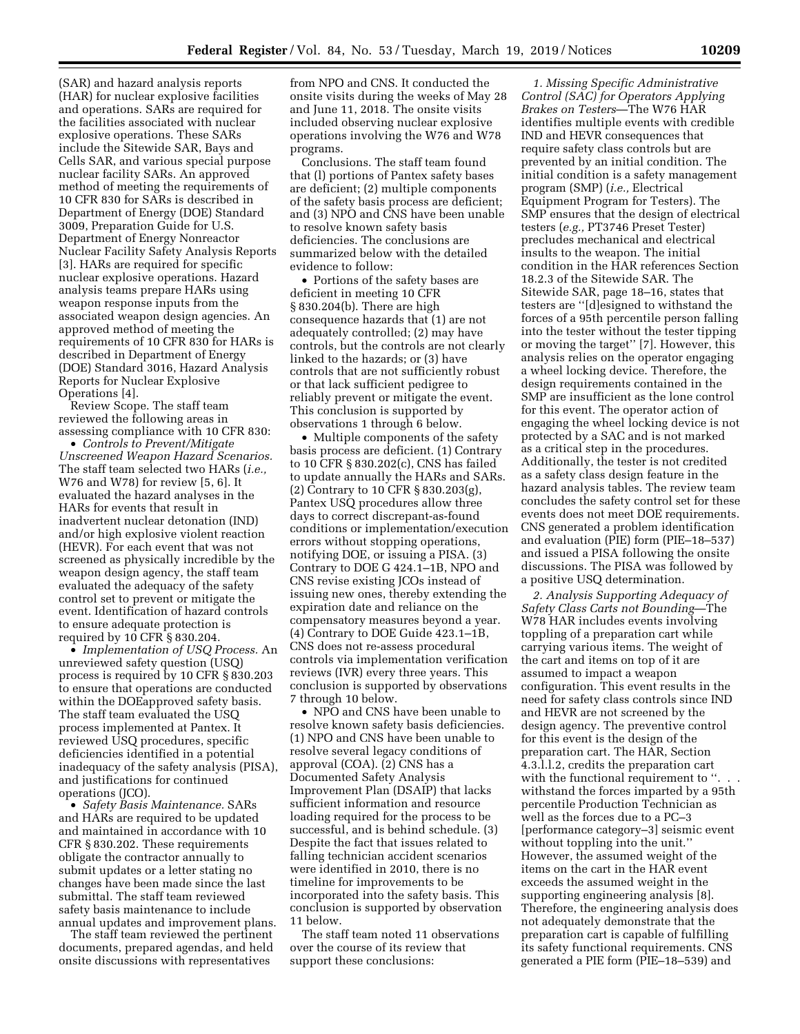(SAR) and hazard analysis reports (HAR) for nuclear explosive facilities and operations. SARs are required for the facilities associated with nuclear explosive operations. These SARs include the Sitewide SAR, Bays and Cells SAR, and various special purpose nuclear facility SARs. An approved method of meeting the requirements of 10 CFR 830 for SARs is described in Department of Energy (DOE) Standard 3009, Preparation Guide for U.S. Department of Energy Nonreactor Nuclear Facility Safety Analysis Reports [3]. HARs are required for specific nuclear explosive operations. Hazard analysis teams prepare HARs using weapon response inputs from the associated weapon design agencies. An approved method of meeting the requirements of 10 CFR 830 for HARs is described in Department of Energy (DOE) Standard 3016, Hazard Analysis Reports for Nuclear Explosive Operations [4].

Review Scope. The staff team reviewed the following areas in assessing compliance with 10 CFR 830:

• *Controls to Prevent/Mitigate Unscreened Weapon Hazard Scenarios.*  The staff team selected two HARs (*i.e.,*  W76 and W78) for review [5, 6]. It evaluated the hazard analyses in the HARs for events that result in inadvertent nuclear detonation (IND) and/or high explosive violent reaction (HEVR). For each event that was not screened as physically incredible by the weapon design agency, the staff team evaluated the adequacy of the safety control set to prevent or mitigate the event. Identification of hazard controls to ensure adequate protection is required by 10 CFR § 830.204.

• *Implementation of USQ Process.* An unreviewed safety question (USQ) process is required by 10 CFR § 830.203 to ensure that operations are conducted within the DOEapproved safety basis. The staff team evaluated the USQ process implemented at Pantex. It reviewed USQ procedures, specific deficiencies identified in a potential inadequacy of the safety analysis (PISA), and justifications for continued operations (JCO).

• *Safety Basis Maintenance.* SARs and HARs are required to be updated and maintained in accordance with 10 CFR § 830.202. These requirements obligate the contractor annually to submit updates or a letter stating no changes have been made since the last submittal. The staff team reviewed safety basis maintenance to include annual updates and improvement plans.

The staff team reviewed the pertinent documents, prepared agendas, and held onsite discussions with representatives

from NPO and CNS. It conducted the onsite visits during the weeks of May 28 and June 11, 2018. The onsite visits included observing nuclear explosive operations involving the W76 and W78 programs.

Conclusions. The staff team found that (l) portions of Pantex safety bases are deficient; (2) multiple components of the safety basis process are deficient; and (3) NPO and CNS have been unable to resolve known safety basis deficiencies. The conclusions are summarized below with the detailed evidence to follow:

• Portions of the safety bases are deficient in meeting 10 CFR § 830.204(b). There are high consequence hazards that (1) are not adequately controlled; (2) may have controls, but the controls are not clearly linked to the hazards; or (3) have controls that are not sufficiently robust or that lack sufficient pedigree to reliably prevent or mitigate the event. This conclusion is supported by observations 1 through 6 below.

• Multiple components of the safety basis process are deficient. (1) Contrary to 10 CFR § 830.202(c), CNS has failed to update annually the HARs and SARs. (2) Contrary to 10 CFR § 830.203(g), Pantex USQ procedures allow three days to correct discrepant-as-found conditions or implementation/execution errors without stopping operations, notifying DOE, or issuing a PISA. (3) Contrary to DOE G 424.1–1B, NPO and CNS revise existing JCOs instead of issuing new ones, thereby extending the expiration date and reliance on the compensatory measures beyond a year. (4) Contrary to DOE Guide 423.1–1B, CNS does not re-assess procedural controls via implementation verification reviews (IVR) every three years. This conclusion is supported by observations 7 through 10 below.

• NPO and CNS have been unable to resolve known safety basis deficiencies. (1) NPO and CNS have been unable to resolve several legacy conditions of approval (COA). (2) CNS has a Documented Safety Analysis Improvement Plan (DSAIP) that lacks sufficient information and resource loading required for the process to be successful, and is behind schedule. (3) Despite the fact that issues related to falling technician accident scenarios were identified in 2010, there is no timeline for improvements to be incorporated into the safety basis. This conclusion is supported by observation 11 below.

The staff team noted 11 observations over the course of its review that support these conclusions:

*1. Missing Specific Administrative Control (SAC) for Operators Applying Brakes on Testers*—The W76 HAR identifies multiple events with credible IND and HEVR consequences that require safety class controls but are prevented by an initial condition. The initial condition is a safety management program (SMP) (*i.e.,* Electrical Equipment Program for Testers). The SMP ensures that the design of electrical testers (*e.g.,* PT3746 Preset Tester) precludes mechanical and electrical insults to the weapon. The initial condition in the HAR references Section 18.2.3 of the Sitewide SAR. The Sitewide SAR, page 18–16, states that testers are ''[d]esigned to withstand the forces of a 95th percentile person falling into the tester without the tester tipping or moving the target'' [7]. However, this analysis relies on the operator engaging a wheel locking device. Therefore, the design requirements contained in the SMP are insufficient as the lone control for this event. The operator action of engaging the wheel locking device is not protected by a SAC and is not marked as a critical step in the procedures. Additionally, the tester is not credited as a safety class design feature in the hazard analysis tables. The review team concludes the safety control set for these events does not meet DOE requirements. CNS generated a problem identification and evaluation (PIE) form (PIE–18–537) and issued a PISA following the onsite discussions. The PISA was followed by a positive USQ determination.

*2. Analysis Supporting Adequacy of Safety Class Carts not Bounding*—The W78 HAR includes events involving toppling of a preparation cart while carrying various items. The weight of the cart and items on top of it are assumed to impact a weapon configuration. This event results in the need for safety class controls since IND and HEVR are not screened by the design agency. The preventive control for this event is the design of the preparation cart. The HAR, Section 4.3.l.l.2, credits the preparation cart with the functional requirement to ". withstand the forces imparted by a 95th percentile Production Technician as well as the forces due to a PC–3 [performance category–3] seismic event without toppling into the unit.'' However, the assumed weight of the items on the cart in the HAR event exceeds the assumed weight in the supporting engineering analysis [8]. Therefore, the engineering analysis does not adequately demonstrate that the preparation cart is capable of fulfilling its safety functional requirements. CNS generated a PIE form (PIE–18–539) and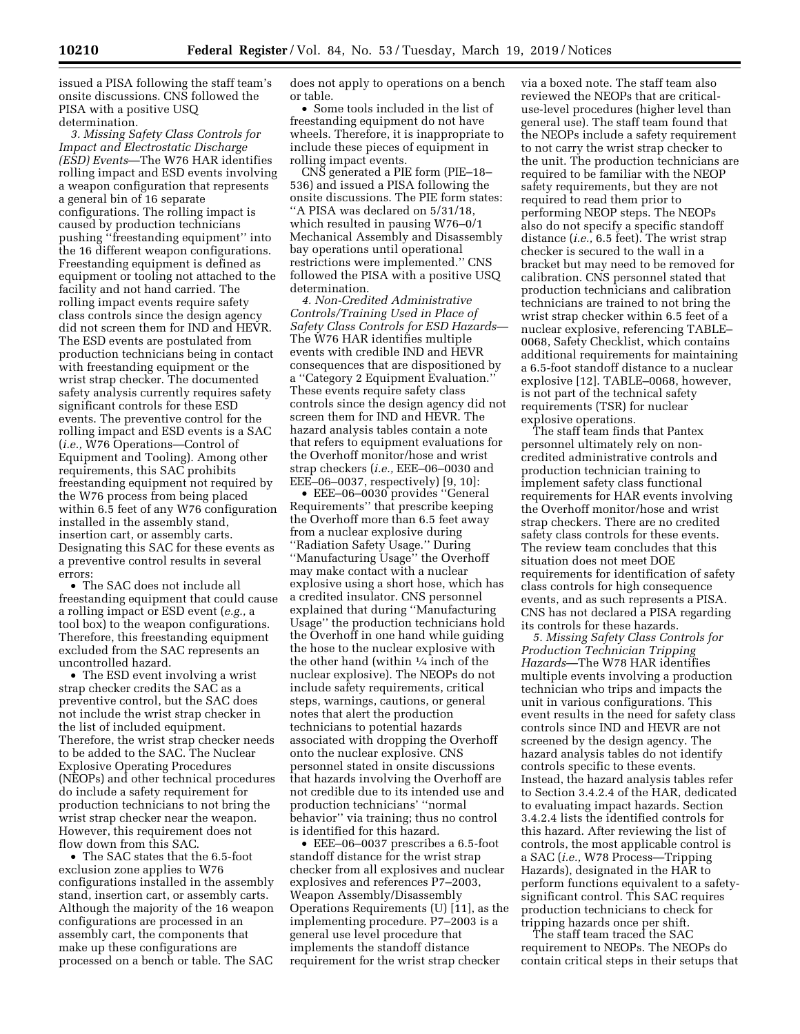issued a PISA following the staff team's onsite discussions. CNS followed the PISA with a positive USQ determination.

*3. Missing Safety Class Controls for Impact and Electrostatic Discharge (ESD) Events*—The W76 HAR identifies rolling impact and ESD events involving a weapon configuration that represents a general bin of 16 separate configurations. The rolling impact is caused by production technicians pushing ''freestanding equipment'' into the 16 different weapon configurations. Freestanding equipment is defined as equipment or tooling not attached to the facility and not hand carried. The rolling impact events require safety class controls since the design agency did not screen them for IND and HEVR. The ESD events are postulated from production technicians being in contact with freestanding equipment or the wrist strap checker. The documented safety analysis currently requires safety significant controls for these ESD events. The preventive control for the rolling impact and ESD events is a SAC (*i.e.,* W76 Operations—Control of Equipment and Tooling). Among other requirements, this SAC prohibits freestanding equipment not required by the W76 process from being placed within 6.5 feet of any W76 configuration installed in the assembly stand, insertion cart, or assembly carts. Designating this SAC for these events as a preventive control results in several errors:

• The SAC does not include all freestanding equipment that could cause a rolling impact or ESD event (*e.g.,* a tool box) to the weapon configurations. Therefore, this freestanding equipment excluded from the SAC represents an uncontrolled hazard.

• The ESD event involving a wrist strap checker credits the SAC as a preventive control, but the SAC does not include the wrist strap checker in the list of included equipment. Therefore, the wrist strap checker needs to be added to the SAC. The Nuclear Explosive Operating Procedures (NEOPs) and other technical procedures do include a safety requirement for production technicians to not bring the wrist strap checker near the weapon. However, this requirement does not flow down from this SAC.

• The SAC states that the 6.5-foot exclusion zone applies to W76 configurations installed in the assembly stand, insertion cart, or assembly carts. Although the majority of the 16 weapon configurations are processed in an assembly cart, the components that make up these configurations are processed on a bench or table. The SAC does not apply to operations on a bench or table.

• Some tools included in the list of freestanding equipment do not have wheels. Therefore, it is inappropriate to include these pieces of equipment in rolling impact events.

CNS generated a PIE form (PIE–18– 536) and issued a PISA following the onsite discussions. The PIE form states: ''A PISA was declared on 5/31/18, which resulted in pausing W76–0/1 Mechanical Assembly and Disassembly bay operations until operational restrictions were implemented.'' CNS followed the PISA with a positive USQ determination.

*4. Non-Credited Administrative Controls/Training Used in Place of Safety Class Controls for ESD Hazards*— The W76 HAR identifies multiple events with credible IND and HEVR consequences that are dispositioned by a ''Category 2 Equipment Evaluation.'' These events require safety class controls since the design agency did not screen them for IND and HEVR. The hazard analysis tables contain a note that refers to equipment evaluations for the Overhoff monitor/hose and wrist strap checkers (*i.e.,* EEE–06–0030 and EEE–06–0037, respectively) [9, 10]:

• EEE–06–0030 provides ''General Requirements'' that prescribe keeping the Overhoff more than 6.5 feet away from a nuclear explosive during ''Radiation Safety Usage.'' During ''Manufacturing Usage'' the Overhoff may make contact with a nuclear explosive using a short hose, which has a credited insulator. CNS personnel explained that during ''Manufacturing Usage'' the production technicians hold the Overhoff in one hand while guiding the hose to the nuclear explosive with the other hand (within  $\frac{1}{4}$  inch of the nuclear explosive). The NEOPs do not include safety requirements, critical steps, warnings, cautions, or general notes that alert the production technicians to potential hazards associated with dropping the Overhoff onto the nuclear explosive. CNS personnel stated in onsite discussions that hazards involving the Overhoff are not credible due to its intended use and production technicians' ''normal behavior'' via training; thus no control is identified for this hazard.

• EEE–06–0037 prescribes a 6.5-foot standoff distance for the wrist strap checker from all explosives and nuclear explosives and references P7–2003, Weapon Assembly/Disassembly Operations Requirements (U) [11], as the implementing procedure. P7–2003 is a general use level procedure that implements the standoff distance requirement for the wrist strap checker

via a boxed note. The staff team also reviewed the NEOPs that are criticaluse-level procedures (higher level than general use). The staff team found that the NEOPs include a safety requirement to not carry the wrist strap checker to the unit. The production technicians are required to be familiar with the NEOP safety requirements, but they are not required to read them prior to performing NEOP steps. The NEOPs also do not specify a specific standoff distance (*i.e.,* 6.5 feet). The wrist strap checker is secured to the wall in a bracket but may need to be removed for calibration. CNS personnel stated that production technicians and calibration technicians are trained to not bring the wrist strap checker within 6.5 feet of a nuclear explosive, referencing TABLE– 0068, Safety Checklist, which contains additional requirements for maintaining a 6.5-foot standoff distance to a nuclear explosive [12]. TABLE–0068, however, is not part of the technical safety requirements (TSR) for nuclear explosive operations.

The staff team finds that Pantex personnel ultimately rely on noncredited administrative controls and production technician training to implement safety class functional requirements for HAR events involving the Overhoff monitor/hose and wrist strap checkers. There are no credited safety class controls for these events. The review team concludes that this situation does not meet DOE requirements for identification of safety class controls for high consequence events, and as such represents a PISA. CNS has not declared a PISA regarding its controls for these hazards.

*5. Missing Safety Class Controls for Production Technician Tripping Hazards*—The W78 HAR identifies multiple events involving a production technician who trips and impacts the unit in various configurations. This event results in the need for safety class controls since IND and HEVR are not screened by the design agency. The hazard analysis tables do not identify controls specific to these events. Instead, the hazard analysis tables refer to Section 3.4.2.4 of the HAR, dedicated to evaluating impact hazards. Section 3.4.2.4 lists the identified controls for this hazard. After reviewing the list of controls, the most applicable control is a SAC (*i.e.,* W78 Process—Tripping Hazards), designated in the HAR to perform functions equivalent to a safetysignificant control. This SAC requires production technicians to check for tripping hazards once per shift.

The staff team traced the SAC requirement to NEOPs. The NEOPs do contain critical steps in their setups that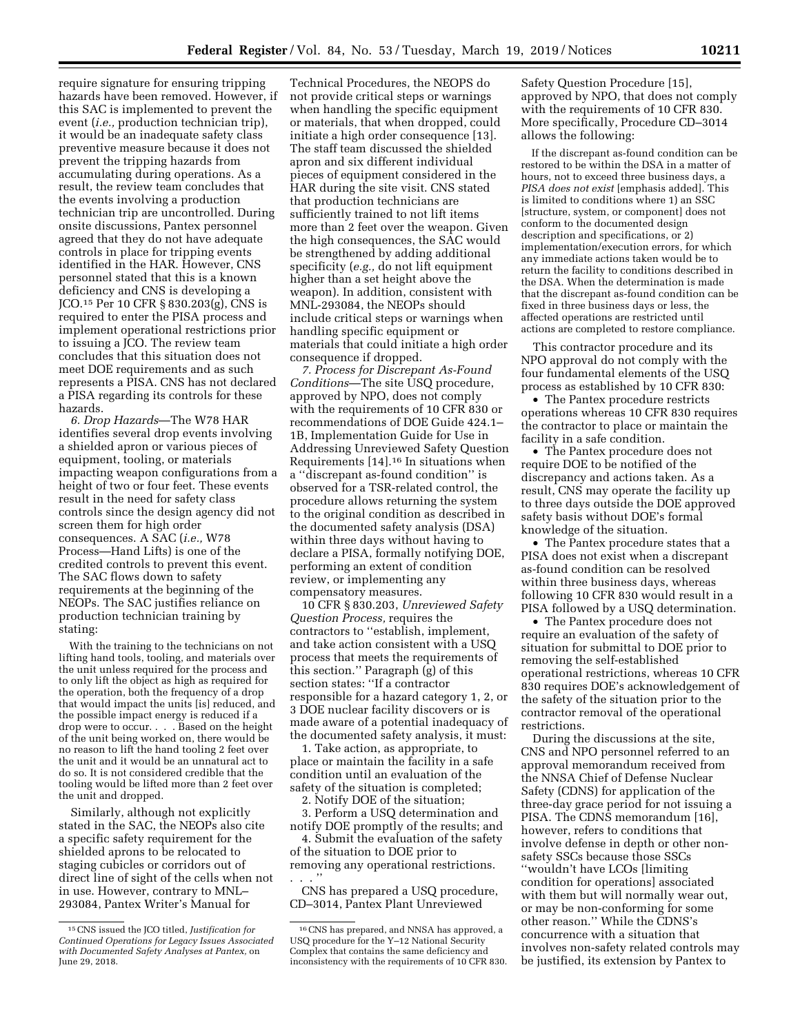require signature for ensuring tripping hazards have been removed. However, if this SAC is implemented to prevent the event (*i.e.,* production technician trip), it would be an inadequate safety class preventive measure because it does not prevent the tripping hazards from accumulating during operations. As a result, the review team concludes that the events involving a production technician trip are uncontrolled. During onsite discussions, Pantex personnel agreed that they do not have adequate controls in place for tripping events identified in the HAR. However, CNS personnel stated that this is a known deficiency and CNS is developing a JCO.15 Per 10 CFR § 830.203(g), CNS is required to enter the PISA process and implement operational restrictions prior to issuing a JCO. The review team concludes that this situation does not meet DOE requirements and as such represents a PISA. CNS has not declared a PISA regarding its controls for these hazards.

*6. Drop Hazards*—The W78 HAR identifies several drop events involving a shielded apron or various pieces of equipment, tooling, or materials impacting weapon configurations from a height of two or four feet. These events result in the need for safety class controls since the design agency did not screen them for high order consequences. A SAC (*i.e.,* W78 Process—Hand Lifts) is one of the credited controls to prevent this event. The SAC flows down to safety requirements at the beginning of the NEOPs. The SAC justifies reliance on production technician training by stating:

With the training to the technicians on not lifting hand tools, tooling, and materials over the unit unless required for the process and to only lift the object as high as required for the operation, both the frequency of a drop that would impact the units [is] reduced, and the possible impact energy is reduced if a drop were to occur. . . . Based on the height of the unit being worked on, there would be no reason to lift the hand tooling 2 feet over the unit and it would be an unnatural act to do so. It is not considered credible that the tooling would be lifted more than 2 feet over the unit and dropped.

Similarly, although not explicitly stated in the SAC, the NEOPs also cite a specific safety requirement for the shielded aprons to be relocated to staging cubicles or corridors out of direct line of sight of the cells when not in use. However, contrary to MNL– 293084, Pantex Writer's Manual for

Technical Procedures, the NEOPS do not provide critical steps or warnings when handling the specific equipment or materials, that when dropped, could initiate a high order consequence [13]. The staff team discussed the shielded apron and six different individual pieces of equipment considered in the HAR during the site visit. CNS stated that production technicians are sufficiently trained to not lift items more than 2 feet over the weapon. Given the high consequences, the SAC would be strengthened by adding additional specificity (*e.g.,* do not lift equipment higher than a set height above the weapon). In addition, consistent with MNL-293084, the NEOPs should include critical steps or warnings when handling specific equipment or materials that could initiate a high order consequence if dropped.

*7. Process for Discrepant As-Found Conditions*—The site USQ procedure, approved by NPO, does not comply with the requirements of 10 CFR 830 or recommendations of DOE Guide 424.1– 1B, Implementation Guide for Use in Addressing Unreviewed Safety Question Requirements [14].16 In situations when a ''discrepant as-found condition'' is observed for a TSR-related control, the procedure allows returning the system to the original condition as described in the documented safety analysis (DSA) within three days without having to declare a PISA, formally notifying DOE, performing an extent of condition review, or implementing any compensatory measures.

10 CFR § 830.203, *Unreviewed Safety Question Process,* requires the contractors to ''establish, implement, and take action consistent with a USQ process that meets the requirements of this section.'' Paragraph (g) of this section states: ''If a contractor responsible for a hazard category 1, 2, or 3 DOE nuclear facility discovers or is made aware of a potential inadequacy of the documented safety analysis, it must:

1. Take action, as appropriate, to place or maintain the facility in a safe condition until an evaluation of the safety of the situation is completed;

2. Notify DOE of the situation;

3. Perform a USQ determination and notify DOE promptly of the results; and

4. Submit the evaluation of the safety of the situation to DOE prior to removing any operational restrictions. . . . ''

CNS has prepared a USQ procedure, CD–3014, Pantex Plant Unreviewed

Safety Question Procedure [15], approved by NPO, that does not comply with the requirements of 10 CFR 830. More specifically, Procedure CD–3014 allows the following:

If the discrepant as-found condition can be restored to be within the DSA in a matter of hours, not to exceed three business days, a *PISA does not exist* [emphasis added]. This is limited to conditions where 1) an SSC [structure, system, or component] does not conform to the documented design description and specifications, or 2) implementation/execution errors, for which any immediate actions taken would be to return the facility to conditions described in the DSA. When the determination is made that the discrepant as-found condition can be fixed in three business days or less, the affected operations are restricted until actions are completed to restore compliance.

This contractor procedure and its NPO approval do not comply with the four fundamental elements of the USQ process as established by 10 CFR 830:

• The Pantex procedure restricts operations whereas 10 CFR 830 requires the contractor to place or maintain the facility in a safe condition.

• The Pantex procedure does not require DOE to be notified of the discrepancy and actions taken. As a result, CNS may operate the facility up to three days outside the DOE approved safety basis without DOE's formal knowledge of the situation.

• The Pantex procedure states that a PISA does not exist when a discrepant as-found condition can be resolved within three business days, whereas following 10 CFR 830 would result in a PISA followed by a USQ determination.

• The Pantex procedure does not require an evaluation of the safety of situation for submittal to DOE prior to removing the self-established operational restrictions, whereas 10 CFR 830 requires DOE's acknowledgement of the safety of the situation prior to the contractor removal of the operational restrictions.

During the discussions at the site, CNS and NPO personnel referred to an approval memorandum received from the NNSA Chief of Defense Nuclear Safety (CDNS) for application of the three-day grace period for not issuing a PISA. The CDNS memorandum [16], however, refers to conditions that involve defense in depth or other nonsafety SSCs because those SSCs ''wouldn't have LCOs [limiting condition for operations] associated with them but will normally wear out, or may be non-conforming for some other reason.'' While the CDNS's concurrence with a situation that involves non-safety related controls may be justified, its extension by Pantex to

<sup>15</sup>CNS issued the JCO titled, *Justification for Continued Operations for Legacy Issues Associated with Documented Safety Analyses at Pantex,* on June 29, 2018.

<sup>16</sup>CNS has prepared, and NNSA has approved, a USQ procedure for the Y–12 National Security Complex that contains the same deficiency and inconsistency with the requirements of 10 CFR 830.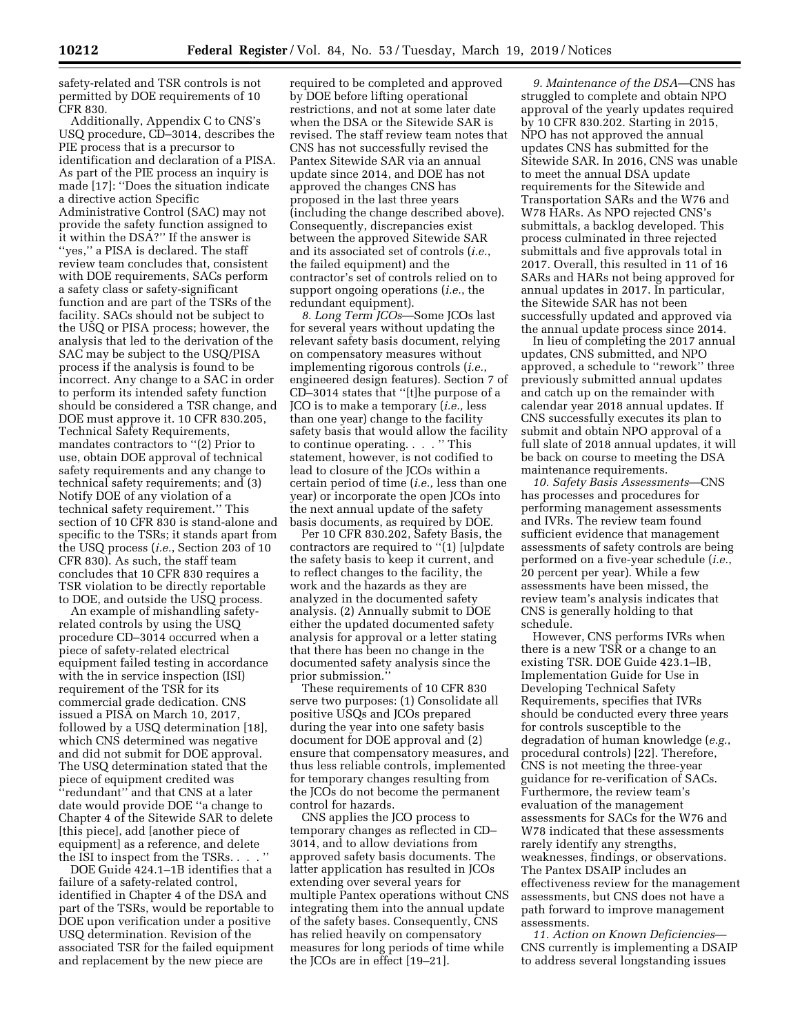safety-related and TSR controls is not permitted by DOE requirements of 10 CFR 830.

Additionally, Appendix C to CNS's USQ procedure, CD–3014, describes the PIE process that is a precursor to identification and declaration of a PISA. As part of the PIE process an inquiry is made [17]: ''Does the situation indicate a directive action Specific Administrative Control (SAC) may not provide the safety function assigned to it within the DSA?'' If the answer is ''yes,'' a PISA is declared. The staff review team concludes that, consistent with DOE requirements, SACs perform a safety class or safety-significant function and are part of the TSRs of the facility. SACs should not be subject to the USQ or PISA process; however, the analysis that led to the derivation of the SAC may be subject to the USQ/PISA process if the analysis is found to be incorrect. Any change to a SAC in order to perform its intended safety function should be considered a TSR change, and DOE must approve it. 10 CFR 830.205, Technical Safety Requirements, mandates contractors to "(2) Prior to use, obtain DOE approval of technical safety requirements and any change to technical safety requirements; and (3) Notify DOE of any violation of a technical safety requirement.'' This section of 10 CFR 830 is stand-alone and specific to the TSRs; it stands apart from the USQ process (*i.e.*, Section 203 of 10 CFR 830). As such, the staff team concludes that 10 CFR 830 requires a TSR violation to be directly reportable to DOE, and outside the USQ process.

An example of mishandling safetyrelated controls by using the USQ procedure CD–3014 occurred when a piece of safety-related electrical equipment failed testing in accordance with the in service inspection (ISI) requirement of the TSR for its commercial grade dedication. CNS issued a PISA on March 10, 2017, followed by a USQ determination [18], which CNS determined was negative and did not submit for DOE approval. The USQ determination stated that the piece of equipment credited was ''redundant'' and that CNS at a later date would provide DOE ''a change to Chapter 4 of the Sitewide SAR to delete [this piece], add [another piece of equipment] as a reference, and delete the ISI to inspect from the TSRs. . . . ''

DOE Guide 424.1–1B identifies that a failure of a safety-related control, identified in Chapter 4 of the DSA and part of the TSRs, would be reportable to DOE upon verification under a positive USQ determination. Revision of the associated TSR for the failed equipment and replacement by the new piece are

required to be completed and approved by DOE before lifting operational restrictions, and not at some later date when the DSA or the Sitewide SAR is revised. The staff review team notes that CNS has not successfully revised the Pantex Sitewide SAR via an annual update since 2014, and DOE has not approved the changes CNS has proposed in the last three years (including the change described above). Consequently, discrepancies exist between the approved Sitewide SAR and its associated set of controls (*i.e.*, the failed equipment) and the contractor's set of controls relied on to support ongoing operations (*i.e.*, the redundant equipment).

*8. Long Term JCOs*—Some JCOs last for several years without updating the relevant safety basis document, relying on compensatory measures without implementing rigorous controls (*i.e.*, engineered design features). Section 7 of CD–3014 states that ''[t]he purpose of a JCO is to make a temporary (*i.e.,* less than one year) change to the facility safety basis that would allow the facility to continue operating. . . . '' This statement, however, is not codified to lead to closure of the JCOs within a certain period of time (*i.e.,* less than one year) or incorporate the open JCOs into the next annual update of the safety basis documents, as required by DOE.

Per 10 CFR 830.202, Safety Basis, the contractors are required to ''(1) [u]pdate the safety basis to keep it current, and to reflect changes to the facility, the work and the hazards as they are analyzed in the documented safety analysis. (2) Annually submit to DOE either the updated documented safety analysis for approval or a letter stating that there has been no change in the documented safety analysis since the prior submission.''

These requirements of 10 CFR 830 serve two purposes: (1) Consolidate all positive USQs and JCOs prepared during the year into one safety basis document for DOE approval and (2) ensure that compensatory measures, and thus less reliable controls, implemented for temporary changes resulting from the JCOs do not become the permanent control for hazards.

CNS applies the JCO process to temporary changes as reflected in CD– 3014, and to allow deviations from approved safety basis documents. The latter application has resulted in JCOs extending over several years for multiple Pantex operations without CNS integrating them into the annual update of the safety bases. Consequently, CNS has relied heavily on compensatory measures for long periods of time while the JCOs are in effect [19–21].

*9. Maintenance of the DSA*—CNS has struggled to complete and obtain NPO approval of the yearly updates required by 10 CFR 830.202. Starting in 2015, NPO has not approved the annual updates CNS has submitted for the Sitewide SAR. In 2016, CNS was unable to meet the annual DSA update requirements for the Sitewide and Transportation SARs and the W76 and W78 HARs. As NPO rejected CNS's submittals, a backlog developed. This process culminated in three rejected submittals and five approvals total in 2017. Overall, this resulted in 11 of 16 SARs and HARs not being approved for annual updates in 2017. In particular, the Sitewide SAR has not been successfully updated and approved via the annual update process since 2014.

In lieu of completing the 2017 annual updates, CNS submitted, and NPO approved, a schedule to ''rework'' three previously submitted annual updates and catch up on the remainder with calendar year 2018 annual updates. If CNS successfully executes its plan to submit and obtain NPO approval of a full slate of 2018 annual updates, it will be back on course to meeting the DSA maintenance requirements.

*10. Safety Basis Assessments*—CNS has processes and procedures for performing management assessments and IVRs. The review team found sufficient evidence that management assessments of safety controls are being performed on a five-year schedule (*i.e.*, 20 percent per year). While a few assessments have been missed, the review team's analysis indicates that CNS is generally holding to that schedule.

However, CNS performs IVRs when there is a new TSR or a change to an existing TSR. DOE Guide 423.1–lB, Implementation Guide for Use in Developing Technical Safety Requirements, specifies that IVRs should be conducted every three years for controls susceptible to the degradation of human knowledge (*e.g.*, procedural controls) [22]. Therefore, CNS is not meeting the three-year guidance for re-verification of SACs. Furthermore, the review team's evaluation of the management assessments for SACs for the W76 and W78 indicated that these assessments rarely identify any strengths, weaknesses, findings, or observations. The Pantex DSAIP includes an effectiveness review for the management assessments, but CNS does not have a path forward to improve management assessments.

*11. Action on Known Deficiencies*— CNS currently is implementing a DSAIP to address several longstanding issues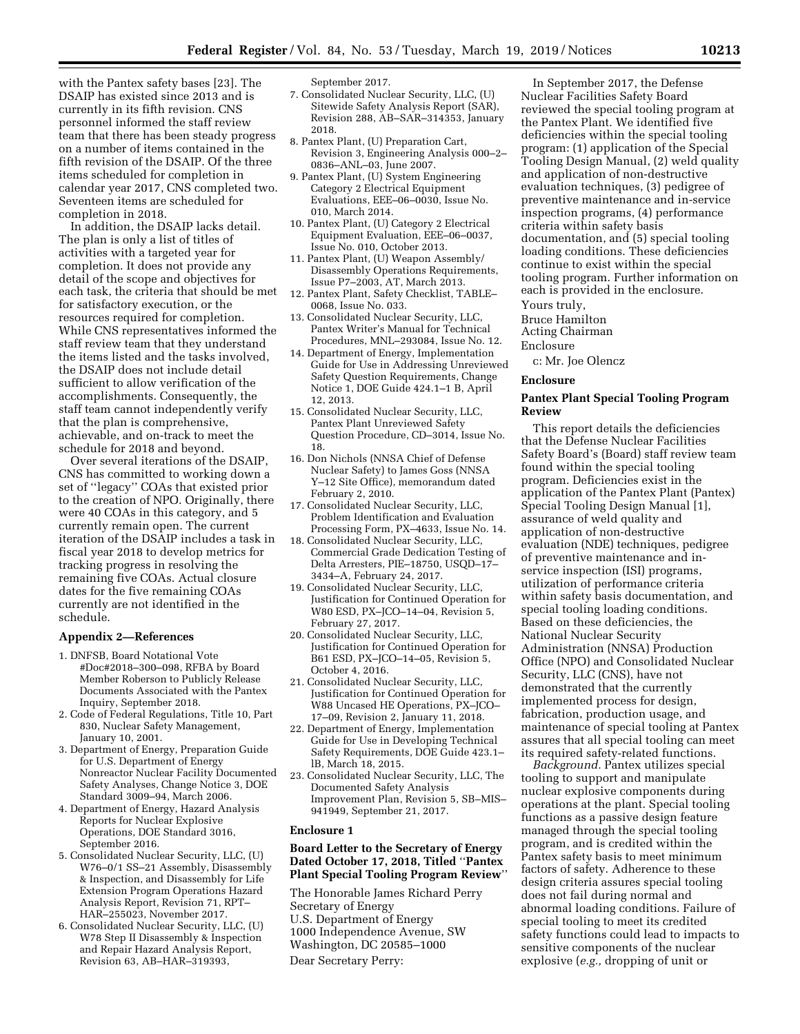with the Pantex safety bases [23]. The DSAIP has existed since 2013 and is currently in its fifth revision. CNS personnel informed the staff review team that there has been steady progress on a number of items contained in the fifth revision of the DSAIP. Of the three items scheduled for completion in calendar year 2017, CNS completed two. Seventeen items are scheduled for completion in 2018.

In addition, the DSAIP lacks detail. The plan is only a list of titles of activities with a targeted year for completion. It does not provide any detail of the scope and objectives for each task, the criteria that should be met for satisfactory execution, or the resources required for completion. While CNS representatives informed the staff review team that they understand the items listed and the tasks involved, the DSAIP does not include detail sufficient to allow verification of the accomplishments. Consequently, the staff team cannot independently verify that the plan is comprehensive, achievable, and on-track to meet the schedule for 2018 and beyond.

Over several iterations of the DSAIP, CNS has committed to working down a set of ''legacy'' COAs that existed prior to the creation of NPO. Originally, there were 40 COAs in this category, and 5 currently remain open. The current iteration of the DSAIP includes a task in fiscal year 2018 to develop metrics for tracking progress in resolving the remaining five COAs. Actual closure dates for the five remaining COAs currently are not identified in the schedule.

### **Appendix 2—References**

- 1. DNFSB, Board Notational Vote #Doc#2018–300–098, RFBA by Board Member Roberson to Publicly Release Documents Associated with the Pantex Inquiry, September 2018.
- 2. Code of Federal Regulations, Title 10, Part 830, Nuclear Safety Management, January 10, 2001.
- 3. Department of Energy, Preparation Guide for U.S. Department of Energy Nonreactor Nuclear Facility Documented Safety Analyses, Change Notice 3, DOE Standard 3009–94, March 2006.
- 4. Department of Energy, Hazard Analysis Reports for Nuclear Explosive Operations, DOE Standard 3016, September 2016.
- 5. Consolidated Nuclear Security, LLC, (U) W76–0/1 SS–21 Assembly, Disassembly & Inspection, and Disassembly for Life Extension Program Operations Hazard Analysis Report, Revision 71, RPT– HAR–255023, November 2017.
- 6. Consolidated Nuclear Security, LLC, (U) W78 Step II Disassembly & Inspection and Repair Hazard Analysis Report, Revision 63, AB–HAR–319393,

September 2017.

- 7. Consolidated Nuclear Security, LLC, (U) Sitewide Safety Analysis Report (SAR), Revision 288, AB–SAR–314353, January 2018.
- 8. Pantex Plant, (U) Preparation Cart, Revision 3, Engineering Analysis 000–2– 0836–ANL–03, June 2007.
- 9. Pantex Plant, (U) System Engineering Category 2 Electrical Equipment Evaluations, EEE–06–0030, Issue No. 010, March 2014.
- 10. Pantex Plant, (U) Category 2 Electrical Equipment Evaluation, EEE–06–0037, Issue No. 010, October 2013.
- 11. Pantex Plant, (U) Weapon Assembly/ Disassembly Operations Requirements, Issue P7–2003, AT, March 2013.
- 12. Pantex Plant, Safety Checklist, TABLE– 0068, Issue No. 033.
- 13. Consolidated Nuclear Security, LLC, Pantex Writer's Manual for Technical Procedures, MNL–293084, Issue No. 12.
- 14. Department of Energy, Implementation Guide for Use in Addressing Unreviewed Safety Question Requirements, Change Notice 1, DOE Guide 424.1–1 B, April 12, 2013.
- 15. Consolidated Nuclear Security, LLC, Pantex Plant Unreviewed Safety Question Procedure, CD–3014, Issue No. 18.
- 16. Don Nichols (NNSA Chief of Defense Nuclear Safety) to James Goss (NNSA Y–12 Site Office), memorandum dated February 2, 2010.
- 17. Consolidated Nuclear Security, LLC, Problem Identification and Evaluation Processing Form, PX–4633, Issue No. 14.
- 18. Consolidated Nuclear Security, LLC, Commercial Grade Dedication Testing of Delta Arresters, PIE–18750, USQD–17– 3434–A, February 24, 2017.
- 19. Consolidated Nuclear Security, LLC, Justification for Continued Operation for W80 ESD, PX–JCO–14–04, Revision 5, February 27, 2017.
- 20. Consolidated Nuclear Security, LLC, Justification for Continued Operation for B61 ESD, PX–JCO–14–05, Revision 5, October 4, 2016.
- 21. Consolidated Nuclear Security, LLC, Justification for Continued Operation for W88 Uncased HE Operations, PX–JCO– 17–09, Revision 2, January 11, 2018.
- 22. Department of Energy, Implementation Guide for Use in Developing Technical Safety Requirements, DOE Guide 423.1– lB, March 18, 2015.
- 23. Consolidated Nuclear Security, LLC, The Documented Safety Analysis Improvement Plan, Revision 5, SB–MIS– 941949, September 21, 2017.

### **Enclosure 1**

# **Board Letter to the Secretary of Energy Dated October 17, 2018, Titled** ''**Pantex Plant Special Tooling Program Review**''

The Honorable James Richard Perry Secretary of Energy U.S. Department of Energy 1000 Independence Avenue, SW Washington, DC 20585–1000 Dear Secretary Perry:

In September 2017, the Defense Nuclear Facilities Safety Board reviewed the special tooling program at the Pantex Plant. We identified five deficiencies within the special tooling program: (1) application of the Special Tooling Design Manual, (2) weld quality and application of non-destructive evaluation techniques, (3) pedigree of preventive maintenance and in-service inspection programs, (4) performance criteria within safety basis documentation, and (5) special tooling loading conditions. These deficiencies continue to exist within the special tooling program. Further information on each is provided in the enclosure.

Yours truly,

Bruce Hamilton

Acting Chairman Enclosure

c: Mr. Joe Olencz

### **Enclosure**

### **Pantex Plant Special Tooling Program Review**

This report details the deficiencies that the Defense Nuclear Facilities Safety Board's (Board) staff review team found within the special tooling program. Deficiencies exist in the application of the Pantex Plant (Pantex) Special Tooling Design Manual [1], assurance of weld quality and application of non-destructive evaluation (NDE) techniques, pedigree of preventive maintenance and inservice inspection (ISI) programs, utilization of performance criteria within safety basis documentation, and special tooling loading conditions. Based on these deficiencies, the National Nuclear Security Administration (NNSA) Production Office (NPO) and Consolidated Nuclear Security, LLC (CNS), have not demonstrated that the currently implemented process for design, fabrication, production usage, and maintenance of special tooling at Pantex assures that all special tooling can meet its required safety-related functions.

*Background.* Pantex utilizes special tooling to support and manipulate nuclear explosive components during operations at the plant. Special tooling functions as a passive design feature managed through the special tooling program, and is credited within the Pantex safety basis to meet minimum factors of safety. Adherence to these design criteria assures special tooling does not fail during normal and abnormal loading conditions. Failure of special tooling to meet its credited safety functions could lead to impacts to sensitive components of the nuclear explosive (*e.g.,* dropping of unit or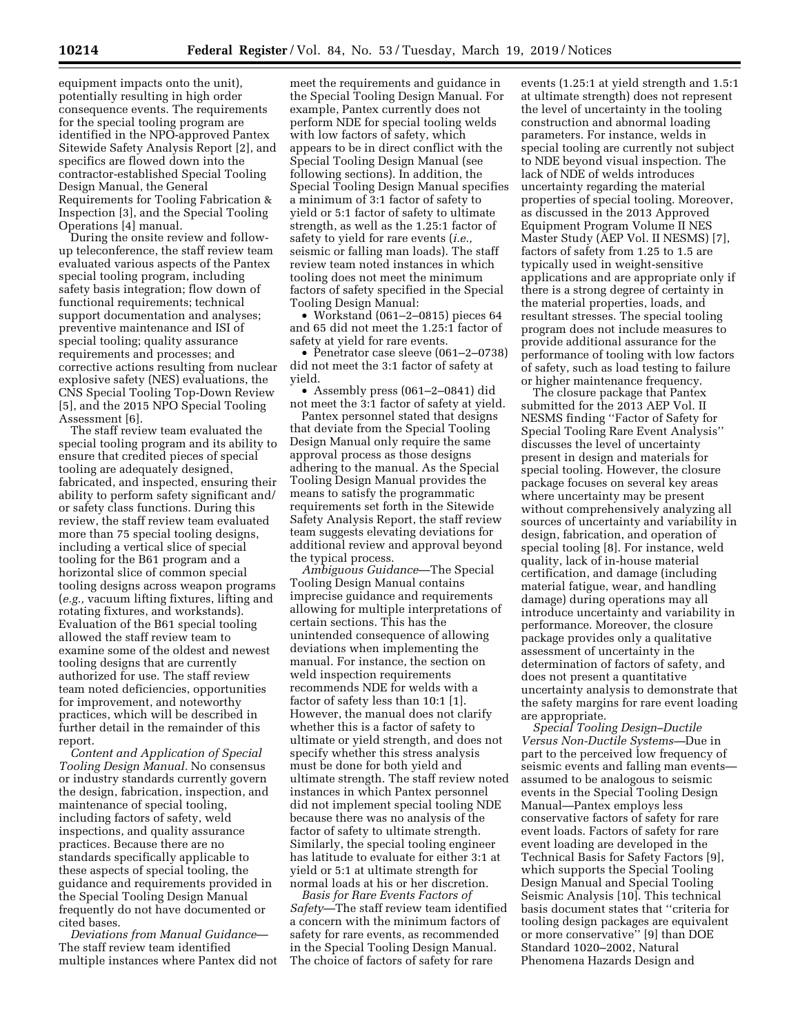equipment impacts onto the unit), potentially resulting in high order consequence events. The requirements for the special tooling program are identified in the NPO-approved Pantex Sitewide Safety Analysis Report [2], and specifics are flowed down into the contractor-established Special Tooling Design Manual, the General Requirements for Tooling Fabrication & Inspection [3], and the Special Tooling Operations [4] manual.

During the onsite review and followup teleconference, the staff review team evaluated various aspects of the Pantex special tooling program, including safety basis integration; flow down of functional requirements; technical support documentation and analyses; preventive maintenance and ISI of special tooling; quality assurance requirements and processes; and corrective actions resulting from nuclear explosive safety (NES) evaluations, the CNS Special Tooling Top-Down Review [5], and the 2015 NPO Special Tooling Assessment [6].

The staff review team evaluated the special tooling program and its ability to ensure that credited pieces of special tooling are adequately designed, fabricated, and inspected, ensuring their ability to perform safety significant and/ or safety class functions. During this review, the staff review team evaluated more than 75 special tooling designs, including a vertical slice of special tooling for the B61 program and a horizontal slice of common special tooling designs across weapon programs (*e.g.,* vacuum lifting fixtures, lifting and rotating fixtures, and workstands). Evaluation of the B61 special tooling allowed the staff review team to examine some of the oldest and newest tooling designs that are currently authorized for use. The staff review team noted deficiencies, opportunities for improvement, and noteworthy practices, which will be described in further detail in the remainder of this report.

*Content and Application of Special Tooling Design Manual.* No consensus or industry standards currently govern the design, fabrication, inspection, and maintenance of special tooling, including factors of safety, weld inspections, and quality assurance practices. Because there are no standards specifically applicable to these aspects of special tooling, the guidance and requirements provided in the Special Tooling Design Manual frequently do not have documented or cited bases.

*Deviations from Manual Guidance*— The staff review team identified multiple instances where Pantex did not

meet the requirements and guidance in the Special Tooling Design Manual. For example, Pantex currently does not perform NDE for special tooling welds with low factors of safety, which appears to be in direct conflict with the Special Tooling Design Manual (see following sections). In addition, the Special Tooling Design Manual specifies a minimum of 3:1 factor of safety to yield or 5:1 factor of safety to ultimate strength, as well as the 1.25:1 factor of safety to yield for rare events (*i.e.,*  seismic or falling man loads). The staff review team noted instances in which tooling does not meet the minimum factors of safety specified in the Special Tooling Design Manual:

• Workstand (061–2–0815) pieces 64 and 65 did not meet the 1.25:1 factor of safety at yield for rare events.

• Penetrator case sleeve (061–2–0738) did not meet the 3:1 factor of safety at yield.

• Assembly press (061–2–0841) did not meet the 3:1 factor of safety at yield.

Pantex personnel stated that designs that deviate from the Special Tooling Design Manual only require the same approval process as those designs adhering to the manual. As the Special Tooling Design Manual provides the means to satisfy the programmatic requirements set forth in the Sitewide Safety Analysis Report, the staff review team suggests elevating deviations for additional review and approval beyond the typical process.

*Ambiguous Guidance*—The Special Tooling Design Manual contains imprecise guidance and requirements allowing for multiple interpretations of certain sections. This has the unintended consequence of allowing deviations when implementing the manual. For instance, the section on weld inspection requirements recommends NDE for welds with a factor of safety less than 10:1 [1]. However, the manual does not clarify whether this is a factor of safety to ultimate or yield strength, and does not specify whether this stress analysis must be done for both yield and ultimate strength. The staff review noted instances in which Pantex personnel did not implement special tooling NDE because there was no analysis of the factor of safety to ultimate strength. Similarly, the special tooling engineer has latitude to evaluate for either 3:1 at yield or 5:1 at ultimate strength for normal loads at his or her discretion.

*Basis for Rare Events Factors of Safety*—The staff review team identified a concern with the minimum factors of safety for rare events, as recommended in the Special Tooling Design Manual. The choice of factors of safety for rare

events (1.25:1 at yield strength and 1.5:1 at ultimate strength) does not represent the level of uncertainty in the tooling construction and abnormal loading parameters. For instance, welds in special tooling are currently not subject to NDE beyond visual inspection. The lack of NDE of welds introduces uncertainty regarding the material properties of special tooling. Moreover, as discussed in the 2013 Approved Equipment Program Volume II NES Master Study (AEP Vol. II NESMS) [7], factors of safety from 1.25 to 1.5 are typically used in weight-sensitive applications and are appropriate only if there is a strong degree of certainty in the material properties, loads, and resultant stresses. The special tooling program does not include measures to provide additional assurance for the performance of tooling with low factors of safety, such as load testing to failure or higher maintenance frequency.

The closure package that Pantex submitted for the 2013 AEP Vol. II NESMS finding ''Factor of Safety for Special Tooling Rare Event Analysis'' discusses the level of uncertainty present in design and materials for special tooling. However, the closure package focuses on several key areas where uncertainty may be present without comprehensively analyzing all sources of uncertainty and variability in design, fabrication, and operation of special tooling [8]. For instance, weld quality, lack of in-house material certification, and damage (including material fatigue, wear, and handling damage) during operations may all introduce uncertainty and variability in performance. Moreover, the closure package provides only a qualitative assessment of uncertainty in the determination of factors of safety, and does not present a quantitative uncertainty analysis to demonstrate that the safety margins for rare event loading are appropriate.

*Special Tooling Design–Ductile Versus Non-Ductile Systems—*Due in part to the perceived low frequency of seismic events and falling man events assumed to be analogous to seismic events in the Special Tooling Design Manual—Pantex employs less conservative factors of safety for rare event loads. Factors of safety for rare event loading are developed in the Technical Basis for Safety Factors [9], which supports the Special Tooling Design Manual and Special Tooling Seismic Analysis [10]. This technical basis document states that ''criteria for tooling design packages are equivalent or more conservative'' [9] than DOE Standard 1020–2002, Natural Phenomena Hazards Design and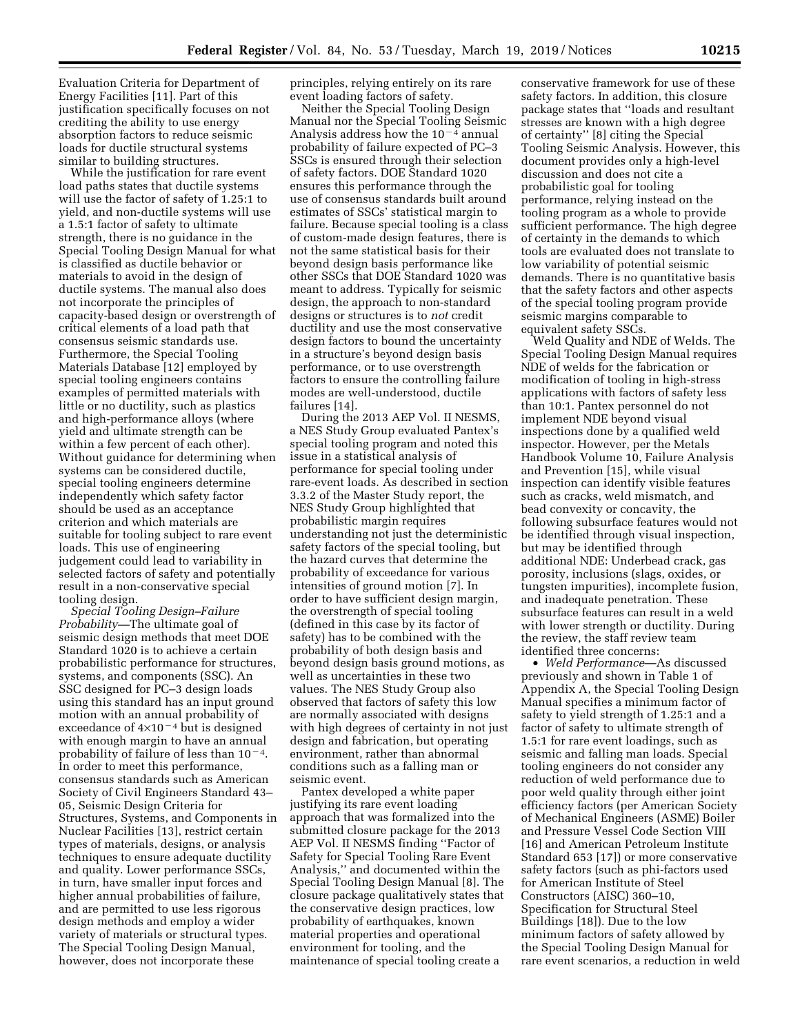Evaluation Criteria for Department of Energy Facilities [11]. Part of this justification specifically focuses on not crediting the ability to use energy absorption factors to reduce seismic loads for ductile structural systems similar to building structures.

While the justification for rare event load paths states that ductile systems will use the factor of safety of 1.25:1 to yield, and non-ductile systems will use a 1.5:1 factor of safety to ultimate strength, there is no guidance in the Special Tooling Design Manual for what is classified as ductile behavior or materials to avoid in the design of ductile systems. The manual also does not incorporate the principles of capacity-based design or overstrength of critical elements of a load path that consensus seismic standards use. Furthermore, the Special Tooling Materials Database [12] employed by special tooling engineers contains examples of permitted materials with little or no ductility, such as plastics and high-performance alloys (where yield and ultimate strength can be within a few percent of each other). Without guidance for determining when systems can be considered ductile, special tooling engineers determine independently which safety factor should be used as an acceptance criterion and which materials are suitable for tooling subject to rare event loads. This use of engineering judgement could lead to variability in selected factors of safety and potentially result in a non-conservative special tooling design.

*Special Tooling Design–Failure Probability—*The ultimate goal of seismic design methods that meet DOE Standard 1020 is to achieve a certain probabilistic performance for structures, systems, and components (SSC). An SSC designed for PC–3 design loads using this standard has an input ground motion with an annual probability of exceedance of  $4\times10^{-4}$  but is designed with enough margin to have an annual probability of failure of less than  $10^{-4}$ . In order to meet this performance, consensus standards such as American Society of Civil Engineers Standard 43– 05, Seismic Design Criteria for Structures, Systems, and Components in Nuclear Facilities [13], restrict certain types of materials, designs, or analysis techniques to ensure adequate ductility and quality. Lower performance SSCs, in turn, have smaller input forces and higher annual probabilities of failure, and are permitted to use less rigorous design methods and employ a wider variety of materials or structural types. The Special Tooling Design Manual, however, does not incorporate these

principles, relying entirely on its rare event loading factors of safety.

Neither the Special Tooling Design Manual nor the Special Tooling Seismic Analysis address how the  $10^{-4}$  annual probability of failure expected of PC–3 SSCs is ensured through their selection of safety factors. DOE Standard 1020 ensures this performance through the use of consensus standards built around estimates of SSCs' statistical margin to failure. Because special tooling is a class of custom-made design features, there is not the same statistical basis for their beyond design basis performance like other SSCs that DOE Standard 1020 was meant to address. Typically for seismic design, the approach to non-standard designs or structures is to *not* credit ductility and use the most conservative design factors to bound the uncertainty in a structure's beyond design basis performance, or to use overstrength factors to ensure the controlling failure modes are well-understood, ductile failures [14].

During the 2013 AEP Vol. II NESMS, a NES Study Group evaluated Pantex's special tooling program and noted this issue in a statistical analysis of performance for special tooling under rare-event loads. As described in section 3.3.2 of the Master Study report, the NES Study Group highlighted that probabilistic margin requires understanding not just the deterministic safety factors of the special tooling, but the hazard curves that determine the probability of exceedance for various intensities of ground motion [7]. In order to have sufficient design margin, the overstrength of special tooling (defined in this case by its factor of safety) has to be combined with the probability of both design basis and beyond design basis ground motions, as well as uncertainties in these two values. The NES Study Group also observed that factors of safety this low are normally associated with designs with high degrees of certainty in not just design and fabrication, but operating environment, rather than abnormal conditions such as a falling man or seismic event.

Pantex developed a white paper justifying its rare event loading approach that was formalized into the submitted closure package for the 2013 AEP Vol. II NESMS finding ''Factor of Safety for Special Tooling Rare Event Analysis,'' and documented within the Special Tooling Design Manual [8]. The closure package qualitatively states that the conservative design practices, low probability of earthquakes, known material properties and operational environment for tooling, and the maintenance of special tooling create a

conservative framework for use of these safety factors. In addition, this closure package states that ''loads and resultant stresses are known with a high degree of certainty'' [8] citing the Special Tooling Seismic Analysis. However, this document provides only a high-level discussion and does not cite a probabilistic goal for tooling performance, relying instead on the tooling program as a whole to provide sufficient performance. The high degree of certainty in the demands to which tools are evaluated does not translate to low variability of potential seismic demands. There is no quantitative basis that the safety factors and other aspects of the special tooling program provide seismic margins comparable to equivalent safety SSCs.

Weld Quality and NDE of Welds. The Special Tooling Design Manual requires NDE of welds for the fabrication or modification of tooling in high-stress applications with factors of safety less than 10:1. Pantex personnel do not implement NDE beyond visual inspections done by a qualified weld inspector. However, per the Metals Handbook Volume 10, Failure Analysis and Prevention [15], while visual inspection can identify visible features such as cracks, weld mismatch, and bead convexity or concavity, the following subsurface features would not be identified through visual inspection, but may be identified through additional NDE: Underbead crack, gas porosity, inclusions (slags, oxides, or tungsten impurities), incomplete fusion, and inadequate penetration. These subsurface features can result in a weld with lower strength or ductility. During the review, the staff review team identified three concerns:

• *Weld Performance*—As discussed previously and shown in Table 1 of Appendix A, the Special Tooling Design Manual specifies a minimum factor of safety to yield strength of 1.25:1 and a factor of safety to ultimate strength of 1.5:1 for rare event loadings, such as seismic and falling man loads. Special tooling engineers do not consider any reduction of weld performance due to poor weld quality through either joint efficiency factors (per American Society of Mechanical Engineers (ASME) Boiler and Pressure Vessel Code Section VIII [16] and American Petroleum Institute Standard 653 [17]) or more conservative safety factors (such as phi-factors used for American Institute of Steel Constructors (AISC) 360–10, Specification for Structural Steel Buildings [18]). Due to the low minimum factors of safety allowed by the Special Tooling Design Manual for rare event scenarios, a reduction in weld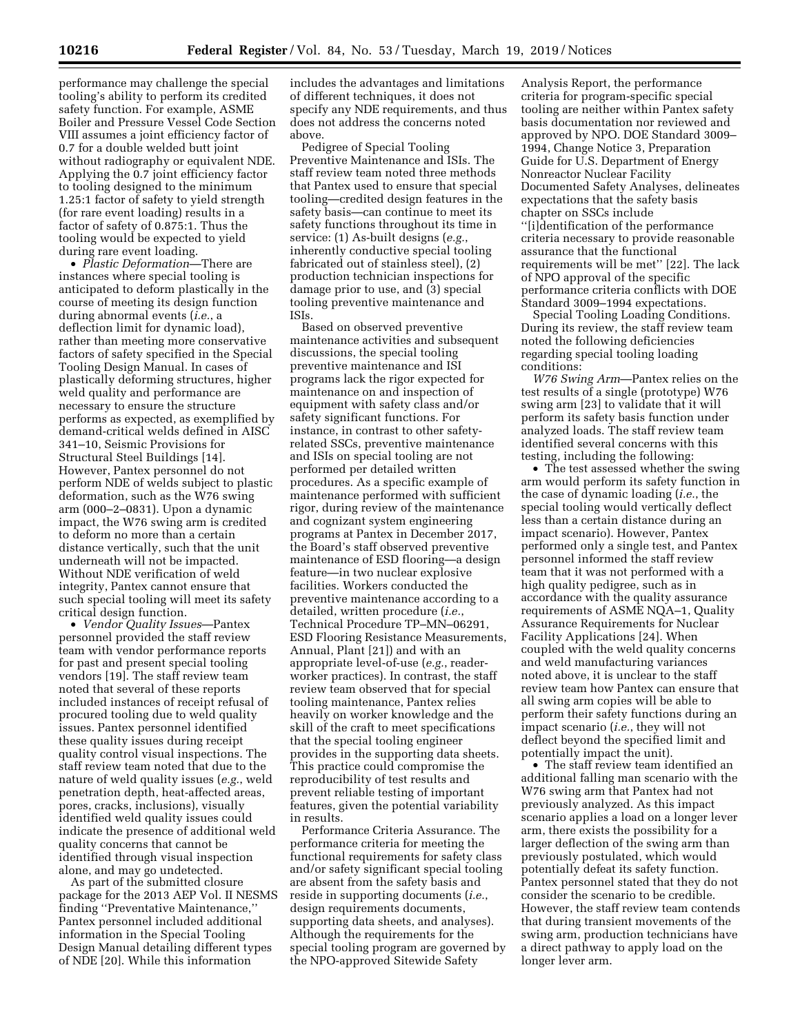performance may challenge the special tooling's ability to perform its credited safety function. For example, ASME Boiler and Pressure Vessel Code Section VIII assumes a joint efficiency factor of 0.7 for a double welded butt joint without radiography or equivalent NDE. Applying the 0.7 joint efficiency factor to tooling designed to the minimum 1.25:1 factor of safety to yield strength (for rare event loading) results in a factor of safety of 0.875:1. Thus the tooling would be expected to yield during rare event loading.

• *Plastic Deformation*—There are instances where special tooling is anticipated to deform plastically in the course of meeting its design function during abnormal events (*i.e.*, a deflection limit for dynamic load), rather than meeting more conservative factors of safety specified in the Special Tooling Design Manual. In cases of plastically deforming structures, higher weld quality and performance are necessary to ensure the structure performs as expected, as exemplified by demand-critical welds defined in AISC 341–10, Seismic Provisions for Structural Steel Buildings [14]. However, Pantex personnel do not perform NDE of welds subject to plastic deformation, such as the W76 swing arm (000–2–0831). Upon a dynamic impact, the W76 swing arm is credited to deform no more than a certain distance vertically, such that the unit underneath will not be impacted. Without NDE verification of weld integrity, Pantex cannot ensure that such special tooling will meet its safety critical design function.

• *Vendor Quality Issues*—Pantex personnel provided the staff review team with vendor performance reports for past and present special tooling vendors [19]. The staff review team noted that several of these reports included instances of receipt refusal of procured tooling due to weld quality issues. Pantex personnel identified these quality issues during receipt quality control visual inspections. The staff review team noted that due to the nature of weld quality issues (*e.g.*, weld penetration depth, heat-affected areas, pores, cracks, inclusions), visually identified weld quality issues could indicate the presence of additional weld quality concerns that cannot be identified through visual inspection alone, and may go undetected.

As part of the submitted closure package for the 2013 AEP Vol. II NESMS finding ''Preventative Maintenance,'' Pantex personnel included additional information in the Special Tooling Design Manual detailing different types of NDE [20]. While this information

includes the advantages and limitations of different techniques, it does not specify any NDE requirements, and thus does not address the concerns noted above.

Pedigree of Special Tooling Preventive Maintenance and ISIs. The staff review team noted three methods that Pantex used to ensure that special tooling—credited design features in the safety basis—can continue to meet its safety functions throughout its time in service: (1) As-built designs (*e.g.*, inherently conductive special tooling fabricated out of stainless steel), (2) production technician inspections for damage prior to use, and (3) special tooling preventive maintenance and ISIs.

Based on observed preventive maintenance activities and subsequent discussions, the special tooling preventive maintenance and ISI programs lack the rigor expected for maintenance on and inspection of equipment with safety class and/or safety significant functions. For instance, in contrast to other safetyrelated SSCs, preventive maintenance and ISIs on special tooling are not performed per detailed written procedures. As a specific example of maintenance performed with sufficient rigor, during review of the maintenance and cognizant system engineering programs at Pantex in December 2017, the Board's staff observed preventive maintenance of ESD flooring—a design feature—in two nuclear explosive facilities. Workers conducted the preventive maintenance according to a detailed, written procedure (*i.e.*, Technical Procedure TP–MN–06291, ESD Flooring Resistance Measurements, Annual, Plant [21]) and with an appropriate level-of-use (*e.g.*, readerworker practices). In contrast, the staff review team observed that for special tooling maintenance, Pantex relies heavily on worker knowledge and the skill of the craft to meet specifications that the special tooling engineer provides in the supporting data sheets. This practice could compromise the reproducibility of test results and prevent reliable testing of important features, given the potential variability in results.

Performance Criteria Assurance. The performance criteria for meeting the functional requirements for safety class and/or safety significant special tooling are absent from the safety basis and reside in supporting documents (*i.e.*, design requirements documents, supporting data sheets, and analyses). Although the requirements for the special tooling program are governed by the NPO-approved Sitewide Safety

Analysis Report, the performance criteria for program-specific special tooling are neither within Pantex safety basis documentation nor reviewed and approved by NPO. DOE Standard 3009– 1994, Change Notice 3, Preparation Guide for U.S. Department of Energy Nonreactor Nuclear Facility Documented Safety Analyses, delineates expectations that the safety basis chapter on SSCs include ''[i]dentification of the performance criteria necessary to provide reasonable assurance that the functional requirements will be met'' [22]. The lack of NPO approval of the specific performance criteria conflicts with DOE

Standard 3009–1994 expectations. Special Tooling Loading Conditions. During its review, the staff review team noted the following deficiencies regarding special tooling loading conditions:

*W76 Swing Arm*—Pantex relies on the test results of a single (prototype) W76 swing arm [23] to validate that it will perform its safety basis function under analyzed loads. The staff review team identified several concerns with this testing, including the following:

• The test assessed whether the swing arm would perform its safety function in the case of dynamic loading (*i.e.*, the special tooling would vertically deflect less than a certain distance during an impact scenario). However, Pantex performed only a single test, and Pantex personnel informed the staff review team that it was not performed with a high quality pedigree, such as in accordance with the quality assurance requirements of ASME NQA–1, Quality Assurance Requirements for Nuclear Facility Applications [24]. When coupled with the weld quality concerns and weld manufacturing variances noted above, it is unclear to the staff review team how Pantex can ensure that all swing arm copies will be able to perform their safety functions during an impact scenario (*i.e.*, they will not deflect beyond the specified limit and potentially impact the unit).

• The staff review team identified an additional falling man scenario with the W76 swing arm that Pantex had not previously analyzed. As this impact scenario applies a load on a longer lever arm, there exists the possibility for a larger deflection of the swing arm than previously postulated, which would potentially defeat its safety function. Pantex personnel stated that they do not consider the scenario to be credible. However, the staff review team contends that during transient movements of the swing arm, production technicians have a direct pathway to apply load on the longer lever arm.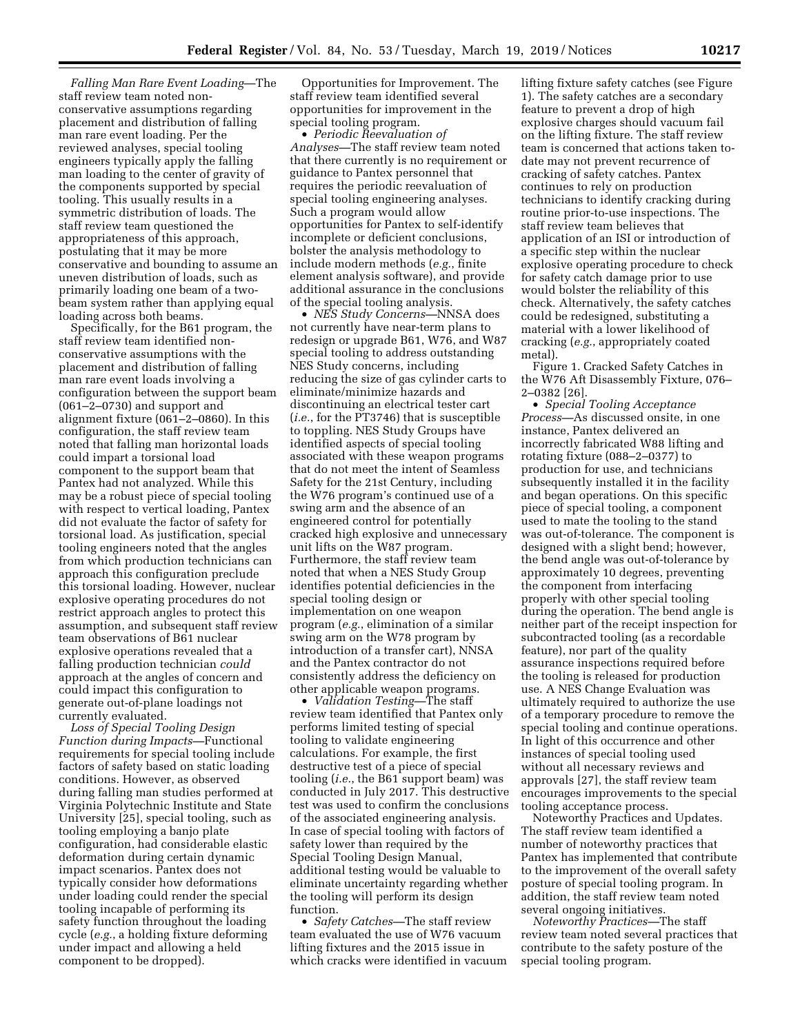*Falling Man Rare Event Loading*—The staff review team noted nonconservative assumptions regarding placement and distribution of falling man rare event loading. Per the reviewed analyses, special tooling engineers typically apply the falling man loading to the center of gravity of the components supported by special tooling. This usually results in a symmetric distribution of loads. The staff review team questioned the appropriateness of this approach, postulating that it may be more conservative and bounding to assume an uneven distribution of loads, such as primarily loading one beam of a twobeam system rather than applying equal loading across both beams.

Specifically, for the B61 program, the staff review team identified nonconservative assumptions with the placement and distribution of falling man rare event loads involving a configuration between the support beam (061–2–0730) and support and alignment fixture (061–2–0860). In this configuration, the staff review team noted that falling man horizontal loads could impart a torsional load component to the support beam that Pantex had not analyzed. While this may be a robust piece of special tooling with respect to vertical loading, Pantex did not evaluate the factor of safety for torsional load. As justification, special tooling engineers noted that the angles from which production technicians can approach this configuration preclude this torsional loading. However, nuclear explosive operating procedures do not restrict approach angles to protect this assumption, and subsequent staff review team observations of B61 nuclear explosive operations revealed that a falling production technician *could*  approach at the angles of concern and could impact this configuration to generate out-of-plane loadings not currently evaluated.

*Loss of Special Tooling Design Function during Impacts—*Functional requirements for special tooling include factors of safety based on static loading conditions. However, as observed during falling man studies performed at Virginia Polytechnic Institute and State University [25], special tooling, such as tooling employing a banjo plate configuration, had considerable elastic deformation during certain dynamic impact scenarios. Pantex does not typically consider how deformations under loading could render the special tooling incapable of performing its safety function throughout the loading cycle (*e.g.*, a holding fixture deforming under impact and allowing a held component to be dropped).

Opportunities for Improvement. The staff review team identified several opportunities for improvement in the special tooling program.

• *Periodic Reevaluation of Analyses—*The staff review team noted that there currently is no requirement or guidance to Pantex personnel that requires the periodic reevaluation of special tooling engineering analyses. Such a program would allow opportunities for Pantex to self-identify incomplete or deficient conclusions, bolster the analysis methodology to include modern methods (*e.g.*, finite element analysis software), and provide additional assurance in the conclusions of the special tooling analysis.

• *NES Study Concerns—*NNSA does not currently have near-term plans to redesign or upgrade B61, W76, and W87 special tooling to address outstanding NES Study concerns, including reducing the size of gas cylinder carts to eliminate/minimize hazards and discontinuing an electrical tester cart (*i.e.*, for the PT3746) that is susceptible to toppling. NES Study Groups have identified aspects of special tooling associated with these weapon programs that do not meet the intent of Seamless Safety for the 21st Century, including the W76 program's continued use of a swing arm and the absence of an engineered control for potentially cracked high explosive and unnecessary unit lifts on the W87 program. Furthermore, the staff review team noted that when a NES Study Group identifies potential deficiencies in the special tooling design or implementation on one weapon program (*e.g.*, elimination of a similar swing arm on the W78 program by introduction of a transfer cart), NNSA and the Pantex contractor do not consistently address the deficiency on other applicable weapon programs.

• *Validation Testing—*The staff review team identified that Pantex only performs limited testing of special tooling to validate engineering calculations. For example, the first destructive test of a piece of special tooling (*i.e.*, the B61 support beam) was conducted in July 2017. This destructive test was used to confirm the conclusions of the associated engineering analysis. In case of special tooling with factors of safety lower than required by the Special Tooling Design Manual, additional testing would be valuable to eliminate uncertainty regarding whether the tooling will perform its design function.

• *Safety Catches—*The staff review team evaluated the use of W76 vacuum lifting fixtures and the 2015 issue in which cracks were identified in vacuum lifting fixture safety catches (see Figure 1). The safety catches are a secondary feature to prevent a drop of high explosive charges should vacuum fail on the lifting fixture. The staff review team is concerned that actions taken todate may not prevent recurrence of cracking of safety catches. Pantex continues to rely on production technicians to identify cracking during routine prior-to-use inspections. The staff review team believes that application of an ISI or introduction of a specific step within the nuclear explosive operating procedure to check for safety catch damage prior to use would bolster the reliability of this check. Alternatively, the safety catches could be redesigned, substituting a material with a lower likelihood of cracking (*e.g.*, appropriately coated metal).

Figure 1. Cracked Safety Catches in the W76 Aft Disassembly Fixture, 076– 2–0382 [26].

• *Special Tooling Acceptance Process—*As discussed onsite, in one instance, Pantex delivered an incorrectly fabricated W88 lifting and rotating fixture (088–2–0377) to production for use, and technicians subsequently installed it in the facility and began operations. On this specific piece of special tooling, a component used to mate the tooling to the stand was out-of-tolerance. The component is designed with a slight bend; however, the bend angle was out-of-tolerance by approximately 10 degrees, preventing the component from interfacing properly with other special tooling during the operation. The bend angle is neither part of the receipt inspection for subcontracted tooling (as a recordable feature), nor part of the quality assurance inspections required before the tooling is released for production use. A NES Change Evaluation was ultimately required to authorize the use of a temporary procedure to remove the special tooling and continue operations. In light of this occurrence and other instances of special tooling used without all necessary reviews and approvals [27], the staff review team encourages improvements to the special tooling acceptance process.

Noteworthy Practices and Updates. The staff review team identified a number of noteworthy practices that Pantex has implemented that contribute to the improvement of the overall safety posture of special tooling program. In addition, the staff review team noted several ongoing initiatives.

*Noteworthy Practices—*The staff review team noted several practices that contribute to the safety posture of the special tooling program.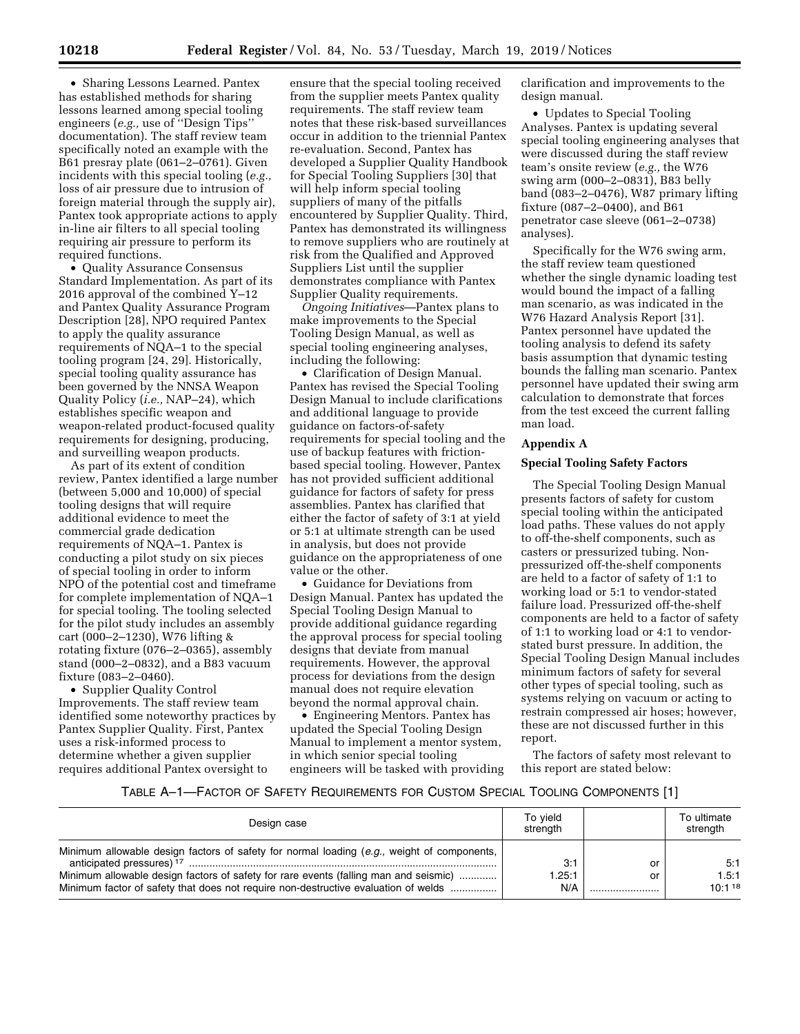• Sharing Lessons Learned. Pantex has established methods for sharing lessons learned among special tooling engineers (*e.g.,* use of ''Design Tips'' documentation). The staff review team specifically noted an example with the B61 presray plate (061–2–0761). Given incidents with this special tooling (*e.g.,*  loss of air pressure due to intrusion of foreign material through the supply air), Pantex took appropriate actions to apply in-line air filters to all special tooling requiring air pressure to perform its required functions.

• Quality Assurance Consensus Standard Implementation. As part of its 2016 approval of the combined Y–12 and Pantex Quality Assurance Program Description [28], NPO required Pantex to apply the quality assurance requirements of NQA–1 to the special tooling program [24, 29]. Historically, special tooling quality assurance has been governed by the NNSA Weapon Quality Policy (*i.e.,* NAP–24), which establishes specific weapon and weapon-related product-focused quality requirements for designing, producing, and surveilling weapon products.

As part of its extent of condition review, Pantex identified a large number (between 5,000 and 10,000) of special tooling designs that will require additional evidence to meet the commercial grade dedication requirements of NQA–1. Pantex is conducting a pilot study on six pieces of special tooling in order to inform NPO of the potential cost and timeframe for complete implementation of NQA–1 for special tooling. The tooling selected for the pilot study includes an assembly cart (000–2–1230), W76 lifting & rotating fixture (076–2–0365), assembly stand (000–2–0832), and a B83 vacuum fixture (083–2–0460).

• Supplier Quality Control Improvements. The staff review team identified some noteworthy practices by Pantex Supplier Quality. First, Pantex uses a risk-informed process to determine whether a given supplier requires additional Pantex oversight to

ensure that the special tooling received from the supplier meets Pantex quality requirements. The staff review team notes that these risk-based surveillances occur in addition to the triennial Pantex re-evaluation. Second, Pantex has developed a Supplier Quality Handbook for Special Tooling Suppliers [30] that will help inform special tooling suppliers of many of the pitfalls encountered by Supplier Quality. Third, Pantex has demonstrated its willingness to remove suppliers who are routinely at risk from the Qualified and Approved Suppliers List until the supplier demonstrates compliance with Pantex Supplier Quality requirements.

*Ongoing Initiatives*—Pantex plans to make improvements to the Special Tooling Design Manual, as well as special tooling engineering analyses, including the following:

• Clarification of Design Manual. Pantex has revised the Special Tooling Design Manual to include clarifications and additional language to provide guidance on factors-of-safety requirements for special tooling and the use of backup features with frictionbased special tooling. However, Pantex has not provided sufficient additional guidance for factors of safety for press assemblies. Pantex has clarified that either the factor of safety of 3:1 at yield or 5:1 at ultimate strength can be used in analysis, but does not provide guidance on the appropriateness of one value or the other.

• Guidance for Deviations from Design Manual. Pantex has updated the Special Tooling Design Manual to provide additional guidance regarding the approval process for special tooling designs that deviate from manual requirements. However, the approval process for deviations from the design manual does not require elevation beyond the normal approval chain.

• Engineering Mentors. Pantex has updated the Special Tooling Design Manual to implement a mentor system, in which senior special tooling engineers will be tasked with providing clarification and improvements to the design manual.

• Updates to Special Tooling Analyses. Pantex is updating several special tooling engineering analyses that were discussed during the staff review team's onsite review (*e.g.,* the W76 swing arm (000–2–0831), B83 belly band (083–2–0476), W87 primary lifting fixture (087–2–0400), and B61 penetrator case sleeve (061–2–0738) analyses).

Specifically for the W76 swing arm, the staff review team questioned whether the single dynamic loading test would bound the impact of a falling man scenario, as was indicated in the W76 Hazard Analysis Report [31]. Pantex personnel have updated the tooling analysis to defend its safety basis assumption that dynamic testing bounds the falling man scenario. Pantex personnel have updated their swing arm calculation to demonstrate that forces from the test exceed the current falling man load.

### **Appendix A**

#### **Special Tooling Safety Factors**

The Special Tooling Design Manual presents factors of safety for custom special tooling within the anticipated load paths. These values do not apply to off-the-shelf components, such as casters or pressurized tubing. Nonpressurized off-the-shelf components are held to a factor of safety of 1:1 to working load or 5:1 to vendor-stated failure load. Pressurized off-the-shelf components are held to a factor of safety of 1:1 to working load or 4:1 to vendorstated burst pressure. In addition, the Special Tooling Design Manual includes minimum factors of safety for several other types of special tooling, such as systems relying on vacuum or acting to restrain compressed air hoses; however, these are not discussed further in this report.

The factors of safety most relevant to this report are stated below:

#### TABLE A–1—FACTOR OF SAFETY REQUIREMENTS FOR CUSTOM SPECIAL TOOLING COMPONENTS [1]

| Design case                                                                                                                                                                | To yield<br>strenath |    | To ultimate<br>strength |
|----------------------------------------------------------------------------------------------------------------------------------------------------------------------------|----------------------|----|-------------------------|
| Minimum allowable design factors of safety for normal loading (e.g., weight of components,<br>anticipated pressures) <sup>17</sup>                                         | 3:1                  | or | 5:1                     |
| Minimum allowable design factors of safety for rare events (falling man and seismic)<br>Minimum factor of safety that does not require non-destructive evaluation of welds | 1.25:1<br>N/A        | or | 1.5:1<br>10:118         |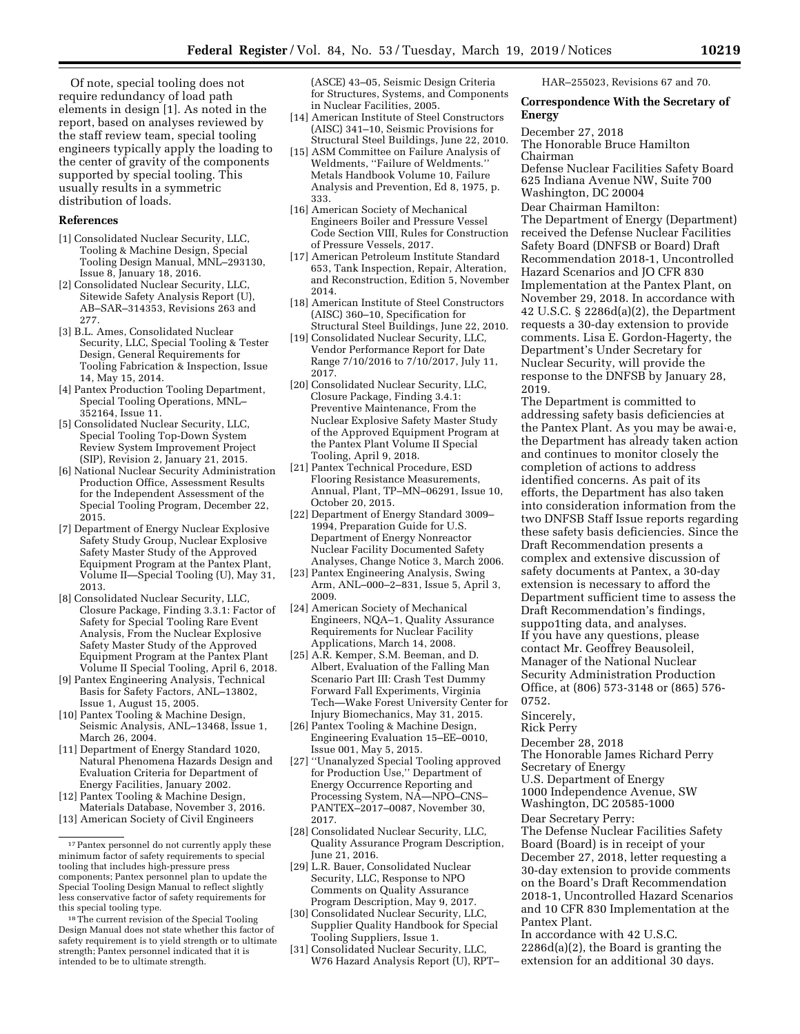Of note, special tooling does not require redundancy of load path elements in design [1]. As noted in the report, based on analyses reviewed by the staff review team, special tooling engineers typically apply the loading to the center of gravity of the components supported by special tooling. This usually results in a symmetric distribution of loads.

#### **References**

- [1] Consolidated Nuclear Security, LLC, Tooling & Machine Design, Special Tooling Design Manual, MNL–293130, Issue 8, January 18, 2016.
- [2] Consolidated Nuclear Security, LLC, Sitewide Safety Analysis Report (U), AB–SAR–314353, Revisions 263 and 277.
- [3] B.L. Ames, Consolidated Nuclear Security, LLC, Special Tooling & Tester Design, General Requirements for Tooling Fabrication & Inspection, Issue 14, May 15, 2014.
- [4] Pantex Production Tooling Department, Special Tooling Operations, MNL– 352164, Issue 11.
- [5] Consolidated Nuclear Security, LLC, Special Tooling Top-Down System Review System Improvement Project (SIP), Revision 2, January 21, 2015.
- [6] National Nuclear Security Administration Production Office, Assessment Results for the Independent Assessment of the Special Tooling Program, December 22, 2015.
- [7] Department of Energy Nuclear Explosive Safety Study Group, Nuclear Explosive Safety Master Study of the Approved Equipment Program at the Pantex Plant, Volume II—Special Tooling (U), May 31, 2013.
- [8] Consolidated Nuclear Security, LLC, Closure Package, Finding 3.3.1: Factor of Safety for Special Tooling Rare Event Analysis, From the Nuclear Explosive Safety Master Study of the Approved Equipment Program at the Pantex Plant Volume II Special Tooling, April 6, 2018.
- [9] Pantex Engineering Analysis, Technical Basis for Safety Factors, ANL–13802, Issue 1, August 15, 2005.
- [10] Pantex Tooling & Machine Design, Seismic Analysis, ANL–13468, Issue 1, March 26, 2004.
- [11] Department of Energy Standard 1020, Natural Phenomena Hazards Design and Evaluation Criteria for Department of Energy Facilities, January 2002.
- [12] Pantex Tooling & Machine Design, Materials Database, November 3, 2016. [13] American Society of Civil Engineers
- 

(ASCE) 43–05, Seismic Design Criteria for Structures, Systems, and Components in Nuclear Facilities, 2005.

- [14] American Institute of Steel Constructors (AISC) 341–10, Seismic Provisions for Structural Steel Buildings, June 22, 2010.
- [15] ASM Committee on Failure Analysis of Weldments, ''Failure of Weldments.'' Metals Handbook Volume 10, Failure Analysis and Prevention, Ed 8, 1975, p. 333.
- [16] American Society of Mechanical Engineers Boiler and Pressure Vessel Code Section VIII, Rules for Construction of Pressure Vessels, 2017.
- [17] American Petroleum Institute Standard 653, Tank Inspection, Repair, Alteration, and Reconstruction, Edition 5, November 2014.
- [18] American Institute of Steel Constructors (AISC) 360–10, Specification for Structural Steel Buildings, June 22, 2010.
- [19] Consolidated Nuclear Security, LLC, Vendor Performance Report for Date Range 7/10/2016 to 7/10/2017, July 11, 2017.
- [20] Consolidated Nuclear Security, LLC, Closure Package, Finding 3.4.1: Preventive Maintenance, From the Nuclear Explosive Safety Master Study of the Approved Equipment Program at the Pantex Plant Volume II Special Tooling, April 9, 2018.
- [21] Pantex Technical Procedure, ESD Flooring Resistance Measurements, Annual, Plant, TP–MN–06291, Issue 10, October 20, 2015.
- [22] Department of Energy Standard 3009– 1994, Preparation Guide for U.S. Department of Energy Nonreactor Nuclear Facility Documented Safety Analyses, Change Notice 3, March 2006.
- [23] Pantex Engineering Analysis, Swing Arm, ANL–000–2–831, Issue 5, April 3, 2009.
- [24] American Society of Mechanical Engineers, NQA–1, Quality Assurance Requirements for Nuclear Facility Applications, March 14, 2008.
- [25] A.R. Kemper, S.M. Beeman, and D. Albert, Evaluation of the Falling Man Scenario Part III: Crash Test Dummy Forward Fall Experiments, Virginia Tech—Wake Forest University Center for Injury Biomechanics, May 31, 2015.
- [26] Pantex Tooling & Machine Design, Engineering Evaluation 15–EE–0010, Issue 001, May 5, 2015.
- [27] ''Unanalyzed Special Tooling approved for Production Use,'' Department of Energy Occurrence Reporting and Processing System, NA-NPO-CNS-PANTEX–2017–0087, November 30, 2017.
- [28] Consolidated Nuclear Security, LLC, Quality Assurance Program Description, June 21, 2016.
- [29] L.R. Bauer, Consolidated Nuclear Security, LLC, Response to NPO Comments on Quality Assurance Program Description, May 9, 2017.
- [30] Consolidated Nuclear Security, LLC, Supplier Quality Handbook for Special Tooling Suppliers, Issue 1.
- [31] Consolidated Nuclear Security, LLC, W76 Hazard Analysis Report (U), RPT–

HAR–255023, Revisions 67 and 70.

### **Correspondence With the Secretary of Energy**

December 27, 2018

The Honorable Bruce Hamilton

Chairman Defense Nuclear Facilities Safety Board 625 Indiana Avenue NW, Suite 700 Washington, DC 20004

Dear Chairman Hamilton:

The Department of Energy (Department) received the Defense Nuclear Facilities Safety Board (DNFSB or Board) Draft Recommendation 2018-1, Uncontrolled Hazard Scenarios and JO CFR 830 Implementation at the Pantex Plant, on November 29, 2018. In accordance with 42 U.S.C. § 2286d(a)(2), the Department requests a 30-day extension to provide comments. Lisa E. Gordon-Hagerty, the Department's Under Secretary for Nuclear Security, will provide the response to the DNFSB by January 28, 2019.

The Department is committed to addressing safety basis deficiencies at the Pantex Plant. As you may be awai·e, the Department has already taken action and continues to monitor closely the completion of actions to address identified concerns. As pait of its efforts, the Department has also taken into consideration information from the two DNFSB Staff Issue reports regarding these safety basis deficiencies. Since the Draft Recommendation presents a complex and extensive discussion of safety documents at Pantex, a 30-day extension is necessary to afford the Department sufficient time to assess the Draft Recommendation's findings, suppo1ting data, and analyses. If you have any questions, please contact Mr. Geoffrey Beausoleil, Manager of the National Nuclear Security Administration Production Office, at (806) 573-3148 or (865) 576- 0752.

Sincerely,

Rick Perry

December 28, 2018

The Honorable James Richard Perry

Secretary of Energy U.S. Department of Energy

1000 Independence Avenue, SW

Washington, DC 20585-1000

Dear Secretary Perry:

The Defense Nuclear Facilities Safety Board (Board) is in receipt of your December 27, 2018, letter requesting a 30-day extension to provide comments on the Board's Draft Recommendation 2018-1, Uncontrolled Hazard Scenarios and 10 CFR 830 Implementation at the Pantex Plant.

In accordance with 42 U.S.C. 2286d(a)(2), the Board is granting the extension for an additional 30 days.

 $^{17}\!$  Pantex personnel do not currently apply these minimum factor of safety requirements to special tooling that includes high-pressure press components; Pantex personnel plan to update the Special Tooling Design Manual to reflect slightly less conservative factor of safety requirements for this special tooling type.

<sup>18</sup>The current revision of the Special Tooling Design Manual does not state whether this factor of safety requirement is to yield strength or to ultimate strength; Pantex personnel indicated that it is intended to be to ultimate strength.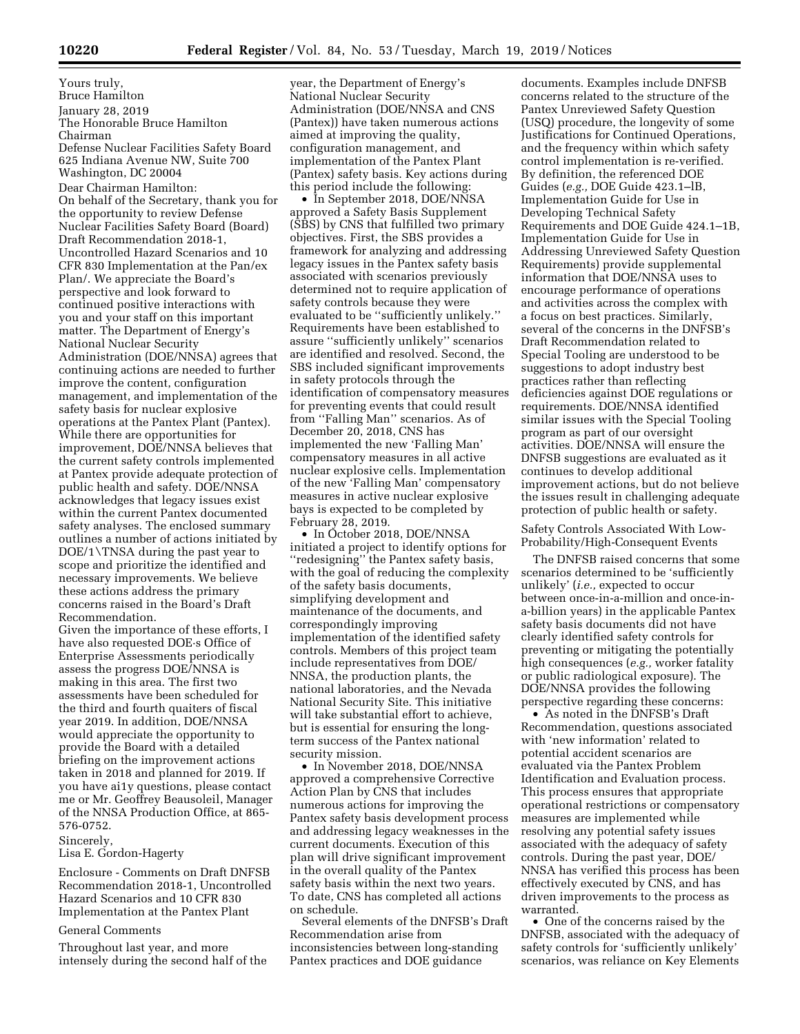Yours truly, Bruce Hamilton January 28, 2019 The Honorable Bruce Hamilton Chairman Defense Nuclear Facilities Safety Board 625 Indiana Avenue NW, Suite 700 Washington, DC 20004 Dear Chairman Hamilton: On behalf of the Secretary, thank you for the opportunity to review Defense Nuclear Facilities Safety Board (Board) Draft Recommendation 2018-1, Uncontrolled Hazard Scenarios and 10 CFR 830 Implementation at the Pan/ex Plan/. We appreciate the Board's perspective and look forward to continued positive interactions with you and your staff on this important matter. The Department of Energy's National Nuclear Security Administration (DOE/NNSA) agrees that continuing actions are needed to further improve the content, configuration management, and implementation of the safety basis for nuclear explosive operations at the Pantex Plant (Pantex). While there are opportunities for improvement, DOE/NNSA believes that the current safety controls implemented at Pantex provide adequate protection of public health and safety. DOE/NNSA acknowledges that legacy issues exist within the current Pantex documented safety analyses. The enclosed summary outlines a number of actions initiated by DOE/1\TNSA during the past year to scope and prioritize the identified and necessary improvements. We believe these actions address the primary concerns raised in the Board's Draft Recommendation.

Given the importance of these efforts, I have also requested DOE·s Office of Enterprise Assessments periodically assess the progress DOE/NNSA is making in this area. The first two assessments have been scheduled for the third and fourth quaiters of fiscal year 2019. In addition, DOE/NNSA would appreciate the opportunity to provide the Board with a detailed briefing on the improvement actions taken in 2018 and planned for 2019. If you have ai1y questions, please contact me or Mr. Geoffrey Beausoleil, Manager of the NNSA Production Office, at 865- 576-0752.

### Sincerely,

### Lisa E. Gordon-Hagerty

Enclosure - Comments on Draft DNFSB Recommendation 2018-1, Uncontrolled Hazard Scenarios and 10 CFR 830 Implementation at the Pantex Plant

### General Comments

Throughout last year, and more intensely during the second half of the year, the Department of Energy's National Nuclear Security Administration (DOE/NNSA and CNS (Pantex)) have taken numerous actions aimed at improving the quality, configuration management, and implementation of the Pantex Plant (Pantex) safety basis. Key actions during this period include the following:

• In September 2018, DOE/NNSA approved a Safety Basis Supplement (SBS) by CNS that fulfilled two primary objectives. First, the SBS provides a framework for analyzing and addressing legacy issues in the Pantex safety basis associated with scenarios previously determined not to require application of safety controls because they were evaluated to be ''sufficiently unlikely.'' Requirements have been established to assure ''sufficiently unlikely'' scenarios are identified and resolved. Second, the SBS included significant improvements in safety protocols through the identification of compensatory measures for preventing events that could result from "Falling Man" scenarios. As of December 20, 2018, CNS has implemented the new 'Falling Man' compensatory measures in all active nuclear explosive cells. Implementation of the new 'Falling Man' compensatory measures in active nuclear explosive bays is expected to be completed by February 28, 2019.

• In October 2018, DOE/NNSA initiated a project to identify options for ''redesigning'' the Pantex safety basis, with the goal of reducing the complexity of the safety basis documents, simplifying development and maintenance of the documents, and correspondingly improving implementation of the identified safety controls. Members of this project team include representatives from DOE/ NNSA, the production plants, the national laboratories, and the Nevada National Security Site. This initiative will take substantial effort to achieve, but is essential for ensuring the longterm success of the Pantex national security mission.

• In November 2018, DOE/NNSA approved a comprehensive Corrective Action Plan by CNS that includes numerous actions for improving the Pantex safety basis development process and addressing legacy weaknesses in the current documents. Execution of this plan will drive significant improvement in the overall quality of the Pantex safety basis within the next two years. To date, CNS has completed all actions on schedule.

Several elements of the DNFSB's Draft Recommendation arise from inconsistencies between long-standing Pantex practices and DOE guidance

documents. Examples include DNFSB concerns related to the structure of the Pantex Unreviewed Safety Question (USQ) procedure, the longevity of some Justifications for Continued Operations, and the frequency within which safety control implementation is re-verified. By definition, the referenced DOE Guides (*e.g.,* DOE Guide 423.1–lB, Implementation Guide for Use in Developing Technical Safety Requirements and DOE Guide 424.1–1B, Implementation Guide for Use in Addressing Unreviewed Safety Question Requirements) provide supplemental information that DOE/NNSA uses to encourage performance of operations and activities across the complex with a focus on best practices. Similarly, several of the concerns in the DNFSB's Draft Recommendation related to Special Tooling are understood to be suggestions to adopt industry best practices rather than reflecting deficiencies against DOE regulations or requirements. DOE/NNSA identified similar issues with the Special Tooling program as part of our oversight activities. DOE/NNSA will ensure the DNFSB suggestions are evaluated as it continues to develop additional improvement actions, but do not believe the issues result in challenging adequate protection of public health or safety.

Safety Controls Associated With Low-Probability/High-Consequent Events

The DNFSB raised concerns that some scenarios determined to be 'sufficiently unlikely' (*i.e.,* expected to occur between once-in-a-million and once-ina-billion years) in the applicable Pantex safety basis documents did not have clearly identified safety controls for preventing or mitigating the potentially high consequences (*e.g.,* worker fatality or public radiological exposure). The DOE/NNSA provides the following perspective regarding these concerns:

• As noted in the DNFSB's Draft Recommendation, questions associated with 'new information' related to potential accident scenarios are evaluated via the Pantex Problem Identification and Evaluation process. This process ensures that appropriate operational restrictions or compensatory measures are implemented while resolving any potential safety issues associated with the adequacy of safety controls. During the past year, DOE/ NNSA has verified this process has been effectively executed by CNS, and has driven improvements to the process as warranted.

• One of the concerns raised by the DNFSB, associated with the adequacy of safety controls for 'sufficiently unlikely' scenarios, was reliance on Key Elements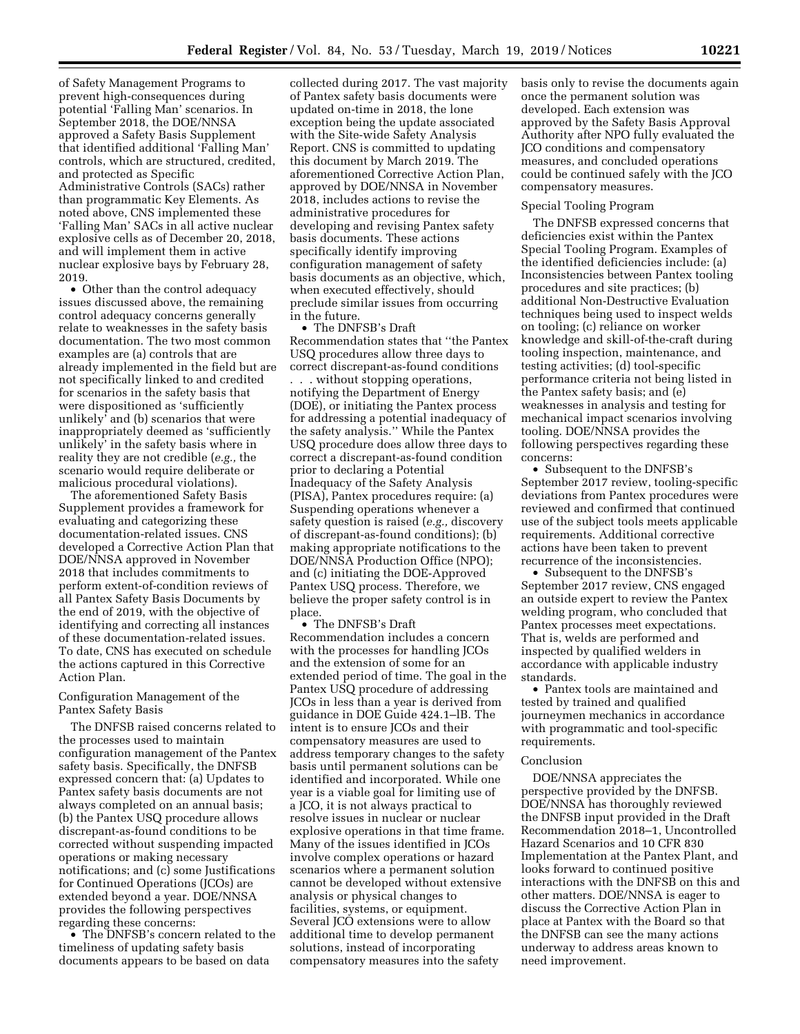of Safety Management Programs to prevent high-consequences during potential 'Falling Man' scenarios. In September 2018, the DOE/NNSA approved a Safety Basis Supplement that identified additional 'Falling Man' controls, which are structured, credited, and protected as Specific Administrative Controls (SACs) rather than programmatic Key Elements. As noted above, CNS implemented these 'Falling Man' SACs in all active nuclear explosive cells as of December 20, 2018, and will implement them in active nuclear explosive bays by February 28, 2019.

• Other than the control adequacy issues discussed above, the remaining control adequacy concerns generally relate to weaknesses in the safety basis documentation. The two most common examples are (a) controls that are already implemented in the field but are not specifically linked to and credited for scenarios in the safety basis that were dispositioned as 'sufficiently unlikely' and (b) scenarios that were inappropriately deemed as 'sufficiently unlikely' in the safety basis where in reality they are not credible (*e.g.,* the scenario would require deliberate or malicious procedural violations).

The aforementioned Safety Basis Supplement provides a framework for evaluating and categorizing these documentation-related issues. CNS developed a Corrective Action Plan that DOE/NNSA approved in November 2018 that includes commitments to perform extent-of-condition reviews of all Pantex Safety Basis Documents by the end of 2019, with the objective of identifying and correcting all instances of these documentation-related issues. To date, CNS has executed on schedule the actions captured in this Corrective Action Plan.

## Configuration Management of the Pantex Safety Basis

The DNFSB raised concerns related to the processes used to maintain configuration management of the Pantex safety basis. Specifically, the DNFSB expressed concern that: (a) Updates to Pantex safety basis documents are not always completed on an annual basis; (b) the Pantex USQ procedure allows discrepant-as-found conditions to be corrected without suspending impacted operations or making necessary notifications; and (c) some Justifications for Continued Operations (JCOs) are extended beyond a year. DOE/NNSA provides the following perspectives regarding these concerns:

• The DNFSB's concern related to the timeliness of updating safety basis documents appears to be based on data

collected during 2017. The vast majority of Pantex safety basis documents were updated on-time in 2018, the lone exception being the update associated with the Site-wide Safety Analysis Report. CNS is committed to updating this document by March 2019. The aforementioned Corrective Action Plan, approved by DOE/NNSA in November 2018, includes actions to revise the administrative procedures for developing and revising Pantex safety basis documents. These actions specifically identify improving configuration management of safety basis documents as an objective, which, when executed effectively, should preclude similar issues from occurring in the future.

• The DNFSB's Draft Recommendation states that ''the Pantex USQ procedures allow three days to correct discrepant-as-found conditions . . . without stopping operations, notifying the Department of Energy (DOE), or initiating the Pantex process for addressing a potential inadequacy of the safety analysis.'' While the Pantex USQ procedure does allow three days to correct a discrepant-as-found condition prior to declaring a Potential Inadequacy of the Safety Analysis (PISA), Pantex procedures require: (a) Suspending operations whenever a safety question is raised (*e.g.,* discovery of discrepant-as-found conditions); (b) making appropriate notifications to the DOE/NNSA Production Office (NPO); and (c) initiating the DOE-Approved Pantex USQ process. Therefore, we believe the proper safety control is in place.

• The DNFSB's Draft Recommendation includes a concern with the processes for handling JCOs and the extension of some for an extended period of time. The goal in the Pantex USQ procedure of addressing JCOs in less than a year is derived from guidance in DOE Guide 424.1–lB. The intent is to ensure JCOs and their compensatory measures are used to address temporary changes to the safety basis until permanent solutions can be identified and incorporated. While one year is a viable goal for limiting use of a JCO, it is not always practical to resolve issues in nuclear or nuclear explosive operations in that time frame. Many of the issues identified in JCOs involve complex operations or hazard scenarios where a permanent solution cannot be developed without extensive analysis or physical changes to facilities, systems, or equipment. Several JCO extensions were to allow additional time to develop permanent solutions, instead of incorporating compensatory measures into the safety

basis only to revise the documents again once the permanent solution was developed. Each extension was approved by the Safety Basis Approval Authority after NPO fully evaluated the JCO conditions and compensatory measures, and concluded operations could be continued safely with the JCO compensatory measures.

#### Special Tooling Program

The DNFSB expressed concerns that deficiencies exist within the Pantex Special Tooling Program. Examples of the identified deficiencies include: (a) Inconsistencies between Pantex tooling procedures and site practices; (b) additional Non-Destructive Evaluation techniques being used to inspect welds on tooling; (c) reliance on worker knowledge and skill-of-the-craft during tooling inspection, maintenance, and testing activities; (d) tool-specific performance criteria not being listed in the Pantex safety basis; and (e) weaknesses in analysis and testing for mechanical impact scenarios involving tooling. DOE/NNSA provides the following perspectives regarding these concerns:

• Subsequent to the DNFSB's September 2017 review, tooling-specific deviations from Pantex procedures were reviewed and confirmed that continued use of the subject tools meets applicable requirements. Additional corrective actions have been taken to prevent recurrence of the inconsistencies.

• Subsequent to the DNFSB's September 2017 review, CNS engaged an outside expert to review the Pantex welding program, who concluded that Pantex processes meet expectations. That is, welds are performed and inspected by qualified welders in accordance with applicable industry standards.

• Pantex tools are maintained and tested by trained and qualified journeymen mechanics in accordance with programmatic and tool-specific requirements.

#### Conclusion

DOE/NNSA appreciates the perspective provided by the DNFSB. DOE/NNSA has thoroughly reviewed the DNFSB input provided in the Draft Recommendation 2018–1, Uncontrolled Hazard Scenarios and 10 CFR 830 Implementation at the Pantex Plant, and looks forward to continued positive interactions with the DNFSB on this and other matters. DOE/NNSA is eager to discuss the Corrective Action Plan in place at Pantex with the Board so that the DNFSB can see the many actions underway to address areas known to need improvement.